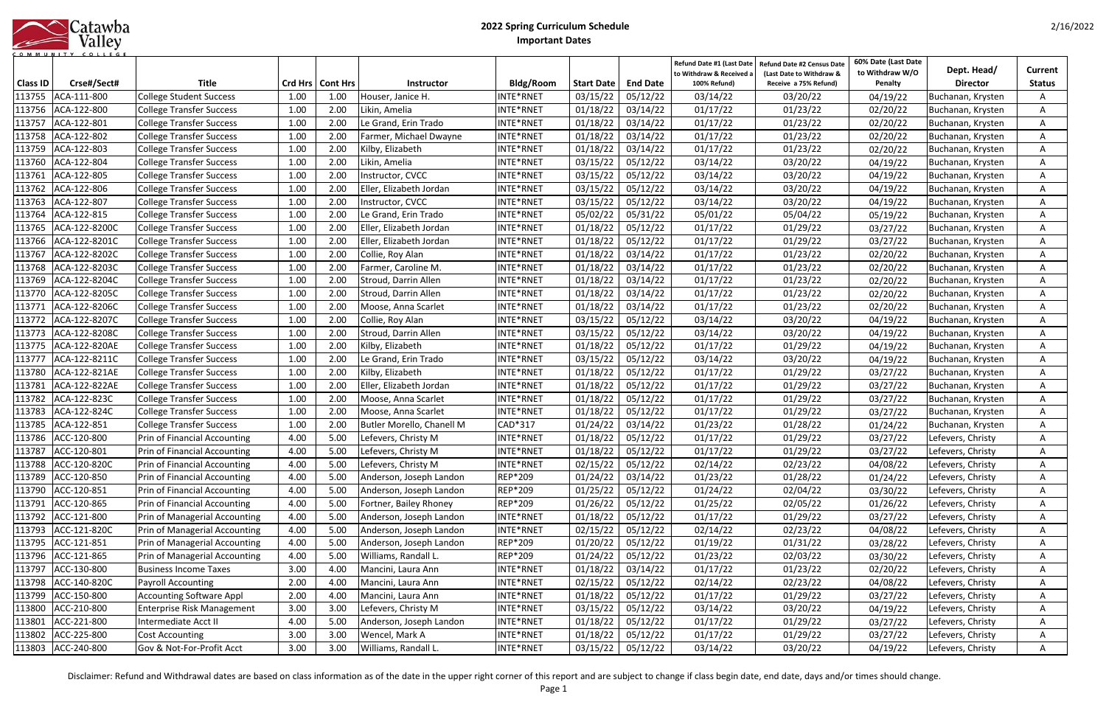|            | Catawba |
|------------|---------|
|            | Valley  |
| <b>MUN</b> |         |

|                 |                     |                                   |      |                    |                           |           |                   |                   | Refund Date #1 (Last Date<br>to Withdraw & Received a | Refund Date #2 Census Date<br>(Last Date to Withdraw & | 60% Date (Last Date<br>to Withdraw W/O | Dept. Head/       | Current       |
|-----------------|---------------------|-----------------------------------|------|--------------------|---------------------------|-----------|-------------------|-------------------|-------------------------------------------------------|--------------------------------------------------------|----------------------------------------|-------------------|---------------|
| <b>Class ID</b> | Crse#/Sect#         | <b>Title</b>                      |      | Crd Hrs   Cont Hrs | <b>Instructor</b>         | Bldg/Room | <b>Start Date</b> | <b>End Date</b>   | 100% Refund)                                          | Receive a 75% Refund)                                  | Penalty                                | <b>Director</b>   | <b>Status</b> |
| 113755          | ACA-111-800         | <b>College Student Success</b>    | 1.00 | 1.00               | Houser, Janice H.         | INTE*RNET | 03/15/22          | 05/12/22          | 03/14/22                                              | 03/20/22                                               | 04/19/22                               | Buchanan, Krysten |               |
| 113756          | ACA-122-800         | <b>College Transfer Success</b>   | 1.00 | 2.00               | Likin, Amelia             | INTE*RNET | 01/18/22          | 03/14/22          | 01/17/22                                              | 01/23/22                                               | 02/20/22                               | Buchanan, Krysten |               |
| 113757          | ACA-122-801         | <b>College Transfer Success</b>   | 1.00 | 2.00               | Le Grand, Erin Trado      | INTE*RNET | 01/18/22          | 03/14/22          | 01/17/22                                              | 01/23/22                                               | 02/20/22                               | Buchanan, Krysten |               |
| 113758          | ACA-122-802         | <b>College Transfer Success</b>   | 1.00 | 2.00               | Farmer, Michael Dwayne    | INTE*RNET | 01/18/22          | 03/14/22          | 01/17/22                                              | 01/23/22                                               | 02/20/22                               | Buchanan, Krysten | A             |
| 113759          | ACA-122-803         | <b>College Transfer Success</b>   | 1.00 | 2.00               | Kilby, Elizabeth          | INTE*RNET | 01/18/22          | 03/14/22          | 01/17/22                                              | 01/23/22                                               | 02/20/22                               | Buchanan, Krysten |               |
| 113760          | ACA-122-804         | <b>College Transfer Success</b>   | 1.00 | 2.00               | Likin, Amelia             | INTE*RNET | 03/15/22          | 05/12/22          | 03/14/22                                              | 03/20/22                                               | 04/19/22                               | Buchanan, Krysten |               |
| 113761          | ACA-122-805         | <b>College Transfer Success</b>   | 1.00 | 2.00               | Instructor, CVCC          | INTE*RNET | 03/15/22          | 05/12/22          | 03/14/22                                              | 03/20/22                                               | 04/19/22                               | Buchanan, Krysten |               |
| 113762          | ACA-122-806         | <b>College Transfer Success</b>   | 1.00 | 2.00               | Eller, Elizabeth Jordan   | INTE*RNET | 03/15/22          | 05/12/22          | 03/14/22                                              | 03/20/22                                               | 04/19/22                               | Buchanan, Krysten | A             |
| 113763          | ACA-122-807         | <b>College Transfer Success</b>   | 1.00 | 2.00               | Instructor, CVCC          | INTE*RNET | 03/15/22          | 05/12/22          | 03/14/22                                              | 03/20/22                                               | 04/19/22                               | Buchanan, Krysten | A             |
| 113764          | ACA-122-815         | <b>College Transfer Success</b>   | 1.00 | 2.00               | Le Grand, Erin Trado      | INTE*RNET | 05/02/22          | 05/31/22          | 05/01/22                                              | 05/04/22                                               | 05/19/22                               | Buchanan, Krysten | A             |
| 113765          | ACA-122-8200C       | <b>College Transfer Success</b>   | 1.00 | 2.00               | Eller, Elizabeth Jordan   | INTE*RNET | 01/18/22          | 05/12/22          | 01/17/22                                              | 01/29/22                                               | 03/27/22                               | Buchanan, Krysten | A             |
| 113766          | ACA-122-8201C       | <b>College Transfer Success</b>   | 1.00 | 2.00               | Eller, Elizabeth Jordan   | INTE*RNET | 01/18/22          | 05/12/22          | 01/17/22                                              | 01/29/22                                               | 03/27/22                               | Buchanan, Krysten | A             |
| 113767          | ACA-122-8202C       | <b>College Transfer Success</b>   | 1.00 | 2.00               | Collie, Roy Alan          | INTE*RNET | 01/18/22          | 03/14/22          | 01/17/22                                              | 01/23/22                                               | 02/20/22                               | Buchanan, Krysten | A             |
| 113768          | ACA-122-8203C       | <b>College Transfer Success</b>   | 1.00 | 2.00               | Farmer, Caroline M.       | INTE*RNET | 01/18/22          | 03/14/22          | 01/17/22                                              | 01/23/22                                               | 02/20/22                               | Buchanan, Krysten | A             |
| 113769          | ACA-122-8204C       | <b>College Transfer Success</b>   | 1.00 | 2.00               | Stroud, Darrin Allen      | INTE*RNET | 01/18/22          | 03/14/22          | 01/17/22                                              | 01/23/22                                               | 02/20/22                               | Buchanan, Krysten | A             |
| 113770          | ACA-122-8205C       | <b>College Transfer Success</b>   | 1.00 | 2.00               | Stroud, Darrin Allen      | INTE*RNET | 01/18/22          | 03/14/22          | 01/17/22                                              | 01/23/22                                               | 02/20/22                               | Buchanan, Krysten | A             |
| 113771          | ACA-122-8206C       | <b>College Transfer Success</b>   | 1.00 | 2.00               | Moose, Anna Scarlet       | INTE*RNET | 01/18/22          | 03/14/22          | 01/17/22                                              | 01/23/22                                               | 02/20/22                               | Buchanan, Krysten | A             |
| 113772          | ACA-122-8207C       | <b>College Transfer Success</b>   | 1.00 | 2.00               | Collie, Roy Alan          | INTE*RNET | 03/15/22          | 05/12/22          | 03/14/22                                              | 03/20/22                                               | 04/19/22                               | Buchanan, Krysten | A             |
| 113773          | ACA-122-8208C       | <b>College Transfer Success</b>   | 1.00 | 2.00               | Stroud, Darrin Allen      | INTE*RNET | 03/15/22          | 05/12/22          | 03/14/22                                              | 03/20/22                                               | 04/19/22                               | Buchanan, Krysten |               |
| 113775          | ACA-122-820AE       | <b>College Transfer Success</b>   | 1.00 | 2.00               | Kilby, Elizabeth          | INTE*RNET | 01/18/22          | 05/12/22          | 01/17/22                                              | 01/29/22                                               | 04/19/22                               | Buchanan, Krysten |               |
| 113777          | ACA-122-8211C       | <b>College Transfer Success</b>   | 1.00 | 2.00               | Le Grand, Erin Trado      | INTE*RNET | 03/15/22          | 05/12/22          | 03/14/22                                              | 03/20/22                                               | 04/19/22                               | Buchanan, Krysten |               |
| 113780          | ACA-122-821AE       | <b>College Transfer Success</b>   | 1.00 | 2.00               | Kilby, Elizabeth          | INTE*RNET | 01/18/22          | 05/12/22          | 01/17/22                                              | 01/29/22                                               | 03/27/22                               | Buchanan, Krysten |               |
| 113781          | ACA-122-822AE       | <b>College Transfer Success</b>   | 1.00 | 2.00               | Eller, Elizabeth Jordan   | INTE*RNET | 01/18/22          | 05/12/22          | 01/17/22                                              | 01/29/22                                               | 03/27/22                               | Buchanan, Krysten | A             |
| 113782          | ACA-122-823C        | <b>College Transfer Success</b>   | 1.00 | 2.00               | Moose, Anna Scarlet       | INTE*RNET | 01/18/22          | 05/12/22          | 01/17/22                                              | 01/29/22                                               | 03/27/22                               | Buchanan, Krysten |               |
| 113783          | ACA-122-824C        | <b>College Transfer Success</b>   | 1.00 | 2.00               | Moose, Anna Scarlet       | NTE*RNET  | 01/18/22          | 05/12/22          | 01/17/22                                              | 01/29/22                                               | 03/27/22                               | Buchanan, Krysten |               |
| 113785          | ACA-122-851         | <b>College Transfer Success</b>   | 1.00 | 2.00               | Butler Morello, Chanell M | CAD*317   | 01/24/22          | 03/14/22          | 01/23/22                                              | 01/28/22                                               | 01/24/22                               | Buchanan, Krysten |               |
| 113786          | ACC-120-800         | Prin of Financial Accounting      | 4.00 | 5.00               | Lefevers, Christy M       | INTE*RNET | 01/18/22          | 05/12/22          | 01/17/22                                              | 01/29/22                                               | 03/27/22                               | Lefevers, Christy | A             |
| 113787          | ACC-120-801         | Prin of Financial Accounting      | 4.00 | 5.00               | Lefevers, Christy M       | INTE*RNET | 01/18/22          | 05/12/22          | 01/17/22                                              | 01/29/22                                               | 03/27/22                               | Lefevers, Christy | A             |
|                 | 113788 ACC-120-820C | Prin of Financial Accounting      | 4.00 | 5.00               | Lefevers, Christy M       | INTE*RNET |                   | 02/15/22 05/12/22 | 02/14/22                                              | 02/23/22                                               | 04/08/22                               | Lefevers, Christy | A             |
| 113789          | ACC-120-850         | Prin of Financial Accounting      | 4.00 | 5.00               | Anderson, Joseph Landon   | REP*209   | 01/24/22          | 03/14/22          | 01/23/22                                              | 01/28/22                                               | 01/24/22                               | Lefevers, Christy | A             |
| 113790          | ACC-120-851         | Prin of Financial Accounting      | 4.00 | 5.00               | Anderson, Joseph Landon   | REP*209   | 01/25/22          | 05/12/22          | 01/24/22                                              | 02/04/22                                               | 03/30/22                               | Lefevers, Christy | A             |
|                 | 113791 ACC-120-865  | Prin of Financial Accounting      | 4.00 | 5.00               | Fortner, Bailey Rhoney    | REP*209   | 01/26/22          | 05/12/22          | 01/25/22                                              | 02/05/22                                               | 01/26/22                               | Lefevers, Christy | A             |
| 113792          | ACC-121-800         | Prin of Managerial Accounting     | 4.00 | 5.00               | Anderson, Joseph Landon   | INTE*RNET | 01/18/22          | 05/12/22          | 01/17/22                                              | 01/29/22                                               | 03/27/22                               | Lefevers, Christy | A             |
| 113793          | ACC-121-820C        | Prin of Managerial Accounting     | 4.00 | 5.00               | Anderson, Joseph Landon   | INTE*RNET | 02/15/22          | 05/12/22          | 02/14/22                                              | 02/23/22                                               | 04/08/22                               | Lefevers, Christy | A             |
| 113795          | ACC-121-851         | Prin of Managerial Accounting     | 4.00 | 5.00               | Anderson, Joseph Landon   | REP*209   | 01/20/22          | 05/12/22          | 01/19/22                                              | 01/31/22                                               | 03/28/22                               | Lefevers, Christy | A             |
| 113796          | ACC-121-865         | Prin of Managerial Accounting     | 4.00 | 5.00               | Williams, Randall L.      | REP*209   | 01/24/22          | 05/12/22          | 01/23/22                                              | 02/03/22                                               | 03/30/22                               | Lefevers, Christy | A             |
| 113797          | ACC-130-800         | <b>Business Income Taxes</b>      | 3.00 | 4.00               | Mancini, Laura Ann        | INTE*RNET | 01/18/22          | 03/14/22          | 01/17/22                                              | 01/23/22                                               | 02/20/22                               | Lefevers, Christy | A             |
| 113798          | ACC-140-820C        | <b>Payroll Accounting</b>         | 2.00 | 4.00               | Mancini, Laura Ann        | INTE*RNET | 02/15/22          | 05/12/22          | 02/14/22                                              | 02/23/22                                               | 04/08/22                               | Lefevers, Christy | Α             |
| 113799          | ACC-150-800         | <b>Accounting Software Appl</b>   | 2.00 | 4.00               | Mancini, Laura Ann        | INTE*RNET | 01/18/22          | 05/12/22          | 01/17/22                                              | 01/29/22                                               | 03/27/22                               | Lefevers, Christy | A             |
| 113800          | ACC-210-800         | <b>Enterprise Risk Management</b> | 3.00 | 3.00               | Lefevers, Christy M       | INTE*RNET | 03/15/22          | 05/12/22          | 03/14/22                                              | 03/20/22                                               | 04/19/22                               | Lefevers, Christy | A             |
| 113801          | ACC-221-800         | Intermediate Acct II              | 4.00 | 5.00               | Anderson, Joseph Landon   | INTE*RNET | 01/18/22          | 05/12/22          | 01/17/22                                              | 01/29/22                                               | 03/27/22                               | Lefevers, Christy | A             |
| 113802          | ACC-225-800         | Cost Accounting                   | 3.00 | 3.00               | Wencel, Mark A            | INTE*RNET | 01/18/22          | 05/12/22          | 01/17/22                                              | 01/29/22                                               | 03/27/22                               | Lefevers, Christy | A             |
|                 | 113803 ACC-240-800  | Gov & Not-For-Profit Acct         | 3.00 | 3.00               | Williams, Randall L.      | INTE*RNET | 03/15/22          | 05/12/22          | 03/14/22                                              | 03/20/22                                               | 04/19/22                               | Lefevers, Christy | A             |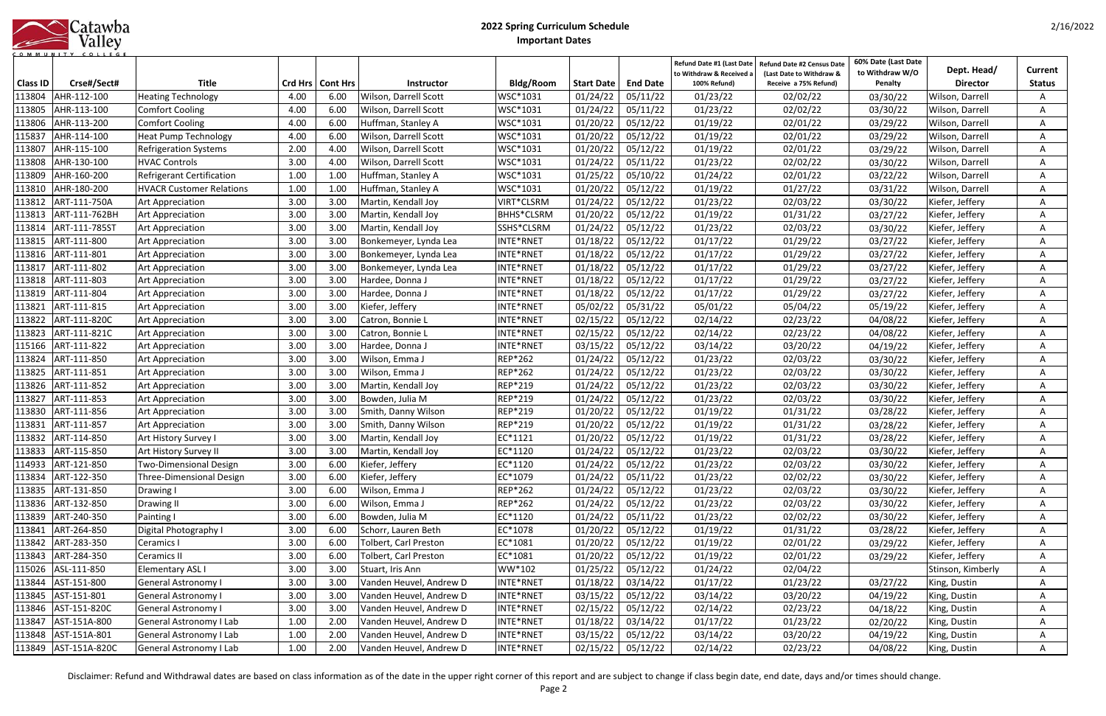|            | Catawba |
|------------|---------|
|            | Valley  |
| <b>MUN</b> |         |

|                           |                              |                                                     |      |                            |                                                |                        |                               |                             | Refund Date #1 (Last Date<br>to Withdraw & Received a | <b>Refund Date #2 Census Date</b><br>(Last Date to Withdraw & | 60% Date (Last Date<br>to Withdraw W/O | Dept. Head/                        | Current       |
|---------------------------|------------------------------|-----------------------------------------------------|------|----------------------------|------------------------------------------------|------------------------|-------------------------------|-----------------------------|-------------------------------------------------------|---------------------------------------------------------------|----------------------------------------|------------------------------------|---------------|
| <b>Class ID</b><br>113804 | Crse#/Sect#<br>AHR-112-100   | <b>Title</b>                                        | 4.00 | Crd Hrs   Cont Hrs<br>6.00 | <b>Instructor</b>                              | Bldg/Room<br>WSC*1031  | <b>Start Date</b><br>01/24/22 | <b>End Date</b><br>05/11/22 | 100% Refund)<br>01/23/22                              | Receive a 75% Refund)<br>02/02/22                             | Penalty                                | <b>Director</b><br>Wilson, Darrell | <b>Status</b> |
| 113805                    | AHR-113-100                  | <b>Heating Technology</b><br><b>Comfort Cooling</b> | 4.00 | 6.00                       | Wilson, Darrell Scott<br>Wilson, Darrell Scott | WSC*1031               | 01/24/22                      | 05/11/22                    | 01/23/22                                              | 02/02/22                                                      | 03/30/22<br>03/30/22                   | Wilson, Darrell                    |               |
|                           | AHR-113-200                  |                                                     |      |                            |                                                |                        |                               |                             |                                                       |                                                               |                                        |                                    |               |
| 113806                    |                              | <b>Comfort Cooling</b>                              | 4.00 | 6.00                       | Huffman, Stanley A                             | WSC*1031               | 01/20/22                      | 05/12/22                    | 01/19/22                                              | 02/01/22                                                      | 03/29/22                               | Wilson, Darrell                    |               |
| 115837                    | AHR-114-100                  | <b>Heat Pump Technology</b>                         | 4.00 | 6.00                       | Wilson, Darrell Scott                          | WSC*1031               | 01/20/22                      | 05/12/22                    | 01/19/22                                              | 02/01/22                                                      | 03/29/22                               | Wilson, Darrell                    | A             |
| 113807                    | AHR-115-100                  | <b>Refrigeration Systems</b>                        | 2.00 | 4.00                       | Wilson, Darrell Scott                          | WSC*1031               | 01/20/22                      | 05/12/22                    | 01/19/22                                              | 02/01/22                                                      | 03/29/22                               | Wilson, Darrell                    | A             |
| 113808                    | AHR-130-100                  | <b>HVAC Controls</b>                                | 3.00 | 4.00                       | Wilson, Darrell Scott                          | WSC*1031               | 01/24/22                      | 05/11/22                    | 01/23/22                                              | 02/02/22                                                      | 03/30/22                               | Wilson, Darrell                    | A             |
| 113809                    | AHR-160-200                  | <b>Refrigerant Certification</b>                    | 1.00 | 1.00                       | Huffman, Stanley A                             | WSC*1031               | 01/25/22                      | 05/10/22                    | 01/24/22                                              | 02/01/22                                                      | 03/22/22                               | Wilson, Darrell                    | A             |
| 113810                    | AHR-180-200<br>ART-111-750A  | <b>HVACR Customer Relations</b>                     | 1.00 | 1.00                       | Huffman, Stanley A                             | WSC*1031               | 01/20/22                      | 05/12/22                    | 01/19/22                                              | 01/27/22                                                      | 03/31/22                               | Wilson, Darrell                    | A             |
| 113812                    |                              | Art Appreciation                                    | 3.00 | 3.00                       | Martin, Kendall Joy                            | VIRT*CLSRM             | 01/24/22                      | 05/12/22                    | 01/23/22                                              | 02/03/22                                                      | 03/30/22                               | Kiefer, Jeffery                    | A             |
| 113813                    | ART-111-762BH                | <b>Art Appreciation</b>                             | 3.00 | 3.00                       | Martin, Kendall Joy                            | <b>BHHS*CLSRM</b>      | 01/20/22                      | 05/12/22                    | 01/19/22                                              | 01/31/22                                                      | 03/27/22                               | Kiefer, Jeffery                    | A             |
| 113814                    | ART-111-785ST                | Art Appreciation                                    | 3.00 | 3.00                       | Martin, Kendall Joy                            | SSHS*CLSRM             | 01/24/22                      | 05/12/22                    | 01/23/22                                              | 02/03/22                                                      | 03/30/22                               | Kiefer, Jeffery                    | A             |
| 113815                    | ART-111-800                  | Art Appreciation                                    | 3.00 | 3.00                       | Bonkemeyer, Lynda Lea                          | INTE*RNET              | 01/18/22                      | 05/12/22                    | 01/17/22                                              | 01/29/22                                                      | 03/27/22                               | Kiefer, Jeffery                    |               |
| 113816                    | ART-111-801                  | Art Appreciation                                    | 3.00 | 3.00                       | Bonkemeyer, Lynda Lea                          | INTE*RNET              | 01/18/22                      | 05/12/22                    | 01/17/22                                              | 01/29/22                                                      | 03/27/22                               | Kiefer, Jeffery                    |               |
| 113817                    | ART-111-802                  | Art Appreciation                                    | 3.00 | 3.00                       | Bonkemeyer, Lynda Lea                          | INTE*RNET              | 01/18/22                      | 05/12/22                    | 01/17/22                                              | 01/29/22                                                      | 03/27/22                               | Kiefer, Jeffery                    | A             |
| 113818                    | ART-111-803                  | Art Appreciation                                    | 3.00 | 3.00                       | Hardee, Donna J                                | INTE*RNET              | 01/18/22                      | 05/12/22                    | 01/17/22                                              | 01/29/22                                                      | 03/27/22                               | Kiefer, Jeffery                    |               |
| 113819                    | ART-111-804                  | Art Appreciation                                    | 3.00 | 3.00                       | Hardee, Donna J                                | INTE*RNET              | 01/18/22                      | 05/12/22                    | 01/17/22                                              | 01/29/22                                                      | 03/27/22                               | Kiefer, Jeffery                    | A             |
| 113821                    | ART-111-815                  | Art Appreciation                                    | 3.00 | 3.00                       | Kiefer, Jeffery                                | INTE*RNET              | 05/02/22                      | 05/31/22                    | 05/01/22                                              | 05/04/22                                                      | 05/19/22                               | Kiefer, Jeffery                    | A             |
| 113822                    | ART-111-820C                 | Art Appreciation                                    | 3.00 | 3.00                       | Catron, Bonnie L                               | INTE*RNET              | 02/15/22                      | 05/12/22                    | 02/14/22                                              | 02/23/22                                                      | 04/08/22                               | Kiefer, Jeffery                    | A             |
| 113823                    | ART-111-821C                 | <b>Art Appreciation</b>                             | 3.00 | 3.00                       | Catron, Bonnie L                               | INTE*RNET              | 02/15/22                      | 05/12/22                    | 02/14/22                                              | 02/23/22                                                      | 04/08/22                               | Kiefer, Jeffery                    | A             |
| 115166                    | ART-111-822                  | Art Appreciation                                    | 3.00 | 3.00                       | Hardee, Donna J                                | INTE*RNET              | 03/15/22                      | 05/12/22                    | 03/14/22                                              | 03/20/22                                                      | 04/19/22                               | Kiefer, Jeffery                    | Α             |
| 113824                    | ART-111-850                  | Art Appreciation                                    | 3.00 | 3.00                       | Wilson, Emma J                                 | REP*262                | 01/24/22                      | 05/12/22                    | 01/23/22                                              | 02/03/22                                                      | 03/30/22                               | Kiefer, Jeffery                    | Α             |
| 113825                    | ART-111-851                  | <b>Art Appreciation</b>                             | 3.00 | 3.00                       | Wilson, Emma J                                 | <b>REP*262</b>         | 01/24/22                      | 05/12/22                    | 01/23/22                                              | 02/03/22                                                      | 03/30/22                               | Kiefer, Jeffery                    | A             |
| 113826                    | ART-111-852                  | Art Appreciation                                    | 3.00 | 3.00                       | Martin, Kendall Joy                            | REP*219                | 01/24/22                      | 05/12/22                    | 01/23/22                                              | 02/03/22                                                      | 03/30/22                               | Kiefer, Jeffery                    | A             |
| 113827                    | ART-111-853                  | <b>Art Appreciation</b>                             | 3.00 | 3.00                       | Bowden, Julia M                                | REP*219                | 01/24/22                      | 05/12/22                    | 01/23/22                                              | 02/03/22                                                      | 03/30/22                               | Kiefer, Jeffery                    |               |
| 113830                    | ART-111-856                  | Art Appreciation                                    | 3.00 | 3.00                       | Smith, Danny Wilson                            | REP*219                | 01/20/22                      | 05/12/22                    | 01/19/22                                              | 01/31/22                                                      | 03/28/22                               | Kiefer, Jeffery                    | A             |
| 113831                    | ART-111-857                  | <b>Art Appreciation</b>                             | 3.00 | 3.00                       | Smith, Danny Wilson                            | REP*219                | 01/20/22                      | 05/12/22                    | 01/19/22                                              | 01/31/22                                                      | 03/28/22                               | Kiefer, Jeffery                    | A             |
| 113832                    | ART-114-850                  | Art History Survey I                                | 3.00 | 3.00                       | Martin, Kendall Joy                            | EC*1121                | 01/20/22                      | 05/12/22                    | 01/19/22                                              | 01/31/22                                                      | 03/28/22                               | Kiefer, Jeffery                    | Α             |
| 113833                    | ART-115-850                  | Art History Survey II                               | 3.00 | 3.00                       | Martin, Kendall Joy                            | EC*1120                | 01/24/22                      | 05/12/22                    | 01/23/22                                              | 02/03/22                                                      | 03/30/22                               | Kiefer, Jeffery                    | A             |
|                           | 114933 ART-121-850           | Two-Dimensional Design                              | 3.00 | 6.00                       | Kiefer, Jeffery                                | EC*1120                |                               | $01/24/22$ 05/12/22         | 01/23/22                                              | 02/03/22                                                      | 03/30/22                               | Kiefer, Jeffery                    | A             |
| 113834                    | ART-122-350                  | <b>Three-Dimensional Design</b>                     | 3.00 | 6.00                       | Kiefer, Jeffery                                | EC*1079                | 01/24/22                      | 05/11/22                    | 01/23/22                                              | 02/02/22                                                      | 03/30/22                               | Kiefer, Jeffery                    | A             |
|                           | 113835 ART-131-850           | Drawing I                                           | 3.00 | 6.00                       | Wilson, Emma J                                 | REP*262                | 01/24/22                      | 05/12/22                    | 01/23/22                                              | 02/03/22                                                      | 03/30/22                               | Kiefer, Jeffery                    | A             |
|                           | 113836 ART-132-850           | Drawing II                                          | 3.00 | 6.00                       | Wilson, Emma J                                 | <b>REP*262</b>         | 01/24/22                      | 05/12/22                    | 01/23/22                                              | 02/03/22                                                      | 03/30/22                               | Kiefer, Jeffery                    | A             |
| 113839                    | ART-240-350                  | Painting I                                          | 3.00 | 6.00                       | Bowden, Julia M                                | EC*1120                | 01/24/22                      | 05/11/22                    | 01/23/22                                              | 02/02/22                                                      | 03/30/22                               | Kiefer, Jeffery                    | A             |
| 113841                    | ART-264-850                  | Digital Photography I                               | 3.00 | 6.00                       | Schorr, Lauren Beth                            | EC*1078                | 01/20/22                      | 05/12/22                    | 01/19/22                                              | 01/31/22                                                      | 03/28/22                               | Kiefer, Jeffery                    | A             |
| 113842                    | ART-283-350                  | Ceramics I                                          | 3.00 | 6.00                       | <b>Tolbert, Carl Preston</b>                   | EC*1081                | 01/20/22                      | 05/12/22                    | 01/19/22                                              | 02/01/22                                                      | 03/29/22                               | Kiefer, Jeffery                    | A             |
| 113843                    | ART-284-350                  | Ceramics II                                         | 3.00 | 6.00                       | Tolbert, Carl Preston                          | EC*1081                | 01/20/22                      | 05/12/22                    | 01/19/22                                              | 02/01/22                                                      | 03/29/22                               | Kiefer, Jeffery                    | A             |
| 115026                    | ASL-111-850                  | Elementary ASL I                                    | 3.00 | 3.00                       | Stuart, Iris Ann                               | WW*102                 | 01/25/22                      | 05/12/22                    | 01/24/22                                              | 02/04/22                                                      |                                        | Stinson, Kimberly                  | A             |
| 113844                    | AST-151-800                  | General Astronomy I                                 | 3.00 | 3.00                       | Vanden Heuvel, Andrew D                        | INTE*RNET              | 01/18/22                      | 03/14/22                    | 01/17/22                                              | 01/23/22                                                      | 03/27/22                               | King, Dustin                       | Α             |
| 113845                    | AST-151-801                  | General Astronomy I                                 | 3.00 | 3.00                       | Vanden Heuvel, Andrew D                        | INTE*RNET              | 03/15/22                      | 05/12/22                    | 03/14/22                                              | 03/20/22                                                      | 04/19/22                               | King, Dustin                       | A             |
| 113846                    | AST-151-820C<br>AST-151A-800 | General Astronomy I                                 | 3.00 | 3.00                       | Vanden Heuvel, Andrew D                        | INTE*RNET<br>INTE*RNET | 02/15/22                      | 05/12/22                    | 02/14/22                                              | 02/23/22                                                      | 04/18/22                               | King, Dustin                       | A             |
| 113847                    | AST-151A-801                 | General Astronomy I Lab                             | 1.00 | 2.00                       | Vanden Heuvel, Andrew D                        |                        | 01/18/22                      | 03/14/22                    | 01/17/22                                              | 01/23/22                                                      | 02/20/22                               | King, Dustin                       | A             |
| 113848                    |                              | General Astronomy I Lab                             | 1.00 | 2.00                       | Vanden Heuvel, Andrew D                        | INTE*RNET              | 03/15/22                      | 05/12/22                    | 03/14/22                                              | 03/20/22                                                      | 04/19/22                               | King, Dustin                       | A             |
|                           | 113849 AST-151A-820C         | General Astronomy I Lab                             | 1.00 | 2.00                       | Vanden Heuvel, Andrew D                        | INTE*RNET              | 02/15/22                      | 05/12/22                    | 02/14/22                                              | 02/23/22                                                      | 04/08/22                               | King, Dustin                       | A             |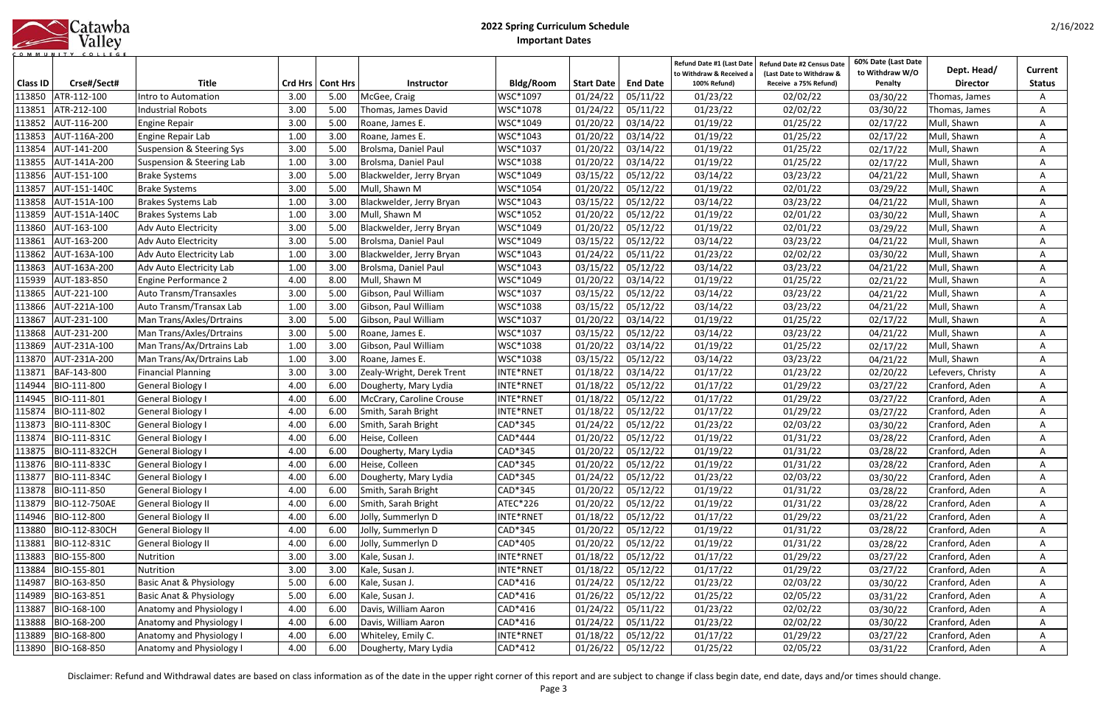|           |  |  |  | Catawba |  |  |  |  |
|-----------|--|--|--|---------|--|--|--|--|
|           |  |  |  | Valley  |  |  |  |  |
| COMMUNITY |  |  |  | COLLEGE |  |  |  |  |

| <b>Class ID</b> | Crse#/Sect#         | <b>Title</b>                         |      | Crd Hrs   Cont Hrs | <b>Instructor</b>         | <b>Bldg/Room</b> | <b>Start Date</b>   | <b>End Date</b> | Refund Date #1 (Last Date<br>to Withdraw & Received a<br>100% Refund) | <b>Refund Date #2 Census Date</b><br>(Last Date to Withdraw &<br>Receive a 75% Refund) | 60% Date (Last Date<br>to Withdraw W/O<br>Penalty | Dept. Head/<br><b>Director</b> | Current<br><b>Status</b> |
|-----------------|---------------------|--------------------------------------|------|--------------------|---------------------------|------------------|---------------------|-----------------|-----------------------------------------------------------------------|----------------------------------------------------------------------------------------|---------------------------------------------------|--------------------------------|--------------------------|
| 113850          | ATR-112-100         | Intro to Automation                  | 3.00 | 5.00               | McGee, Craig              | WSC*1097         | 01/24/22            | 05/11/22        | 01/23/22                                                              | 02/02/22                                                                               | 03/30/22                                          | Thomas, James                  | Α                        |
| 113851          | ATR-212-100         | <b>Industrial Robots</b>             | 3.00 | 5.00               | Thomas, James David       | WSC*1078         | 01/24/22            | 05/11/22        | 01/23/22                                                              | 02/02/22                                                                               | 03/30/22                                          | Thomas, James                  | A                        |
| 113852          | AUT-116-200         | Engine Repair                        | 3.00 | 5.00               | Roane, James E.           | WSC*1049         | 01/20/22            | 03/14/22        | 01/19/22                                                              | 01/25/22                                                                               | 02/17/22                                          | Mull, Shawn                    | A                        |
| 113853          | AUT-116A-200        | Engine Repair Lab                    | 1.00 | 3.00               | Roane, James E.           | WSC*1043         | 01/20/22            | 03/14/22        | 01/19/22                                                              | 01/25/22                                                                               | 02/17/22                                          | Mull, Shawn                    | A                        |
| 113854          | AUT-141-200         | <b>Suspension &amp; Steering Sys</b> | 3.00 | 5.00               | Brolsma, Daniel Paul      | WSC*1037         | 01/20/22            | 03/14/22        | 01/19/22                                                              | 01/25/22                                                                               | 02/17/22                                          | Mull, Shawn                    | A                        |
| 113855          | AUT-141A-200        | Suspension & Steering Lab            | 1.00 | 3.00               | Brolsma, Daniel Paul      | WSC*1038         | 01/20/22            | 03/14/22        | 01/19/22                                                              | 01/25/22                                                                               | 02/17/22                                          | Mull, Shawn                    | A                        |
| 113856          | AUT-151-100         | <b>Brake Systems</b>                 | 3.00 | 5.00               | Blackwelder, Jerry Bryan  | WSC*1049         | 03/15/22            | 05/12/22        | 03/14/22                                                              | 03/23/22                                                                               | 04/21/22                                          | Mull, Shawn                    | A                        |
| 113857          | AUT-151-140C        | <b>Brake Systems</b>                 | 3.00 | 5.00               | Mull, Shawn M             | WSC*1054         | 01/20/22            | 05/12/22        | 01/19/22                                                              | 02/01/22                                                                               | 03/29/22                                          | Mull, Shawn                    | A                        |
| 113858          | AUT-151A-100        | Brakes Systems Lab                   | 1.00 | 3.00               | Blackwelder, Jerry Bryan  | WSC*1043         | 03/15/22            | 05/12/22        | 03/14/22                                                              | 03/23/22                                                                               | 04/21/22                                          | Mull, Shawn                    | A                        |
| 113859          | AUT-151A-140C       | <b>Brakes Systems Lab</b>            | 1.00 | 3.00               | Mull, Shawn M             | WSC*1052         | 01/20/22            | 05/12/22        | 01/19/22                                                              | 02/01/22                                                                               | 03/30/22                                          | Mull, Shawn                    | A                        |
| 113860          | AUT-163-100         | Adv Auto Electricity                 | 3.00 | 5.00               | Blackwelder, Jerry Bryan  | WSC*1049         | 01/20/22            | 05/12/22        | 01/19/22                                                              | 02/01/22                                                                               | 03/29/22                                          | Mull, Shawn                    | A                        |
| 113861          | AUT-163-200         | Adv Auto Electricity                 | 3.00 | 5.00               | Brolsma, Daniel Paul      | WSC*1049         | 03/15/22            | 05/12/22        | 03/14/22                                                              | 03/23/22                                                                               | 04/21/22                                          | Mull, Shawn                    |                          |
| 113862          | AUT-163A-100        | Adv Auto Electricity Lab             | 1.00 | 3.00               | Blackwelder, Jerry Bryan  | WSC*1043         | 01/24/22            | 05/11/22        | 01/23/22                                                              | 02/02/22                                                                               | 03/30/22                                          | Mull, Shawn                    |                          |
| 113863          | AUT-163A-200        | Adv Auto Electricity Lab             | 1.00 | 3.00               | Brolsma, Daniel Paul      | WSC*1043         | 03/15/22            | 05/12/22        | 03/14/22                                                              | 03/23/22                                                                               | 04/21/22                                          | Mull, Shawn                    |                          |
| 115939          | AUT-183-850         | <b>Engine Performance 2</b>          | 4.00 | 8.00               | Mull, Shawn M             | WSC*1049         | 01/20/22            | 03/14/22        | 01/19/22                                                              | 01/25/22                                                                               | 02/21/22                                          | Mull, Shawn                    |                          |
| 113865          | AUT-221-100         | Auto Transm/Transaxles               | 3.00 | 5.00               | Gibson, Paul William      | WSC*1037         | 03/15/22            | 05/12/22        | 03/14/22                                                              | 03/23/22                                                                               | 04/21/22                                          | Mull, Shawn                    | A                        |
| 113866          | AUT-221A-100        | Auto Transm/Transax Lab              | 1.00 | 3.00               | Gibson, Paul William      | WSC*1038         | 03/15/22            | 05/12/22        | 03/14/22                                                              | 03/23/22                                                                               | 04/21/22                                          | Mull, Shawn                    |                          |
| 113867          | AUT-231-100         | Man Trans/Axles/Drtrains             | 3.00 | 5.00               | Gibson, Paul William      | WSC*1037         | 01/20/22            | 03/14/22        | 01/19/22                                                              | 01/25/22                                                                               | 02/17/22                                          | Mull, Shawn                    |                          |
| 113868          | AUT-231-200         | Man Trans/Axles/Drtrains             | 3.00 | 5.00               | Roane, James E.           | WSC*1037         | 03/15/22            | 05/12/22        | 03/14/22                                                              | 03/23/22                                                                               | 04/21/22                                          | Mull, Shawn                    | A                        |
| 113869          | AUT-231A-100        | Man Trans/Ax/Drtrains Lab            | 1.00 | 3.00               | Gibson, Paul William      | WSC*1038         | 01/20/22            | 03/14/22        | 01/19/22                                                              | 01/25/22                                                                               | 02/17/22                                          | Mull, Shawn                    |                          |
| 113870          | AUT-231A-200        | Man Trans/Ax/Drtrains Lab            | 1.00 | 3.00               | Roane, James E.           | WSC*1038         | 03/15/22            | 05/12/22        | 03/14/22                                                              | 03/23/22                                                                               | 04/21/22                                          | Mull, Shawn                    | A                        |
| 113871          | BAF-143-800         | <b>Financial Planning</b>            | 3.00 | 3.00               | Zealy-Wright, Derek Trent | INTE*RNET        | 01/18/22            | 03/14/22        | 01/17/22                                                              | 01/23/22                                                                               | 02/20/22                                          | Lefevers, Christy              | A                        |
| 114944          | BIO-111-800         | <b>General Biology I</b>             | 4.00 | 6.00               | Dougherty, Mary Lydia     | INTE*RNET        | 01/18/22            | 05/12/22        | 01/17/22                                                              | 01/29/22                                                                               | 03/27/22                                          | Cranford, Aden                 | A                        |
| 114945          | BIO-111-801         | <b>General Biology I</b>             | 4.00 | 6.00               | McCrary, Caroline Crouse  | INTE*RNET        | 01/18/22            | 05/12/22        | 01/17/22                                                              | 01/29/22                                                                               | 03/27/22                                          | Cranford, Aden                 | A                        |
| 115874          | BIO-111-802         | General Biology I                    | 4.00 | 6.00               | Smith, Sarah Bright       | INTE*RNET        | 01/18/22            | 05/12/22        | 01/17/22                                                              | 01/29/22                                                                               | 03/27/22                                          | Cranford, Aden                 | A                        |
| 113873          | BIO-111-830C        | <b>General Biology I</b>             | 4.00 | 6.00               | Smith, Sarah Bright       | CAD*345          | 01/24/22            | 05/12/22        | 01/23/22                                                              | 02/03/22                                                                               | 03/30/22                                          | Cranford, Aden                 | A                        |
| 113874          | BIO-111-831C        | <b>General Biology I</b>             | 4.00 | 6.00               | Heise, Colleen            | CAD*444          | 01/20/22            | 05/12/22        | 01/19/22                                                              | 01/31/22                                                                               | 03/28/22                                          | Cranford, Aden                 | Α                        |
| 113875          | BIO-111-832CH       | <b>General Biology I</b>             | 4.00 | 6.00               | Dougherty, Mary Lydia     | CAD*345          | 01/20/22            | 05/12/22        | 01/19/22                                                              | 01/31/22                                                                               | 03/28/22                                          | Cranford, Aden                 | A                        |
|                 | 113876 BIO-111-833C | General Biology I                    | 4.00 | 6.00               | Heise, Colleen            | CAD*345          | $01/20/22$ 05/12/22 |                 | 01/19/22                                                              | 01/31/22                                                                               | 03/28/22                                          | Cranford, Aden                 | A                        |
| 113877          | BIO-111-834C        | <b>General Biology I</b>             | 4.00 | 6.00               | Dougherty, Mary Lydia     | CAD*345          | 01/24/22            | 05/12/22        | 01/23/22                                                              | 02/03/22                                                                               | 03/30/22                                          | Cranford, Aden                 | A                        |
| 113878          | BIO-111-850         | <b>General Biology I</b>             | 4.00 | 6.00               | Smith, Sarah Bright       | CAD*345          | 01/20/22            | 05/12/22        | 01/19/22                                                              | 01/31/22                                                                               | 03/28/22                                          | Cranford, Aden                 | A                        |
| 113879          | BIO-112-750AE       | <b>General Biology II</b>            | 4.00 | 6.00               | Smith, Sarah Bright       | ATEC*226         | 01/20/22            | 05/12/22        | 01/19/22                                                              | 01/31/22                                                                               | 03/28/22                                          | Cranford, Aden                 | Α                        |
| 114946          | BIO-112-800         | <b>General Biology II</b>            | 4.00 | 6.00               | Jolly, Summerlyn D        | INTE*RNET        | 01/18/22            | 05/12/22        | 01/17/22                                                              | 01/29/22                                                                               | 03/21/22                                          | Cranford, Aden                 | A                        |
| 113880          | BIO-112-830CH       | <b>General Biology II</b>            | 4.00 | 6.00               | Jolly, Summerlyn D        | CAD*345          | 01/20/22            | 05/12/22        | 01/19/22                                                              | 01/31/22                                                                               | 03/28/22                                          | Cranford, Aden                 | A                        |
| 113881          | BIO-112-831C        | <b>General Biology II</b>            | 4.00 | 6.00               | Jolly, Summerlyn D        | CAD*405          | 01/20/22            | 05/12/22        | 01/19/22                                                              | 01/31/22                                                                               | 03/28/22                                          | Cranford, Aden                 | A                        |
| 113883          | BIO-155-800         | Nutrition                            | 3.00 | 3.00               | Kale, Susan J.            | INTE*RNET        | 01/18/22            | 05/12/22        | 01/17/22                                                              | 01/29/22                                                                               | 03/27/22                                          | Cranford, Aden                 | A                        |
| 113884          | BIO-155-801         | Nutrition                            | 3.00 | 3.00               | Kale, Susan J.            | INTE*RNET        | 01/18/22            | 05/12/22        | 01/17/22                                                              | 01/29/22                                                                               | 03/27/22                                          | Cranford, Aden                 | A                        |
| 114987          | BIO-163-850         | <b>Basic Anat &amp; Physiology</b>   | 5.00 | 6.00               | Kale, Susan J.            | CAD*416          | 01/24/22            | 05/12/22        | 01/23/22                                                              | 02/03/22                                                                               | 03/30/22                                          | Cranford, Aden                 | Α                        |
| 114989          | BIO-163-851         | <b>Basic Anat &amp; Physiology</b>   | 5.00 | 6.00               | Kale, Susan J.            | CAD*416          | 01/26/22            | 05/12/22        | 01/25/22                                                              | 02/05/22                                                                               | 03/31/22                                          | Cranford, Aden                 | A                        |
| 113887          | BIO-168-100         | Anatomy and Physiology I             | 4.00 | 6.00               | Davis, William Aaron      | CAD*416          | 01/24/22            | 05/11/22        | 01/23/22                                                              | 02/02/22                                                                               | 03/30/22                                          | Cranford, Aden                 | A                        |
| 113888          | BIO-168-200         | Anatomy and Physiology I             | 4.00 | 6.00               | Davis, William Aaron      | CAD*416          | 01/24/22            | 05/11/22        | 01/23/22                                                              | 02/02/22                                                                               | 03/30/22                                          | Cranford, Aden                 | A                        |
| 113889          | BIO-168-800         | Anatomy and Physiology I             | 4.00 | 6.00               | Whiteley, Emily C.        | INTE*RNET        | 01/18/22            | 05/12/22        | 01/17/22                                                              | 01/29/22                                                                               | 03/27/22                                          | Cranford, Aden                 | A                        |
| 113890          | BIO-168-850         | Anatomy and Physiology I             | 4.00 | 6.00               | Dougherty, Mary Lydia     | CAD*412          | 01/26/22            | 05/12/22        | 01/25/22                                                              | 02/05/22                                                                               | 03/31/22                                          | Cranford, Aden                 | A                        |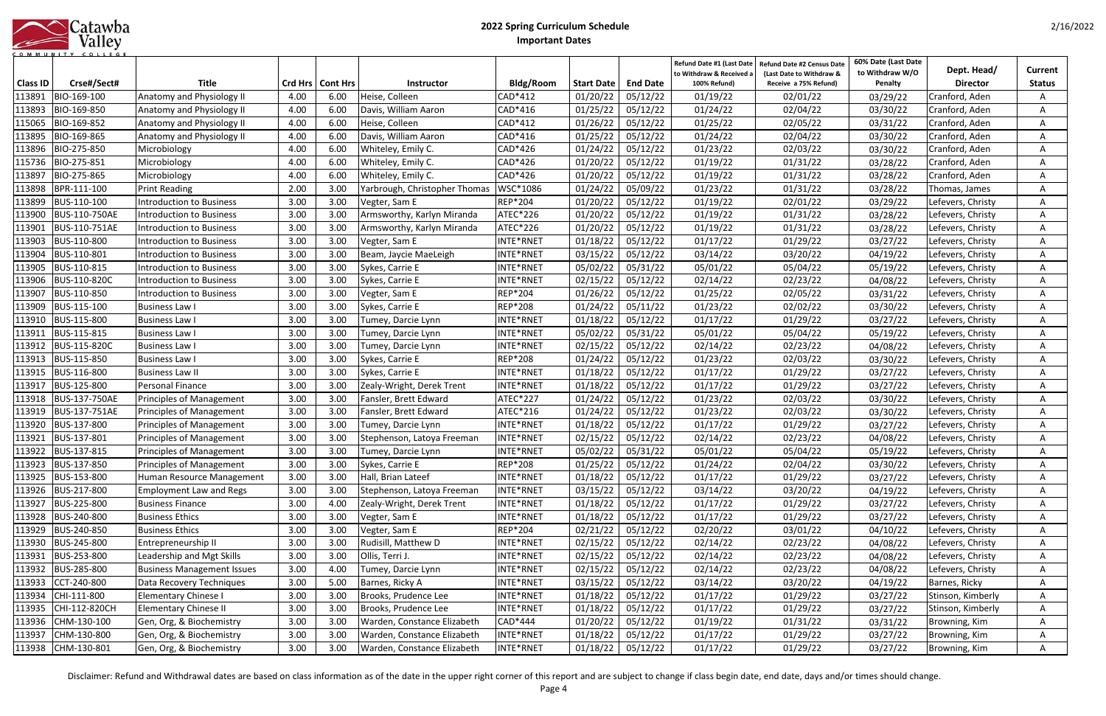|                  | Catawba |
|------------------|---------|
|                  | Valley  |
| <b>COMMUNITY</b> | COLLEGE |

|                 |                      |                                   |         |                 |                               |                 |                     |                 | Refund Date #1 (Last Date              | <b>Refund Date #2 Census Date</b>                 | 60% Date (Last Date               | Dept. Head/       | Current       |
|-----------------|----------------------|-----------------------------------|---------|-----------------|-------------------------------|-----------------|---------------------|-----------------|----------------------------------------|---------------------------------------------------|-----------------------------------|-------------------|---------------|
| <b>Class ID</b> | Crse#/Sect#          | <b>Title</b>                      | Crd Hrs | <b>Cont Hrs</b> | <b>Instructor</b>             | Bldg/Room       | Start Date          | <b>End Date</b> | to Withdraw & Received<br>100% Refund) | (Last Date to Withdraw &<br>Receive a 75% Refund) | to Withdraw W/O<br><b>Penalty</b> | <b>Director</b>   | <b>Status</b> |
| 113891          | BIO-169-100          | Anatomy and Physiology II         | 4.00    | 6.00            | Heise, Colleen                | CAD*412         | 01/20/22            | 05/12/22        | 01/19/22                               | 02/01/22                                          | 03/29/22                          | Cranford, Aden    | A             |
| 113893          | BIO-169-850          | Anatomy and Physiology II         | 4.00    | 6.00            | Davis, William Aaron          | CAD*416         | 01/25/22            | 05/12/22        | 01/24/22                               | 02/04/22                                          | 03/30/22                          | Cranford, Aden    |               |
| 115065          | BIO-169-852          | Anatomy and Physiology II         | 4.00    | 6.00            | Heise, Colleen                | CAD*412         | 01/26/22            | 05/12/22        | 01/25/22                               | 02/05/22                                          | 03/31/22                          | Cranford, Aden    | Α             |
| 113895          | BIO-169-865          | Anatomy and Physiology II         | 4.00    | 6.00            | Davis, William Aaron          | CAD*416         | 01/25/22            | 05/12/22        | 01/24/22                               | 02/04/22                                          | 03/30/22                          | Cranford, Aden    |               |
| 113896          | BIO-275-850          | Microbiology                      | 4.00    | 6.00            | Whiteley, Emily C.            | CAD*426         | 01/24/22            | 05/12/22        | 01/23/22                               | 02/03/22                                          | 03/30/22                          | Cranford, Aden    | A             |
| 115736          | BIO-275-851          | Microbiology                      | 4.00    | 6.00            | Whiteley, Emily C.            | CAD*426         | 01/20/22            | 05/12/22        | 01/19/22                               | 01/31/22                                          | 03/28/22                          | Cranford, Aden    | A             |
| 113897          | BIO-275-865          | Microbiology                      | 4.00    | 6.00            | Whiteley, Emily C.            | CAD*426         | 01/20/22            | 05/12/22        | 01/19/22                               | 01/31/22                                          | 03/28/22                          | Cranford, Aden    | A             |
| 113898          | BPR-111-100          | <b>Print Reading</b>              | 2.00    | 3.00            | Yarbrough, Christopher Thomas | WSC*1086        | 01/24/22            | 05/09/22        | 01/23/22                               | 01/31/22                                          | 03/28/22                          | Thomas, James     | A             |
| 113899          | BUS-110-100          | <b>Introduction to Business</b>   | 3.00    | 3.00            | Vegter, Sam E                 | <b>REP*204</b>  | 01/20/22            | 05/12/22        | 01/19/22                               | 02/01/22                                          | 03/29/22                          | Lefevers, Christy |               |
| 113900          | BUS-110-750AE        | Introduction to Business          | 3.00    | 3.00            | Armsworthy, Karlyn Miranda    | ATEC*226        | 01/20/22            | 05/12/22        | 01/19/22                               | 01/31/22                                          | 03/28/22                          | Lefevers, Christy |               |
| 113901          | BUS-110-751AE        | ntroduction to Business           | 3.00    | 3.00            | Armsworthy, Karlyn Miranda    | ATEC*226        | 01/20/22            | 05/12/22        | 01/19/22                               | 01/31/22                                          | 03/28/22                          | Lefevers, Christy | A             |
| 113903          | BUS-110-800          | <b>Introduction to Business</b>   | 3.00    | 3.00            | Vegter, Sam E                 | INTE*RNET       | 01/18/22            | 05/12/22        | 01/17/22                               | 01/29/22                                          | 03/27/22                          | Lefevers, Christy | A             |
| 113904          | BUS-110-801          | Introduction to Business          | 3.00    | 3.00            | Beam, Jaycie MaeLeigh         | INTE*RNET       | 03/15/22            | 05/12/22        | 03/14/22                               | 03/20/22                                          | 04/19/22                          | Lefevers, Christy | A             |
| 113905          | BUS-110-815          | Introduction to Business          | 3.00    | 3.00            | Sykes, Carrie E               | INTE*RNET       | 05/02/22            | 05/31/22        | 05/01/22                               | 05/04/22                                          | 05/19/22                          | Lefevers, Christy | A             |
| 113906          | <b>BUS-110-820C</b>  | <b>Introduction to Business</b>   | 3.00    | 3.00            | Sykes, Carrie E               | INTE*RNET       | 02/15/22            | 05/12/22        | 02/14/22                               | 02/23/22                                          | 04/08/22                          | Lefevers, Christy | A             |
| 113907          | BUS-110-850          | <b>Introduction to Business</b>   | 3.00    | 3.00            | Vegter, Sam E                 | <b>REP*204</b>  | 01/26/22            | 05/12/22        | 01/25/22                               | 02/05/22                                          | 03/31/22                          | Lefevers, Christy | Α             |
| 113909          | BUS-115-100          | <b>Business Law I</b>             | 3.00    | 3.00            | Sykes, Carrie E               | <b>REP*208</b>  | 01/24/22            | 05/11/22        | 01/23/22                               | 02/02/22                                          | 03/30/22                          | Lefevers, Christy | A             |
| 113910          | BUS-115-800          | <b>Business Law I</b>             | 3.00    | 3.00            | Tumey, Darcie Lynn            | INTE*RNET       | 01/18/22            | 05/12/22        | 01/17/22                               | 01/29/22                                          | 03/27/22                          | Lefevers, Christy | A             |
| <u> 113911</u>  | BUS-115-815          | <b>Business Law I</b>             | 3.00    | 3.00            | Tumey, Darcie Lynn            | INTE*RNET       | 05/02/22            | 05/31/22        | 05/01/22                               | 05/04/22                                          | 05/19/22                          | Lefevers, Christy | A             |
| 113912          | <b>BUS-115-820C</b>  | <b>Business Law I</b>             | 3.00    | 3.00            | Tumey, Darcie Lynn            | INTE*RNET       | 02/15/22            | 05/12/22        | 02/14/22                               | 02/23/22                                          | 04/08/22                          | Lefevers, Christy | A             |
| 113913          | <b>BUS-115-850</b>   | <b>Business Law I</b>             | 3.00    | 3.00            | Sykes, Carrie E               | <b>REP*208</b>  | 01/24/22            | 05/12/22        | 01/23/22                               | 02/03/22                                          | 03/30/22                          | Lefevers, Christy | A             |
| 113915          | BUS-116-800          | <b>Business Law II</b>            | 3.00    | 3.00            | Sykes, Carrie E               | INTE*RNET       | 01/18/22            | 05/12/22        | 01/17/22                               | 01/29/22                                          | 03/27/22                          | Lefevers, Christy | Α             |
| 113917          | BUS-125-800          | Personal Finance                  | 3.00    | 3.00            | Zealy-Wright, Derek Trent     | INTE*RNET       | 01/18/22            | 05/12/22        | 01/17/22                               | 01/29/22                                          | 03/27/22                          | Lefevers, Christy | A             |
| 113918          | <b>BUS-137-750AE</b> | <b>Principles of Management</b>   | 3.00    | 3.00            | Fansler, Brett Edward         | <b>ATEC*227</b> | 01/24/22            | 05/12/22        | 01/23/22                               | 02/03/22                                          | 03/30/22                          | Lefevers, Christy | A             |
| 113919          | <b>BUS-137-751AE</b> | <b>Principles of Management</b>   | 3.00    | 3.00            | Fansler, Brett Edward         | ATEC*216        | 01/24/22            | 05/12/22        | 01/23/22                               | 02/03/22                                          | 03/30/22                          | Lefevers, Christy | A             |
| 113920          | BUS-137-800          | <b>Principles of Management</b>   | 3.00    | 3.00            | Tumey, Darcie Lynn            | INTE*RNET       | 01/18/22            | 05/12/22        | 01/17/22                               | 01/29/22                                          | 03/27/22                          | Lefevers, Christy | A             |
| 113921          | BUS-137-801          | <b>Principles of Management</b>   | 3.00    | 3.00            | Stephenson, Latoya Freeman    | INTE*RNET       | 02/15/22            | 05/12/22        | 02/14/22                               | 02/23/22                                          | 04/08/22                          | Lefevers, Christy | A             |
| 113922          | BUS-137-815          | Principles of Management          | 3.00    | 3.00            | Tumey, Darcie Lynn            | INTE*RNET       | 05/02/22            | 05/31/22        | 05/01/22                               | 05/04/22                                          | 05/19/22                          | Lefevers, Christy | A             |
|                 | 113923 BUS-137-850   | Principles of Management          | 3.00    | 3.00            | Sykes, Carrie E               | REP*208         | $01/25/22$ 05/12/22 |                 | 01/24/22                               | 02/04/22                                          | 03/30/22                          | Lefevers, Christy | A             |
| 113925          | BUS-153-800          | Human Resource Management         | 3.00    | 3.00            | Hall, Brian Lateef            | INTE*RNET       | 01/18/22            | 05/12/22        | 01/17/22                               | 01/29/22                                          | 03/27/22                          | Lefevers, Christy | A             |
| 113926          | BUS-217-800          | <b>Employment Law and Regs</b>    | 3.00    | 3.00            | Stephenson, Latoya Freeman    | INTE*RNET       | 03/15/22            | 05/12/22        | 03/14/22                               | 03/20/22                                          | 04/19/22                          | Lefevers, Christy | A             |
| 113927          | BUS-225-800          | <b>Business Finance</b>           | 3.00    | 4.00            | Zealy-Wright, Derek Trent     | INTE*RNET       | 01/18/22            | 05/12/22        | 01/17/22                               | 01/29/22                                          | 03/27/22                          | Lefevers, Christy | A             |
| 113928          | BUS-240-800          | <b>Business Ethics</b>            | 3.00    | 3.00            | Vegter, Sam E                 | INTE*RNET       | 01/18/22            | 05/12/22        | 01/17/22                               | 01/29/22                                          | 03/27/22                          | Lefevers, Christy | Α             |
| 113929          | BUS-240-850          | <b>Business Ethics</b>            | 3.00    | 3.00            | Vegter, Sam E                 | <b>REP*204</b>  | 02/21/22            | 05/12/22        | 02/20/22                               | 03/01/22                                          | 04/10/22                          | Lefevers, Christy | A             |
| 113930          | BUS-245-800          | Entrepreneurship II               | 3.00    | 3.00            | Rudisill, Matthew D           | INTE*RNET       | 02/15/22            | 05/12/22        | 02/14/22                               | 02/23/22                                          | 04/08/22                          | Lefevers, Christy | A             |
| 113931          | BUS-253-800          | Leadership and Mgt Skills         | 3.00    | 3.00            | Ollis, Terri J.               | INTE*RNET       | 02/15/22            | 05/12/22        | 02/14/22                               | 02/23/22                                          | 04/08/22                          | Lefevers, Christy | A             |
| 113932          | BUS-285-800          | <b>Business Management Issues</b> | 3.00    | 4.00            | Tumey, Darcie Lynn            | INTE*RNET       | 02/15/22            | 05/12/22        | 02/14/22                               | 02/23/22                                          | 04/08/22                          | Lefevers, Christy | A             |
| 113933          | CCT-240-800          | Data Recovery Techniques          | 3.00    | 5.00            | Barnes, Ricky A               | INTE*RNET       | 03/15/22            | 05/12/22        | 03/14/22                               | 03/20/22                                          | 04/19/22                          | Barnes, Ricky     | A             |
| 113934          | CHI-111-800          | Elementary Chinese I              | 3.00    | 3.00            | Brooks, Prudence Lee          | INTE*RNET       | 01/18/22            | 05/12/22        | 01/17/22                               | 01/29/22                                          | 03/27/22                          | Stinson, Kimberly | A             |
| 113935          | CHI-112-820CH        | <b>Elementary Chinese II</b>      | 3.00    | 3.00            | Brooks, Prudence Lee          | INTE*RNET       | 01/18/22            | 05/12/22        | 01/17/22                               | 01/29/22                                          | 03/27/22                          | Stinson, Kimberly | A             |
|                 | 113936 CHM-130-100   | Gen, Org, & Biochemistry          | 3.00    | 3.00            | Warden, Constance Elizabeth   | CAD*444         | 01/20/22            | 05/12/22        | 01/19/22                               | 01/31/22                                          | 03/31/22                          | Browning, Kim     | A             |
| 113937          | CHM-130-800          | Gen, Org, & Biochemistry          | 3.00    | 3.00            | Warden, Constance Elizabeth   | INTE*RNET       | 01/18/22            | 05/12/22        | 01/17/22                               | 01/29/22                                          | 03/27/22                          | Browning, Kim     | A             |
|                 | 113938 CHM-130-801   | Gen, Org, & Biochemistry          | 3.00    | 3.00            | Warden, Constance Elizabeth   | INTE*RNET       | 01/18/22            | 05/12/22        | 01/17/22                               | 01/29/22                                          | 03/27/22                          | Browning, Kim     | A             |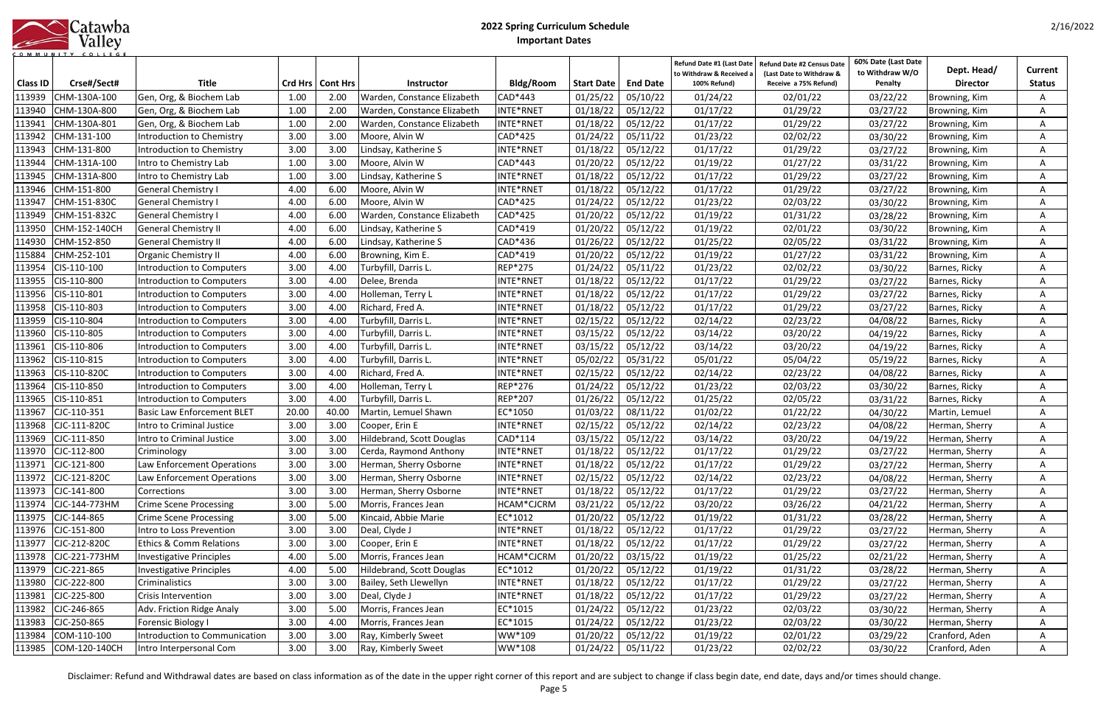|      | Catawba |
|------|---------|
|      | Valley  |
| - MU |         |

| <b>Class ID</b> | Crse#/Sect#        | <b>Title</b>                       |       | Crd Hrs   Cont Hrs | <b>Instructor</b>           | <b>Bldg/Room</b> | <b>Start Date</b> | <b>End Date</b>     | Refund Date #1 (Last Date<br>to Withdraw & Received a<br>100% Refund) | <b>Refund Date #2 Census Date</b><br>(Last Date to Withdraw &<br>Receive a 75% Refund) | 60% Date (Last Date<br>to Withdraw W/O<br>Penalty | Dept. Head/<br><b>Director</b> | Current<br><b>Status</b> |
|-----------------|--------------------|------------------------------------|-------|--------------------|-----------------------------|------------------|-------------------|---------------------|-----------------------------------------------------------------------|----------------------------------------------------------------------------------------|---------------------------------------------------|--------------------------------|--------------------------|
| 113939          | CHM-130A-100       | Gen, Org, & Biochem Lab            | 1.00  | 2.00               | Warden, Constance Elizabeth | CAD*443          | 01/25/22          | 05/10/22            | 01/24/22                                                              | 02/01/22                                                                               | 03/22/22                                          | Browning, Kim                  | A                        |
| 113940          | CHM-130A-800       | Gen, Org, & Biochem Lab            | 1.00  | 2.00               | Warden, Constance Elizabeth | INTE*RNET        | 01/18/22          | 05/12/22            | 01/17/22                                                              | 01/29/22                                                                               | 03/27/22                                          | Browning, Kim                  | A                        |
| 113941          | CHM-130A-801       | Gen, Org, & Biochem Lab            | 1.00  | 2.00               | Warden, Constance Elizabeth | INTE*RNET        | 01/18/22          | 05/12/22            | 01/17/22                                                              | 01/29/22                                                                               | 03/27/22                                          | Browning, Kim                  | A                        |
| 113942          | CHM-131-100        | Introduction to Chemistry          | 3.00  | 3.00               | Moore, Alvin W              | CAD*425          | 01/24/22          | 05/11/22            | 01/23/22                                                              | 02/02/22                                                                               | 03/30/22                                          | Browning, Kim                  | A                        |
| 113943          | CHM-131-800        | Introduction to Chemistry          | 3.00  | 3.00               | Lindsay, Katherine S        | INTE*RNET        | 01/18/22          | 05/12/22            | 01/17/22                                                              | 01/29/22                                                                               | 03/27/22                                          | Browning, Kim                  | A                        |
| 113944          | CHM-131A-100       | Intro to Chemistry Lab             | 1.00  | 3.00               | Moore, Alvin W              | CAD*443          | 01/20/22          | 05/12/22            | 01/19/22                                                              | 01/27/22                                                                               | 03/31/22                                          | Browning, Kim                  | A                        |
| 113945          | CHM-131A-800       | Intro to Chemistry Lab             | 1.00  | 3.00               | Lindsay, Katherine S        | INTE*RNET        | 01/18/22          | 05/12/22            | 01/17/22                                                              | 01/29/22                                                                               | 03/27/22                                          | Browning, Kim                  | A                        |
| 113946          | CHM-151-800        | <b>General Chemistry I</b>         | 4.00  | 6.00               | Moore, Alvin W              | INTE*RNET        | 01/18/22          | 05/12/22            | 01/17/22                                                              | 01/29/22                                                                               | 03/27/22                                          | Browning, Kim                  | A                        |
| 113947          | CHM-151-830C       | <b>General Chemistry I</b>         | 4.00  | 6.00               | Moore, Alvin W              | CAD*425          | 01/24/22          | 05/12/22            | 01/23/22                                                              | 02/03/22                                                                               | 03/30/22                                          | Browning, Kim                  | A                        |
| 113949          | CHM-151-832C       | <b>General Chemistry I</b>         | 4.00  | 6.00               | Warden, Constance Elizabeth | CAD*425          | 01/20/22          | 05/12/22            | 01/19/22                                                              | 01/31/22                                                                               | 03/28/22                                          | Browning, Kim                  | A                        |
| 113950          | CHM-152-140CH      | <b>General Chemistry II</b>        | 4.00  | 6.00               | Lindsay, Katherine S        | CAD*419          | 01/20/22          | 05/12/22            | 01/19/22                                                              | 02/01/22                                                                               | 03/30/22                                          | Browning, Kim                  | A                        |
| 114930          | CHM-152-850        | <b>General Chemistry II</b>        | 4.00  | 6.00               | Lindsay, Katherine S        | CAD*436          | 01/26/22          | 05/12/22            | 01/25/22                                                              | 02/05/22                                                                               | 03/31/22                                          | Browning, Kim                  | A                        |
| 115884          | CHM-252-101        | <b>Organic Chemistry II</b>        | 4.00  | 6.00               | Browning, Kim E.            | CAD*419          | 01/20/22          | 05/12/22            | 01/19/22                                                              | 01/27/22                                                                               | 03/31/22                                          | Browning, Kim                  | A                        |
| 113954          | CIS-110-100        | Introduction to Computers          | 3.00  | 4.00               | Turbyfill, Darris L.        | REP*275          | 01/24/22          | 05/11/22            | 01/23/22                                                              | 02/02/22                                                                               | 03/30/22                                          | Barnes, Ricky                  | A                        |
| 113955          | CIS-110-800        | Introduction to Computers          | 3.00  | 4.00               | Delee, Brenda               | INTE*RNET        | 01/18/22          | 05/12/22            | 01/17/22                                                              | 01/29/22                                                                               | 03/27/22                                          | Barnes, Ricky                  |                          |
| 113956          | CIS-110-801        | Introduction to Computers          | 3.00  | 4.00               | Holleman, Terry L           | INTE*RNET        | 01/18/22          | 05/12/22            | 01/17/22                                                              | 01/29/22                                                                               | 03/27/22                                          | Barnes, Ricky                  | A                        |
| 113958          | CIS-110-803        | Introduction to Computers          | 3.00  | 4.00               | Richard, Fred A.            | INTE*RNET        | 01/18/22          | 05/12/22            | 01/17/22                                                              | 01/29/22                                                                               | 03/27/22                                          | Barnes, Ricky                  | A                        |
| 113959          | CIS-110-804        | Introduction to Computers          | 3.00  | 4.00               | Turbyfill, Darris L.        | INTE*RNET        | 02/15/22          | 05/12/22            | 02/14/22                                                              | 02/23/22                                                                               | 04/08/22                                          | Barnes, Ricky                  | A                        |
| 113960          | CIS-110-805        | Introduction to Computers          | 3.00  | 4.00               | Turbyfill, Darris L.        | INTE*RNET        | 03/15/22          | 05/12/22            | 03/14/22                                                              | 03/20/22                                                                               | 04/19/22                                          | Barnes, Ricky                  | A                        |
| 113961          | CIS-110-806        | Introduction to Computers          | 3.00  | 4.00               | Turbyfill, Darris L.        | INTE*RNET        | 03/15/22          | 05/12/22            | 03/14/22                                                              | 03/20/22                                                                               | 04/19/22                                          | Barnes, Ricky                  | A                        |
| 113962          | CIS-110-815        | Introduction to Computers          | 3.00  | 4.00               | Turbyfill, Darris L.        | INTE*RNET        | 05/02/22          | 05/31/22            | 05/01/22                                                              | 05/04/22                                                                               | 05/19/22                                          | Barnes, Ricky                  | A                        |
| 113963          | CIS-110-820C       | Introduction to Computers          | 3.00  | 4.00               | Richard, Fred A.            | INTE*RNET        | 02/15/22          | 05/12/22            | 02/14/22                                                              | 02/23/22                                                                               | 04/08/22                                          | Barnes, Ricky                  | A                        |
| 113964          | CIS-110-850        | Introduction to Computers          | 3.00  | 4.00               | Holleman, Terry L           | REP*276          | 01/24/22          | 05/12/22            | 01/23/22                                                              | 02/03/22                                                                               | 03/30/22                                          | Barnes, Ricky                  | A                        |
| 113965          | CIS-110-851        | Introduction to Computers          | 3.00  | 4.00               | Turbyfill, Darris L.        | REP*207          | 01/26/22          | 05/12/22            | 01/25/22                                                              | 02/05/22                                                                               | 03/31/22                                          | Barnes, Ricky                  | A                        |
| 113967          | CJC-110-351        | <b>Basic Law Enforcement BLET</b>  | 20.00 | 40.00              | Martin, Lemuel Shawn        | EC*1050          | 01/03/22          | 08/11/22            | 01/02/22                                                              | 01/22/22                                                                               | 04/30/22                                          | Martin, Lemuel                 | A                        |
| 113968          | CJC-111-820C       | Intro to Criminal Justice          | 3.00  | 3.00               | Cooper, Erin E              | INTE*RNET        | 02/15/22          | 05/12/22            | 02/14/22                                                              | 02/23/22                                                                               | 04/08/22                                          | Herman, Sherry                 |                          |
| 113969          | CJC-111-850        | Intro to Criminal Justice          | 3.00  | 3.00               | Hildebrand, Scott Douglas   | CAD*114          | 03/15/22          | 05/12/22            | 03/14/22                                                              | 03/20/22                                                                               | 04/19/22                                          | Herman, Sherry                 | Α                        |
| 113970          | CJC-112-800        | Criminology                        | 3.00  | 3.00               | Cerda, Raymond Anthony      | INTE*RNET        | 01/18/22          | 05/12/22            | 01/17/22                                                              | 01/29/22                                                                               | 03/27/22                                          | Herman, Sherry                 | A                        |
|                 | 113971 CJC-121-800 | Law Enforcement Operations         | 3.00  | 3.00               | Herman, Sherry Osborne      | INTE*RNET        |                   | $01/18/22$ 05/12/22 | 01/17/22                                                              | 01/29/22                                                                               | 03/27/22                                          | Herman, Sherry                 | A                        |
| 113972          | CJC-121-820C       | Law Enforcement Operations         | 3.00  | 3.00               | Herman, Sherry Osborne      | INTE*RNET        | 02/15/22          | 05/12/22            | 02/14/22                                                              | 02/23/22                                                                               | 04/08/22                                          | Herman, Sherry                 | A                        |
| 113973          | CJC-141-800        | Corrections                        | 3.00  | 3.00               | Herman, Sherry Osborne      | INTE*RNET        | 01/18/22          | 05/12/22            | 01/17/22                                                              | 01/29/22                                                                               | 03/27/22                                          | Herman, Sherry                 | A                        |
| 113974          | CJC-144-773HM      | <b>Crime Scene Processing</b>      | 3.00  | 5.00               | Morris, Frances Jean        | HCAM*CJCRM       | 03/21/22          | 05/12/22            | 03/20/22                                                              | 03/26/22                                                                               | 04/21/22                                          | Herman, Sherry                 | A                        |
| 113975          | CJC-144-865        | <b>Crime Scene Processing</b>      | 3.00  | 5.00               | Kincaid, Abbie Marie        | EC*1012          | 01/20/22          | 05/12/22            | 01/19/22                                                              | 01/31/22                                                                               | 03/28/22                                          | Herman, Sherry                 | A                        |
| 113976          | CJC-151-800        | Intro to Loss Prevention           | 3.00  | 3.00               | Deal, Clyde J               | INTE*RNET        | 01/18/22          | 05/12/22            | 01/17/22                                                              | 01/29/22                                                                               | 03/27/22                                          | Herman, Sherry                 | A                        |
| 113977          | CJC-212-820C       | <b>Ethics &amp; Comm Relations</b> | 3.00  | 3.00               | Cooper, Erin E              | INTE*RNET        | 01/18/22          | 05/12/22            | 01/17/22                                                              | 01/29/22                                                                               | 03/27/22                                          | Herman, Sherry                 | A                        |
| 113978          | CJC-221-773HM      | Investigative Principles           | 4.00  | 5.00               | Morris, Frances Jean        | HCAM*CJCRM       | 01/20/22          | 03/15/22            | 01/19/22                                                              | 01/25/22                                                                               | 02/21/22                                          | Herman, Sherry                 | A                        |
| 113979          | CJC-221-865        | Investigative Principles           | 4.00  | 5.00               | Hildebrand, Scott Douglas   | EC*1012          | 01/20/22          | 05/12/22            | 01/19/22                                                              | 01/31/22                                                                               | 03/28/22                                          | Herman, Sherry                 | A                        |
| 113980          | CJC-222-800        | Criminalistics                     | 3.00  | 3.00               | Bailey, Seth Llewellyn      | INTE*RNET        | 01/18/22          | 05/12/22            | 01/17/22                                                              | 01/29/22                                                                               | 03/27/22                                          | Herman, Sherry                 | Α                        |
| 113981          | CJC-225-800        | Crisis Intervention                | 3.00  | 3.00               | Deal, Clyde J               | INTE*RNET        | 01/18/22          | 05/12/22            | 01/17/22                                                              | 01/29/22                                                                               | 03/27/22                                          | Herman, Sherry                 | A                        |
| 113982          | CJC-246-865        | Adv. Friction Ridge Analy          | 3.00  | 5.00               | Morris, Frances Jean        | EC*1015          | 01/24/22          | 05/12/22            | 01/23/22                                                              | 02/03/22                                                                               | 03/30/22                                          | Herman, Sherry                 | A                        |
| 113983          | CJC-250-865        | Forensic Biology I                 | 3.00  | 4.00               | Morris, Frances Jean        | EC*1015          | 01/24/22          | 05/12/22            | 01/23/22                                                              | 02/03/22                                                                               | 03/30/22                                          | Herman, Sherry                 | A                        |
| 113984          | COM-110-100        | Introduction to Communication      | 3.00  | 3.00               | Ray, Kimberly Sweet         | WW*109           | 01/20/22          | 05/12/22            | 01/19/22                                                              | 02/01/22                                                                               | 03/29/22                                          | Cranford, Aden                 | A                        |
| 113985          | COM-120-140CH      | Intro Interpersonal Com            | 3.00  | 3.00               | Ray, Kimberly Sweet         | WW*108           | 01/24/22          | 05/11/22            | 01/23/22                                                              | 02/02/22                                                                               | 03/30/22                                          | Cranford, Aden                 | A                        |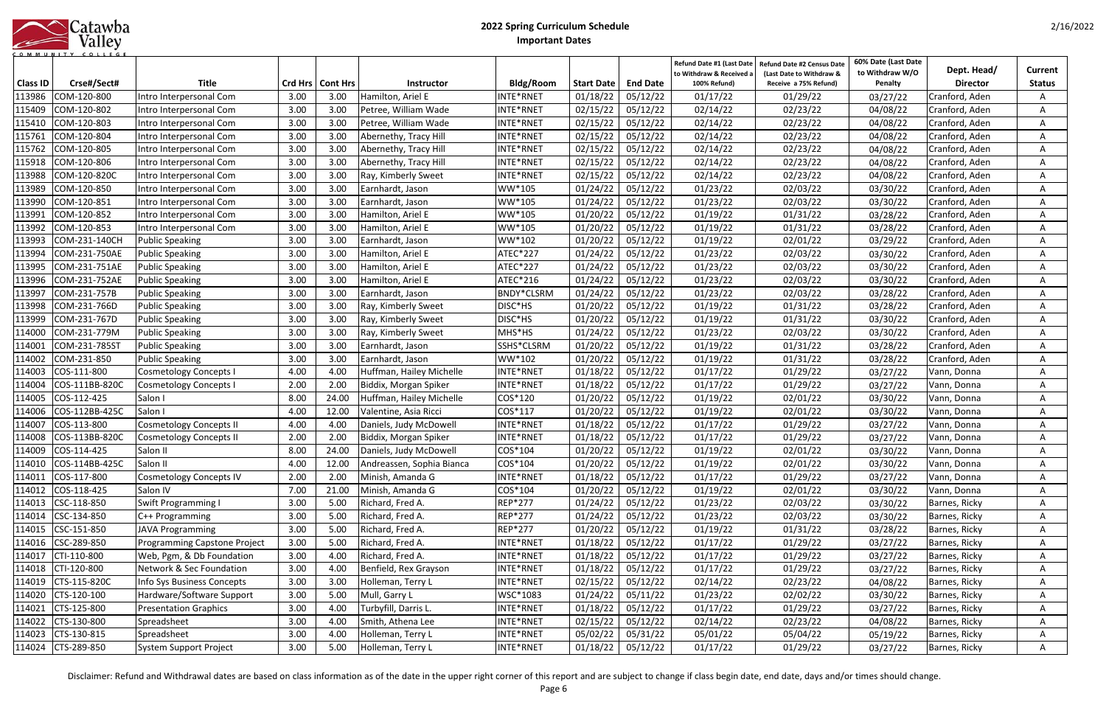|            | Catawba |
|------------|---------|
|            | Valley  |
| <b>MUN</b> |         |

|                 |                       |                                |      |                    |                           |                   |                   |                 | Refund Date #1 (Last Date<br>to Withdraw & Received a | Refund Date #2 Census Date<br>(Last Date to Withdraw & | 60% Date (Last Date<br>to Withdraw W/O | Dept. Head/     | Current       |
|-----------------|-----------------------|--------------------------------|------|--------------------|---------------------------|-------------------|-------------------|-----------------|-------------------------------------------------------|--------------------------------------------------------|----------------------------------------|-----------------|---------------|
| <b>Class ID</b> | Crse#/Sect#           | <b>Title</b>                   |      | Crd Hrs   Cont Hrs | <b>Instructor</b>         | <b>Bldg/Room</b>  | <b>Start Date</b> | <b>End Date</b> | 100% Refund)                                          | Receive a 75% Refund)                                  | Penalty                                | <b>Director</b> | <b>Status</b> |
| 113986          | COM-120-800           | Intro Interpersonal Com        | 3.00 | 3.00               | Hamilton, Ariel E         | INTE*RNET         | 01/18/22          | 05/12/22        | 01/17/22                                              | 01/29/22                                               | 03/27/22                               | Cranford, Aden  |               |
| 115409          | COM-120-802           | Intro Interpersonal Com        | 3.00 | 3.00               | Petree, William Wade      | INTE*RNET         | 02/15/22          | 05/12/22        | 02/14/22                                              | 02/23/22                                               | 04/08/22                               | Cranford, Aden  |               |
| 115410          | COM-120-803           | ntro Interpersonal Com         | 3.00 | 3.00               | Petree, William Wade      | INTE*RNET         | 02/15/22          | 05/12/22        | 02/14/22                                              | 02/23/22                                               | 04/08/22                               | Cranford, Aden  |               |
| 115761          | COM-120-804           | Intro Interpersonal Com        | 3.00 | 3.00               | Abernethy, Tracy Hill     | INTE*RNET         | 02/15/22          | 05/12/22        | 02/14/22                                              | 02/23/22                                               | 04/08/22                               | Cranford, Aden  | A             |
| 115762          | COM-120-805           | Intro Interpersonal Com        | 3.00 | 3.00               | Abernethy, Tracy Hill     | INTE*RNET         | 02/15/22          | 05/12/22        | 02/14/22                                              | 02/23/22                                               | 04/08/22                               | Cranford, Aden  | A             |
| 115918          | COM-120-806           | Intro Interpersonal Com        | 3.00 | 3.00               | Abernethy, Tracy Hill     | INTE*RNET         | 02/15/22          | 05/12/22        | 02/14/22                                              | 02/23/22                                               | 04/08/22                               | Cranford, Aden  | A             |
| 113988          | COM-120-820C          | Intro Interpersonal Com        | 3.00 | 3.00               | Ray, Kimberly Sweet       | INTE*RNET         | 02/15/22          | 05/12/22        | 02/14/22                                              | 02/23/22                                               | 04/08/22                               | Cranford, Aden  | A             |
| 113989          | COM-120-850           | Intro Interpersonal Com        | 3.00 | 3.00               | Earnhardt, Jason          | WW*105            | 01/24/22          | 05/12/22        | 01/23/22                                              | 02/03/22                                               | 03/30/22                               | Cranford, Aden  | A             |
| 113990          | COM-120-851           | Intro Interpersonal Com        | 3.00 | 3.00               | Earnhardt, Jason          | WW*105            | 01/24/22          | 05/12/22        | 01/23/22                                              | 02/03/22                                               | 03/30/22                               | Cranford, Aden  | A             |
| 113991          | COM-120-852           | Intro Interpersonal Com        | 3.00 | 3.00               | Hamilton, Ariel E         | WW*105            | 01/20/22          | 05/12/22        | 01/19/22                                              | 01/31/22                                               | 03/28/22                               | Cranford, Aden  |               |
| 113992          | COM-120-853           | ntro Interpersonal Com         | 3.00 | 3.00               | Hamilton, Ariel E         | WW*105            | 01/20/22          | 05/12/22        | 01/19/22                                              | 01/31/22                                               | 03/28/22                               | Cranford, Aden  | A             |
| 113993          | COM-231-140CH         | <b>Public Speaking</b>         | 3.00 | 3.00               | Earnhardt, Jason          | WW*102            | 01/20/22          | 05/12/22        | 01/19/22                                              | 02/01/22                                               | 03/29/22                               | Cranford, Aden  | A             |
| 113994          | COM-231-750AE         | <b>Public Speaking</b>         | 3.00 | 3.00               | Hamilton, Ariel E         | <b>ATEC*227</b>   | 01/24/22          | 05/12/22        | 01/23/22                                              | 02/03/22                                               | 03/30/22                               | Cranford, Aden  | Α             |
| 113995          | COM-231-751AE         | <b>Public Speaking</b>         | 3.00 | 3.00               | Hamilton, Ariel E         | ATEC*227          | 01/24/22          | 05/12/22        | 01/23/22                                              | 02/03/22                                               | 03/30/22                               | Cranford, Aden  | A             |
| 113996          | COM-231-752AE         | <b>Public Speaking</b>         | 3.00 | 3.00               | Hamilton, Ariel E         | ATEC*216          | 01/24/22          | 05/12/22        | 01/23/22                                              | 02/03/22                                               | 03/30/22                               | Cranford, Aden  | A             |
| 113997          | COM-231-757B          | <b>Public Speaking</b>         | 3.00 | 3.00               | Earnhardt, Jason          | <b>BNDY*CLSRM</b> | 01/24/22          | 05/12/22        | 01/23/22                                              | 02/03/22                                               | 03/28/22                               | Cranford, Aden  | A             |
| 113998          | COM-231-766D          | <b>Public Speaking</b>         | 3.00 | 3.00               | Ray, Kimberly Sweet       | DISC*HS           | 01/20/22          | 05/12/22        | 01/19/22                                              | 01/31/22                                               | 03/28/22                               | Cranford, Aden  | A             |
| 113999          | COM-231-767D          | <b>Public Speaking</b>         | 3.00 | 3.00               | Ray, Kimberly Sweet       | DISC*HS           | 01/20/22          | 05/12/22        | 01/19/22                                              | 01/31/22                                               | 03/30/22                               | Cranford, Aden  |               |
| 114000          | COM-231-779M          | <b>Public Speaking</b>         | 3.00 | 3.00               | Ray, Kimberly Sweet       | MHS*HS            | 01/24/22          | 05/12/22        | 01/23/22                                              | 02/03/22                                               | 03/30/22                               | Cranford, Aden  |               |
| 114001          | COM-231-785ST         | <b>Public Speaking</b>         | 3.00 | 3.00               | Earnhardt, Jason          | SSHS*CLSRM        | 01/20/22          | 05/12/22        | 01/19/22                                              | 01/31/22                                               | 03/28/22                               | Cranford, Aden  |               |
| 114002          | COM-231-850           | <b>Public Speaking</b>         | 3.00 | 3.00               | Earnhardt, Jason          | WW*102            | 01/20/22          | 05/12/22        | 01/19/22                                              | 01/31/22                                               | 03/28/22                               | Cranford, Aden  |               |
| 114003          | COS-111-800           | <b>Cosmetology Concepts I</b>  | 4.00 | 4.00               | Huffman, Hailey Michelle  | INTE*RNET         | 01/18/22          | 05/12/22        | 01/17/22                                              | 01/29/22                                               | 03/27/22                               | Vann, Donna     | A             |
| 114004          | COS-111BB-820C        | <b>Cosmetology Concepts I</b>  | 2.00 | 2.00               | Biddix, Morgan Spiker     | INTE*RNET         | 01/18/22          | 05/12/22        | 01/17/22                                              | 01/29/22                                               | 03/27/22                               | Vann, Donna     | A             |
| 114005          | COS-112-425           | Salon I                        | 8.00 | 24.00              | Huffman, Hailey Michelle  | COS*120           | 01/20/22          | 05/12/22        | 01/19/22                                              | 02/01/22                                               | 03/30/22                               | Vann, Donna     | A             |
| 114006          | COS-112BB-425C        | Salon I                        | 4.00 | 12.00              | Valentine, Asia Ricci     | COS*117           | 01/20/22          | 05/12/22        | 01/19/22                                              | 02/01/22                                               | 03/30/22                               | Vann, Donna     | A             |
| 114007          | COS-113-800           | Cosmetology Concepts II        | 4.00 | 4.00               | Daniels, Judy McDowell    | INTE*RNET         | 01/18/22          | 05/12/22        | 01/17/22                                              | 01/29/22                                               | 03/27/22                               | Vann, Donna     | A             |
| 114008          | COS-113BB-820C        | <b>Cosmetology Concepts II</b> | 2.00 | 2.00               | Biddix, Morgan Spiker     | INTE*RNET         | 01/18/22          | 05/12/22        | 01/17/22                                              | 01/29/22                                               | 03/27/22                               | Vann, Donna     | A             |
| 114009          | COS-114-425           | Salon II                       | 8.00 | 24.00              | Daniels, Judy McDowell    | COS*104           | 01/20/22          | 05/12/22        | 01/19/22                                              | 02/01/22                                               | 03/30/22                               | Vann, Donna     | A             |
|                 | 114010 COS-114BB-425C | Salon II                       | 4.00 | 12.00              | Andreassen, Sophia Bianca | COS*104           | 01/20/22          | 05/12/22        | 01/19/22                                              | 02/01/22                                               | 03/30/22                               | Vann, Donna     | A             |
| 114011          | COS-117-800           | <b>Cosmetology Concepts IV</b> | 2.00 | 2.00               | Minish, Amanda G          | INTE*RNET         | 01/18/22          | 05/12/22        | 01/17/22                                              | 01/29/22                                               | 03/27/22                               | Vann, Donna     | A             |
| 114012          | COS-118-425           | Salon IV                       | 7.00 | 21.00              | Minish, Amanda G          | COS*104           | 01/20/22          | 05/12/22        | 01/19/22                                              | 02/01/22                                               | 03/30/22                               | Vann, Donna     | A             |
| 114013          | CSC-118-850           | Swift Programming I            | 3.00 | 5.00               | Richard, Fred A.          | REP*277           | 01/24/22          | 05/12/22        | 01/23/22                                              | 02/03/22                                               | 03/30/22                               | Barnes, Ricky   | A             |
| 114014          | CSC-134-850           | C++ Programming                | 3.00 | 5.00               | Richard, Fred A.          | <b>REP*277</b>    | 01/24/22          | 05/12/22        | 01/23/22                                              | 02/03/22                                               | 03/30/22                               | Barnes, Ricky   | A             |
| 114015          | CSC-151-850           | <b>JAVA Programming</b>        | 3.00 | 5.00               | Richard, Fred A.          | <b>REP*277</b>    | 01/20/22          | 05/12/22        | 01/19/22                                              | 01/31/22                                               | 03/28/22                               | Barnes, Ricky   | A             |
| 114016          | CSC-289-850           | Programming Capstone Project   | 3.00 | 5.00               | Richard, Fred A.          | INTE*RNET         | 01/18/22          | 05/12/22        | 01/17/22                                              | 01/29/22                                               | 03/27/22                               | Barnes, Ricky   | A             |
| 114017          | CTI-110-800           | Web, Pgm, & Db Foundation      | 3.00 | 4.00               | Richard, Fred A.          | INTE*RNET         | 01/18/22          | 05/12/22        | 01/17/22                                              | 01/29/22                                               | 03/27/22                               | Barnes, Ricky   | A             |
| 114018          | CTI-120-800           | Network & Sec Foundation       | 3.00 | 4.00               | Benfield, Rex Grayson     | INTE*RNET         | 01/18/22          | 05/12/22        | 01/17/22                                              | 01/29/22                                               | 03/27/22                               | Barnes, Ricky   | A             |
| 114019          | CTS-115-820C          | Info Sys Business Concepts     | 3.00 | 3.00               | Holleman, Terry L         | INTE*RNET         | 02/15/22          | 05/12/22        | 02/14/22                                              | 02/23/22                                               | 04/08/22                               | Barnes, Ricky   | A             |
| 114020          | CTS-120-100           | Hardware/Software Support      | 3.00 | 5.00               | Mull, Garry L             | WSC*1083          | 01/24/22          | 05/11/22        | 01/23/22                                              | 02/02/22                                               | 03/30/22                               | Barnes, Ricky   | A             |
| 114021          | CTS-125-800           | <b>Presentation Graphics</b>   | 3.00 | 4.00               | Turbyfill, Darris L.      | INTE*RNET         | 01/18/22          | 05/12/22        | 01/17/22                                              | 01/29/22                                               | 03/27/22                               | Barnes, Ricky   | A             |
| 114022          | CTS-130-800           | Spreadsheet                    | 3.00 | 4.00               | Smith, Athena Lee         | INTE*RNET         | 02/15/22          | 05/12/22        | 02/14/22                                              | 02/23/22                                               | 04/08/22                               | Barnes, Ricky   | A             |
| 114023          | CTS-130-815           | Spreadsheet                    | 3.00 | 4.00               | Holleman, Terry L         | INTE*RNET         | 05/02/22          | 05/31/22        | 05/01/22                                              | 05/04/22                                               | 05/19/22                               | Barnes, Ricky   | A             |
|                 | 114024 CTS-289-850    | System Support Project         | 3.00 | 5.00               | Holleman, Terry L         | INTE*RNET         | 01/18/22          | 05/12/22        | 01/17/22                                              | 01/29/22                                               | 03/27/22                               | Barnes, Ricky   | Α             |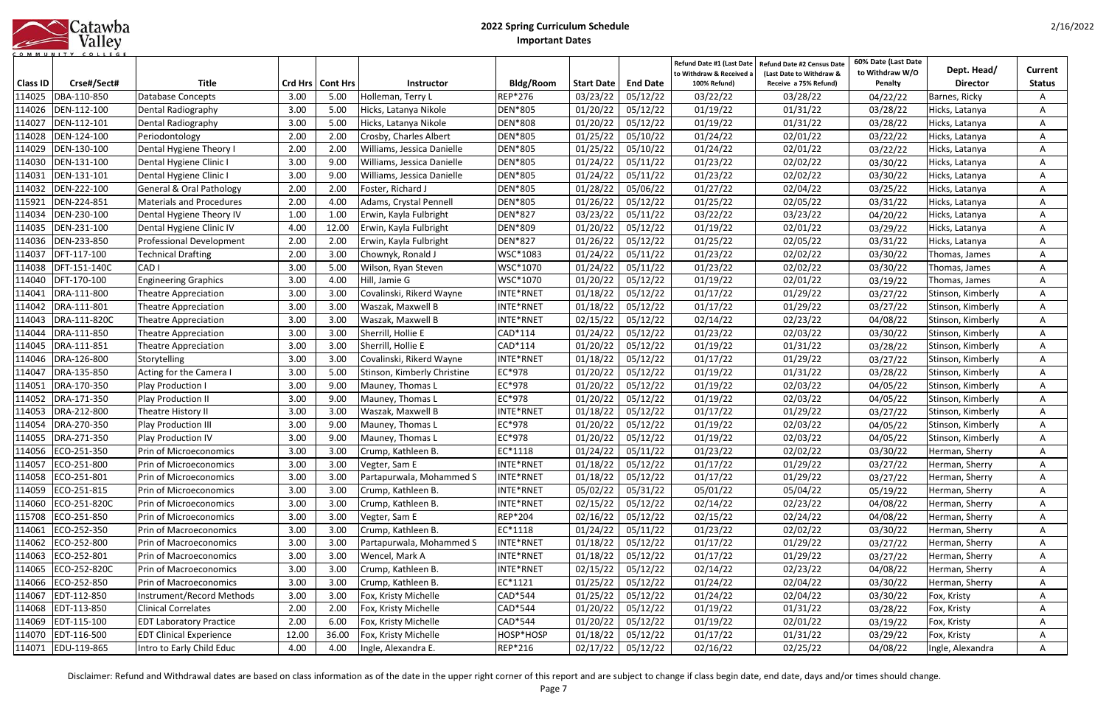|         | Catawba |
|---------|---------|
|         | Valley  |
| MMUNITY | COLLEGE |

|                 |                     |                                     |       |                    |                             |                |            |                             | Refund Date #1 (Last Date<br>to Withdraw & Received a | Refund Date #2 Census Date<br>(Last Date to Withdraw & | 60% Date (Last Date<br>to Withdraw W/O | Dept. Head/       | <b>Current</b> |
|-----------------|---------------------|-------------------------------------|-------|--------------------|-----------------------------|----------------|------------|-----------------------------|-------------------------------------------------------|--------------------------------------------------------|----------------------------------------|-------------------|----------------|
| <b>Class ID</b> | Crse#/Sect#         | <b>Title</b>                        |       | Crd Hrs   Cont Hrs | <b>Instructor</b>           | Bldg/Room      | Start Date | <b>End Date</b>             | 100% Refund)                                          | Receive a 75% Refund)                                  | Penalty                                | <b>Director</b>   | <b>Status</b>  |
| 114025          | DBA-110-850         | Database Concepts                   | 3.00  | 5.00               | Holleman, Terry L           | REP*276        | 03/23/22   | 05/12/22                    | 03/22/22                                              | 03/28/22                                               | 04/22/22                               | Barnes, Ricky     | A              |
| 114026          | DEN-112-100         | Dental Radiography                  | 3.00  | 5.00               | Hicks, Latanya Nikole       | DEN*805        | 01/20/22   | 05/12/22                    | 01/19/22                                              | 01/31/22                                               | 03/28/22                               | Hicks, Latanya    | A              |
| 114027          | DEN-112-101         | Dental Radiography                  | 3.00  | 5.00               | Hicks, Latanya Nikole       | DEN*808        | 01/20/22   | 05/12/22                    | 01/19/22                                              | 01/31/22                                               | 03/28/22                               | Hicks, Latanya    | A              |
| 114028          | DEN-124-100         | Periodontology                      | 2.00  | 2.00               | Crosby, Charles Albert      | DEN*805        | 01/25/22   | 05/10/22                    | 01/24/22                                              | 02/01/22                                               | 03/22/22                               | Hicks, Latanya    | A              |
| 114029          | DEN-130-100         | Dental Hygiene Theory I             | 2.00  | 2.00               | Williams, Jessica Danielle  | <b>DEN*805</b> | 01/25/22   | 05/10/22                    | 01/24/22                                              | 02/01/22                                               | 03/22/22                               | Hicks, Latanya    | A              |
| 114030          | DEN-131-100         | Dental Hygiene Clinic I             | 3.00  | 9.00               | Williams, Jessica Danielle  | DEN*805        | 01/24/22   | 05/11/22                    | 01/23/22                                              | 02/02/22                                               | 03/30/22                               | Hicks, Latanya    | A              |
| 114031          | DEN-131-101         | Dental Hygiene Clinic I             | 3.00  | 9.00               | Williams, Jessica Danielle  | <b>DEN*805</b> | 01/24/22   | 05/11/22                    | 01/23/22                                              | 02/02/22                                               | 03/30/22                               | Hicks, Latanya    |                |
| 114032          | DEN-222-100         | <b>General &amp; Oral Pathology</b> | 2.00  | 2.00               | Foster, Richard J           | DEN*805        | 01/28/22   | 05/06/22                    | 01/27/22                                              | 02/04/22                                               | 03/25/22                               | Hicks, Latanya    | A              |
| 115921          | DEN-224-851         | <b>Materials and Procedures</b>     | 2.00  | 4.00               | Adams, Crystal Pennell      | DEN*805        | 01/26/22   | 05/12/22                    | 01/25/22                                              | 02/05/22                                               | 03/31/22                               | Hicks, Latanya    | A              |
| 114034          | DEN-230-100         | Dental Hygiene Theory IV            | 1.00  | 1.00               | Erwin, Kayla Fulbright      | DEN*827        | 03/23/22   | 05/11/22                    | 03/22/22                                              | 03/23/22                                               | 04/20/22                               | Hicks, Latanya    | A              |
| 114035          | DEN-231-100         | Dental Hygiene Clinic IV            | 4.00  | 12.00              | Erwin, Kayla Fulbright      | <b>DEN*809</b> | 01/20/22   | 05/12/22                    | 01/19/22                                              | 02/01/22                                               | 03/29/22                               | Hicks, Latanya    | A              |
| 114036          | DEN-233-850         | <b>Professional Development</b>     | 2.00  | 2.00               | Erwin, Kayla Fulbright      | <b>DEN*827</b> | 01/26/22   | 05/12/22                    | 01/25/22                                              | 02/05/22                                               | 03/31/22                               | Hicks, Latanya    | A              |
| 114037          | DFT-117-100         | Technical Drafting                  | 2.00  | 3.00               | Chownyk, Ronald J           | WSC*1083       | 01/24/22   | 05/11/22                    | 01/23/22                                              | 02/02/22                                               | 03/30/22                               | Thomas, James     | A              |
| 114038          | DFT-151-140C        | CAD <sub>I</sub>                    | 3.00  | 5.00               | Wilson, Ryan Steven         | WSC*1070       | 01/24/22   | 05/11/22                    | 01/23/22                                              | 02/02/22                                               | 03/30/22                               | Thomas, James     | A              |
| 114040          | DFT-170-100         | <b>Engineering Graphics</b>         | 3.00  | 4.00               | Hill, Jamie G               | WSC*1070       | 01/20/22   | 05/12/22                    | 01/19/22                                              | 02/01/22                                               | 03/19/22                               | Thomas, James     | Α              |
| 114041          | DRA-111-800         | <b>Theatre Appreciation</b>         | 3.00  | 3.00               | Covalinski, Rikerd Wayne    | INTE*RNET      | 01/18/22   | 05/12/22                    | 01/17/22                                              | 01/29/22                                               | 03/27/22                               | Stinson, Kimberly |                |
| 114042          | DRA-111-801         | Theatre Appreciation                | 3.00  | 3.00               | Waszak, Maxwell B           | INTE*RNET      | 01/18/22   | 05/12/22                    | 01/17/22                                              | 01/29/22                                               | 03/27/22                               | Stinson, Kimberly | A              |
| 114043          | DRA-111-820C        | <b>Theatre Appreciation</b>         | 3.00  | 3.00               | Waszak, Maxwell B           | INTE*RNET      | 02/15/22   | 05/12/22                    | 02/14/22                                              | 02/23/22                                               | 04/08/22                               | Stinson, Kimberly | A              |
| 114044          | DRA-111-850         | <b>Theatre Appreciation</b>         | 3.00  | 3.00               | Sherrill, Hollie E          | CAD*114        | 01/24/22   | 05/12/22                    | 01/23/22                                              | 02/03/22                                               | 03/30/22                               | Stinson, Kimberly | A              |
| 114045          | DRA-111-851         | <b>Theatre Appreciation</b>         | 3.00  | 3.00               | Sherrill, Hollie E          | CAD*114        | 01/20/22   | 05/12/22                    | 01/19/22                                              | 01/31/22                                               | 03/28/22                               | Stinson, Kimberly | A              |
| 114046          | DRA-126-800         | Storytelling                        | 3.00  | 3.00               | Covalinski, Rikerd Wayne    | INTE*RNET      | 01/18/22   | 05/12/22                    | 01/17/22                                              | 01/29/22                                               | 03/27/22                               | Stinson, Kimberly | A              |
| 114047          | DRA-135-850         | Acting for the Camera I             | 3.00  | 5.00               | Stinson, Kimberly Christine | EC*978         | 01/20/22   | 05/12/22                    | 01/19/22                                              | 01/31/22                                               | 03/28/22                               | Stinson, Kimberly | A              |
| 114051          | DRA-170-350         | Play Production I                   | 3.00  | 9.00               | Mauney, Thomas L            | EC*978         | 01/20/22   | 05/12/22                    | 01/19/22                                              | 02/03/22                                               | 04/05/22                               | Stinson, Kimberly | A              |
| 114052          | DRA-171-350         | Play Production II                  | 3.00  | 9.00               | Mauney, Thomas L            | EC*978         | 01/20/22   | 05/12/22                    | 01/19/22                                              | 02/03/22                                               | 04/05/22                               | Stinson, Kimberly | A              |
| 114053          | DRA-212-800         | Theatre History II                  | 3.00  | 3.00               | Waszak, Maxwell B           | INTE*RNET      | 01/18/22   | 05/12/22                    | 01/17/22                                              | 01/29/22                                               | 03/27/22                               | Stinson, Kimberly | A              |
| 114054          | DRA-270-350         | <b>Play Production III</b>          | 3.00  | 9.00               | Mauney, Thomas L            | EC*978         | 01/20/22   | 05/12/22                    | 01/19/22                                              | 02/03/22                                               | 04/05/22                               | Stinson, Kimberly | A              |
| 114055          | DRA-271-350         | Play Production IV                  | 3.00  | 9.00               | Mauney, Thomas L            | EC*978         | 01/20/22   | 05/12/22                    | 01/19/22                                              | 02/03/22                                               | 04/05/22                               | Stinson, Kimberly | Α              |
| 114056          | ECO-251-350         | Prin of Microeconomics              | 3.00  | 3.00               | Crump, Kathleen B.          | EC*1118        | 01/24/22   | 05/11/22                    | 01/23/22                                              | 02/02/22                                               | 03/30/22                               | Herman, Sherry    |                |
|                 | 114057 ECO-251-800  | Prin of Microeconomics              | 3.00  | 3.00               | Vegter, Sam E               | INTE*RNET      |            | $\boxed{01/18/22}$ 05/12/22 | 01/17/22                                              | 01/29/22                                               | 03/27/22                               | Herman, Sherry    | A              |
|                 | 114058 ECO-251-801  | Prin of Microeconomics              | 3.00  | 3.00               | Partapurwala, Mohammed S    | INTE*RNET      | 01/18/22   | 05/12/22                    | 01/17/22                                              | 01/29/22                                               | 03/27/22                               | Herman, Sherry    | A              |
|                 | 114059 ECO-251-815  | Prin of Microeconomics              | 3.00  | 3.00               | Crump, Kathleen B.          | INTE*RNET      | 05/02/22   | 05/31/22                    | 05/01/22                                              | 05/04/22                                               | 05/19/22                               | Herman, Sherry    | A              |
|                 | 114060 ECO-251-820C | Prin of Microeconomics              | 3.00  | 3.00               | Crump, Kathleen B.          | INTE*RNET      | 02/15/22   | 05/12/22                    | 02/14/22                                              | 02/23/22                                               | 04/08/22                               | Herman, Sherry    | A              |
| 115708          | ECO-251-850         | Prin of Microeconomics              | 3.00  | 3.00               | Vegter, Sam E               | REP*204        | 02/16/22   | 05/12/22                    | 02/15/22                                              | 02/24/22                                               | 04/08/22                               | Herman, Sherry    | Α              |
|                 | 114061 ECO-252-350  | <b>Prin of Macroeconomics</b>       | 3.00  | 3.00               | Crump, Kathleen B.          | EC*1118        | 01/24/22   | 05/11/22                    | 01/23/22                                              | 02/02/22                                               | 03/30/22                               | Herman, Sherry    | A              |
| 114062          | ECO-252-800         | <b>Prin of Macroeconomics</b>       | 3.00  | 3.00               | Partapurwala, Mohammed S    | INTE*RNET      | 01/18/22   | 05/12/22                    | 01/17/22                                              | 01/29/22                                               | 03/27/22                               | Herman, Sherry    | A              |
|                 | 114063 ECO-252-801  | Prin of Macroeconomics              | 3.00  | 3.00               | Wencel, Mark A              | INTE*RNET      | 01/18/22   | 05/12/22                    | 01/17/22                                              | 01/29/22                                               | 03/27/22                               | Herman, Sherry    | A              |
| 114065          | ECO-252-820C        | <b>Prin of Macroeconomics</b>       | 3.00  | 3.00               | Crump, Kathleen B.          | INTE*RNET      | 02/15/22   | 05/12/22                    | 02/14/22                                              | 02/23/22                                               | 04/08/22                               | Herman, Sherry    | A              |
|                 | 114066 ECO-252-850  | Prin of Macroeconomics              | 3.00  | 3.00               | Crump, Kathleen B.          | EC*1121        | 01/25/22   | 05/12/22                    | 01/24/22                                              | 02/04/22                                               | 03/30/22                               | Herman, Sherry    | A              |
| 114067          | EDT-112-850         | Instrument/Record Methods           | 3.00  | 3.00               | Fox, Kristy Michelle        | CAD*544        | 01/25/22   | 05/12/22                    | 01/24/22                                              | 02/04/22                                               | 03/30/22                               | Fox, Kristy       | Α              |
| 114068          | EDT-113-850         | <b>Clinical Correlates</b>          | 2.00  | 2.00               | Fox, Kristy Michelle        | CAD*544        | 01/20/22   | 05/12/22                    | 01/19/22                                              | 01/31/22                                               | 03/28/22                               | Fox, Kristy       | A              |
|                 | 114069 EDT-115-100  | <b>EDT Laboratory Practice</b>      | 2.00  | 6.00               | Fox, Kristy Michelle        | CAD*544        | 01/20/22   | 05/12/22                    | 01/19/22                                              | 02/01/22                                               | 03/19/22                               | Fox, Kristy       | A              |
|                 | 114070 EDT-116-500  | <b>EDT Clinical Experience</b>      | 12.00 | 36.00              | Fox, Kristy Michelle        | HOSP*HOSP      | 01/18/22   | 05/12/22                    | 01/17/22                                              | 01/31/22                                               | 03/29/22                               | Fox, Kristy       | A              |
|                 | 114071 EDU-119-865  | Intro to Early Child Educ           | 4.00  | 4.00               | Ingle, Alexandra E.         | REP*216        | 02/17/22   | 05/12/22                    | 02/16/22                                              | 02/25/22                                               | 04/08/22                               | Ingle, Alexandra  | A              |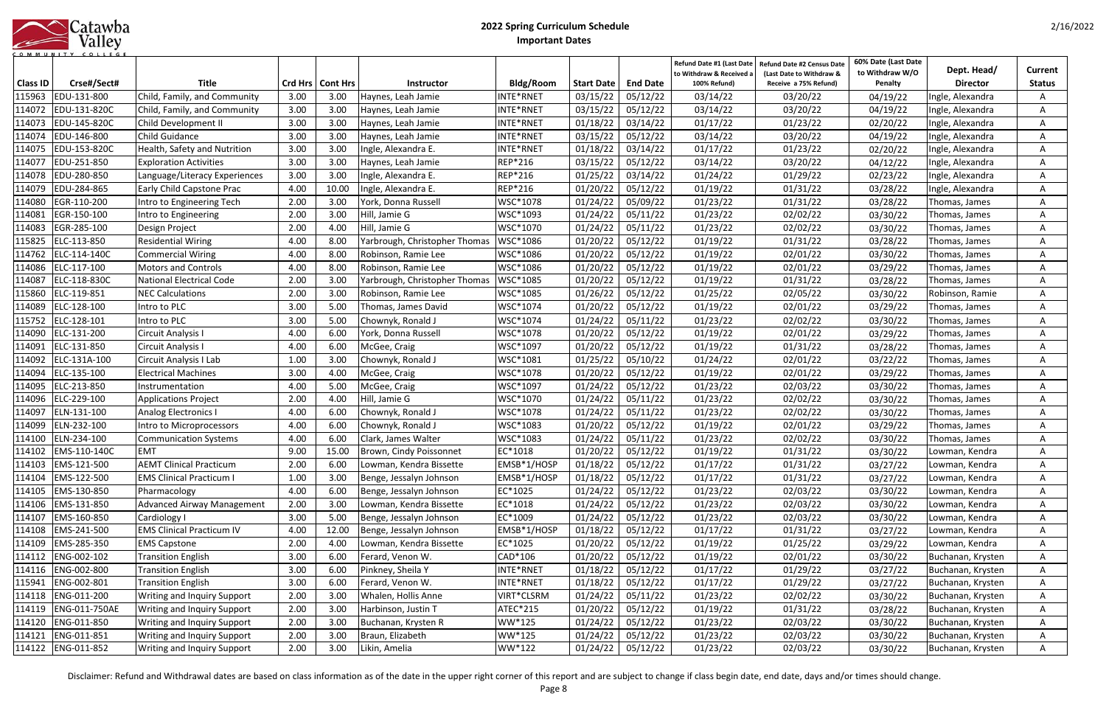|              | Catawba |
|--------------|---------|
|              | Valley  |
| <b>MMUNI</b> |         |

| <b>Class ID</b> | Crse#/Sect#          | <b>Title</b>                       |      | Crd Hrs   Cont Hrs | <b>Instructor</b>             | Bldg/Room      | <b>Start Date</b>   | <b>End Date</b> | Refund Date #1 (Last Date<br>to Withdraw & Received<br>100% Refund) | <b>Refund Date #2 Census Date</b><br>(Last Date to Withdraw &<br>Receive a 75% Refund) | 60% Date (Last Date<br>to Withdraw W/O<br>Penalty | Dept. Head/<br><b>Director</b> | Current<br><b>Status</b> |
|-----------------|----------------------|------------------------------------|------|--------------------|-------------------------------|----------------|---------------------|-----------------|---------------------------------------------------------------------|----------------------------------------------------------------------------------------|---------------------------------------------------|--------------------------------|--------------------------|
| 115963          | EDU-131-800          | Child, Family, and Community       | 3.00 | 3.00               | Haynes, Leah Jamie            | INTE*RNET      | 03/15/22            | 05/12/22        | 03/14/22                                                            | 03/20/22                                                                               | 04/19/22                                          | Ingle, Alexandra               | A                        |
| 114072          | EDU-131-820C         | Child, Family, and Community       | 3.00 | 3.00               | Haynes, Leah Jamie            | INTE*RNET      | 03/15/22            | 05/12/22        | 03/14/22                                                            | 03/20/22                                                                               | 04/19/22                                          | Ingle, Alexandra               | A                        |
| 114073          | EDU-145-820C         | Child Development II               | 3.00 | 3.00               | Haynes, Leah Jamie            | INTE*RNET      | 01/18/22            | 03/14/22        | 01/17/22                                                            | 01/23/22                                                                               | 02/20/22                                          | Ingle, Alexandra               | A                        |
| 114074          | EDU-146-800          | Child Guidance                     | 3.00 | 3.00               | Haynes, Leah Jamie            | INTE*RNET      | 03/15/22            | 05/12/22        | 03/14/22                                                            | 03/20/22                                                                               | 04/19/22                                          | Ingle, Alexandra               | A                        |
| 114075          | EDU-153-820C         | Health, Safety and Nutrition       | 3.00 | 3.00               | Ingle, Alexandra E.           | INTE*RNET      | 01/18/22            | 03/14/22        | 01/17/22                                                            | 01/23/22                                                                               | 02/20/22                                          | Ingle, Alexandra               | A                        |
| 114077          | EDU-251-850          | <b>Exploration Activities</b>      | 3.00 | 3.00               | Haynes, Leah Jamie            | <b>REP*216</b> | 03/15/22            | 05/12/22        | 03/14/22                                                            | 03/20/22                                                                               | 04/12/22                                          | Ingle, Alexandra               | A                        |
| 114078          | EDU-280-850          | Language/Literacy Experiences      | 3.00 | 3.00               | Ingle, Alexandra E.           | REP*216        | 01/25/22            | 03/14/22        | 01/24/22                                                            | 01/29/22                                                                               | 02/23/22                                          | Ingle, Alexandra               | A                        |
| 114079          | EDU-284-865          | Early Child Capstone Prac          | 4.00 | 10.00              | Ingle, Alexandra E.           | REP*216        | 01/20/22            | 05/12/22        | 01/19/22                                                            | 01/31/22                                                                               | 03/28/22                                          | Ingle, Alexandra               |                          |
| 114080          | EGR-110-200          | Intro to Engineering Tech          | 2.00 | 3.00               | York, Donna Russell           | WSC*1078       | 01/24/22            | 05/09/22        | 01/23/22                                                            | 01/31/22                                                                               | 03/28/22                                          | Thomas, James                  | A                        |
| 114081          | EGR-150-100          | Intro to Engineering               | 2.00 | 3.00               | Hill, Jamie G                 | WSC*1093       | 01/24/22            | 05/11/22        | 01/23/22                                                            | 02/02/22                                                                               | 03/30/22                                          | Thomas, James                  | A                        |
| 114083          | EGR-285-100          | Design Project                     | 2.00 | 4.00               | Hill, Jamie G                 | WSC*1070       | 01/24/22            | 05/11/22        | 01/23/22                                                            | 02/02/22                                                                               | 03/30/22                                          | Thomas, James                  | A                        |
| 115825          | ELC-113-850          | <b>Residential Wiring</b>          | 4.00 | 8.00               | Yarbrough, Christopher Thomas | WSC*1086       | 01/20/22            | 05/12/22        | 01/19/22                                                            | 01/31/22                                                                               | 03/28/22                                          | Thomas, James                  | A                        |
| 114762          | ELC-114-140C         | <b>Commercial Wiring</b>           | 4.00 | 8.00               | Robinson, Ramie Lee           | WSC*1086       | 01/20/22            | 05/12/22        | 01/19/22                                                            | 02/01/22                                                                               | 03/30/22                                          | Thomas, James                  | Α                        |
| 114086          | ELC-117-100          | <b>Motors and Controls</b>         | 4.00 | 8.00               | Robinson, Ramie Lee           | WSC*1086       | 01/20/22            | 05/12/22        | 01/19/22                                                            | 02/01/22                                                                               | 03/29/22                                          | Thomas, James                  | A                        |
| 114087          | ELC-118-830C         | <b>National Electrical Code</b>    | 2.00 | 3.00               | Yarbrough, Christopher Thomas | WSC*1085       | 01/20/22            | 05/12/22        | 01/19/22                                                            | 01/31/22                                                                               | 03/28/22                                          | Thomas, James                  | A                        |
| 115860          | ELC-119-851          | <b>NEC Calculations</b>            | 2.00 | 3.00               | Robinson, Ramie Lee           | WSC*1085       | 01/26/22            | 05/12/22        | 01/25/22                                                            | 02/05/22                                                                               | 03/30/22                                          | Robinson, Ramie                | A                        |
| 114089          | ELC-128-100          | Intro to PLC                       | 3.00 | 5.00               | Thomas, James David           | WSC*1074       | 01/20/22            | 05/12/22        | 01/19/22                                                            | 02/01/22                                                                               | 03/29/22                                          | Thomas, James                  | A                        |
| 115752          | ELC-128-101          | Intro to PLC                       | 3.00 | 5.00               | Chownyk, Ronald J             | WSC*1074       | 01/24/22            | 05/11/22        | 01/23/22                                                            | 02/02/22                                                                               | 03/30/22                                          | Thomas, James                  | A                        |
| 114090          | ELC-131-200          | Circuit Analysis I                 | 4.00 | 6.00               | York, Donna Russell           | WSC*1078       | 01/20/22            | 05/12/22        | 01/19/22                                                            | 02/01/22                                                                               | 03/29/22                                          | Thomas, James                  | A                        |
| 114091          | ELC-131-850          | <b>Circuit Analysis I</b>          | 4.00 | 6.00               | McGee, Craig                  | WSC*1097       | 01/20/22            | 05/12/22        | 01/19/22                                                            | 01/31/22                                                                               | 03/28/22                                          | Thomas, James                  | A                        |
| 114092          | ELC-131A-100         | Circuit Analysis I Lab             | 1.00 | 3.00               | Chownyk, Ronald J             | WSC*1081       | 01/25/22            | 05/10/22        | 01/24/22                                                            | 02/01/22                                                                               | 03/22/22                                          | Thomas, James                  | A                        |
| 114094          | ELC-135-100          | <b>Electrical Machines</b>         | 3.00 | 4.00               | McGee, Craig                  | WSC*1078       | 01/20/22            | 05/12/22        | 01/19/22                                                            | 02/01/22                                                                               | 03/29/22                                          | Thomas, James                  | A                        |
| 114095          | ELC-213-850          | nstrumentation                     | 4.00 | 5.00               | McGee, Craig                  | WSC*1097       | 01/24/22            | 05/12/22        | 01/23/22                                                            | 02/03/22                                                                               | 03/30/22                                          | Thomas, James                  | A                        |
| 114096          | ELC-229-100          | <b>Applications Project</b>        | 2.00 | 4.00               | Hill, Jamie G                 | WSC*1070       | 01/24/22            | 05/11/22        | 01/23/22                                                            | 02/02/22                                                                               | 03/30/22                                          | Thomas, James                  | A                        |
| 114097          | ELN-131-100          | <b>Analog Electronics I</b>        | 4.00 | 6.00               | Chownyk, Ronald J             | WSC*1078       | 01/24/22            | 05/11/22        | 01/23/22                                                            | 02/02/22                                                                               | 03/30/22                                          | Thomas, James                  | A                        |
| 114099          | ELN-232-100          | Intro to Microprocessors           | 4.00 | 6.00               | Chownyk, Ronald J             | WSC*1083       | 01/20/22            | 05/12/22        | 01/19/22                                                            | 02/01/22                                                                               | 03/29/22                                          | Thomas, James                  |                          |
| 114100          | ELN-234-100          | <b>Communication Systems</b>       | 4.00 | 6.00               | Clark, James Walter           | WSC*1083       | 01/24/22            | 05/11/22        | 01/23/22                                                            | 02/02/22                                                                               | 03/30/22                                          | Thomas, James                  |                          |
| 114102          | EMS-110-140C         | <b>EMT</b>                         | 9.00 | 15.00              | Brown, Cindy Poissonnet       | EC*1018        | 01/20/22            | 05/12/22        | 01/19/22                                                            | 01/31/22                                                                               | 03/30/22                                          | Lowman, Kendra                 |                          |
|                 | 114103 EMS-121-500   | <b>AEMT Clinical Practicum</b>     | 2.00 | 6.00               | Lowman, Kendra Bissette       | EMSB*1/HOSP    | $01/18/22$ 05/12/22 |                 | 01/17/22                                                            | 01/31/22                                                                               | 03/27/22                                          | Lowman, Kendra                 | A                        |
| 114104          | EMS-122-500          | <b>EMS Clinical Practicum I</b>    | 1.00 | 3.00               | Benge, Jessalyn Johnson       | EMSB*1/HOSP    | 01/18/22            | 05/12/22        | 01/17/22                                                            | 01/31/22                                                                               | 03/27/22                                          | Lowman, Kendra                 | A                        |
| 114105          | EMS-130-850          | Pharmacology                       | 4.00 | 6.00               | Benge, Jessalyn Johnson       | EC*1025        | 01/24/22            | 05/12/22        | 01/23/22                                                            | 02/03/22                                                                               | 03/30/22                                          | Lowman, Kendra                 | A                        |
|                 | 114106   EMS-131-850 | <b>Advanced Airway Management</b>  | 2.00 | 3.00               | Lowman, Kendra Bissette       | EC*1018        | 01/24/22            | 05/12/22        | 01/23/22                                                            | 02/03/22                                                                               | 03/30/22                                          | Lowman, Kendra                 | A                        |
| 114107          | EMS-160-850          | Cardiology I                       | 3.00 | 5.00               | Benge, Jessalyn Johnson       | EC*1009        | 01/24/22            | 05/12/22        | 01/23/22                                                            | 02/03/22                                                                               | 03/30/22                                          | Lowman, Kendra                 | A                        |
| 114108          | EMS-241-500          | <b>EMS Clinical Practicum IV</b>   | 4.00 | 12.00              | Benge, Jessalyn Johnson       | EMSB*1/HOSP    | 01/18/22            | 05/12/22        | 01/17/22                                                            | 01/31/22                                                                               | 03/27/22                                          | Lowman, Kendra                 | A                        |
| 114109          | EMS-285-350          | <b>EMS Capstone</b>                | 2.00 | 4.00               | Lowman, Kendra Bissette       | EC*1025        | 01/20/22            | 05/12/22        | 01/19/22                                                            | 01/25/22                                                                               | 03/29/22                                          | Lowman, Kendra                 | A                        |
|                 | 114112   ENG-002-102 | <b>Transition English</b>          | 3.00 | 6.00               | Ferard, Venon W.              | CAD*106        | 01/20/22            | 05/12/22        | 01/19/22                                                            | 02/01/22                                                                               | 03/30/22                                          | Buchanan, Krysten              | A                        |
|                 | 114116   ENG-002-800 | <b>Transition English</b>          | 3.00 | 6.00               | Pinkney, Sheila Y             | INTE*RNET      | 01/18/22            | 05/12/22        | 01/17/22                                                            | 01/29/22                                                                               | 03/27/22                                          | Buchanan, Krysten              | A                        |
| 115941          | ENG-002-801          | <b>Transition English</b>          | 3.00 | 6.00               | Ferard, Venon W.              | INTE*RNET      | 01/18/22            | 05/12/22        | 01/17/22                                                            | 01/29/22                                                                               | 03/27/22                                          | Buchanan, Krysten              | Α                        |
|                 | 114118   ENG-011-200 | <b>Writing and Inquiry Support</b> | 2.00 | 3.00               | Whalen, Hollis Anne           | VIRT*CLSRM     | 01/24/22            | 05/11/22        | 01/23/22                                                            | 02/02/22                                                                               | 03/30/22                                          | Buchanan, Krysten              | A                        |
| 114119          | ENG-011-750AE        | <b>Writing and Inquiry Support</b> | 2.00 | 3.00               | Harbinson, Justin T           | ATEC*215       | 01/20/22            | 05/12/22        | 01/19/22                                                            | 01/31/22                                                                               | 03/28/22                                          | Buchanan, Krysten              | A                        |
| 114120          | ENG-011-850          | Writing and Inquiry Support        | 2.00 | 3.00               | Buchanan, Krysten R           | WW*125         | 01/24/22            | 05/12/22        | 01/23/22                                                            | 02/03/22                                                                               | 03/30/22                                          | Buchanan, Krysten              | A                        |
| 114121          | ENG-011-851          | Writing and Inquiry Support        | 2.00 | 3.00               | Braun, Elizabeth              | WW*125         | 01/24/22            | 05/12/22        | 01/23/22                                                            | 02/03/22                                                                               | 03/30/22                                          | Buchanan, Krysten              | A                        |
|                 | 114122   ENG-011-852 | Writing and Inquiry Support        | 2.00 | 3.00               | Likin, Amelia                 | WW*122         | 01/24/22            | 05/12/22        | 01/23/22                                                            | 02/03/22                                                                               | 03/30/22                                          | Buchanan, Krysten              | A                        |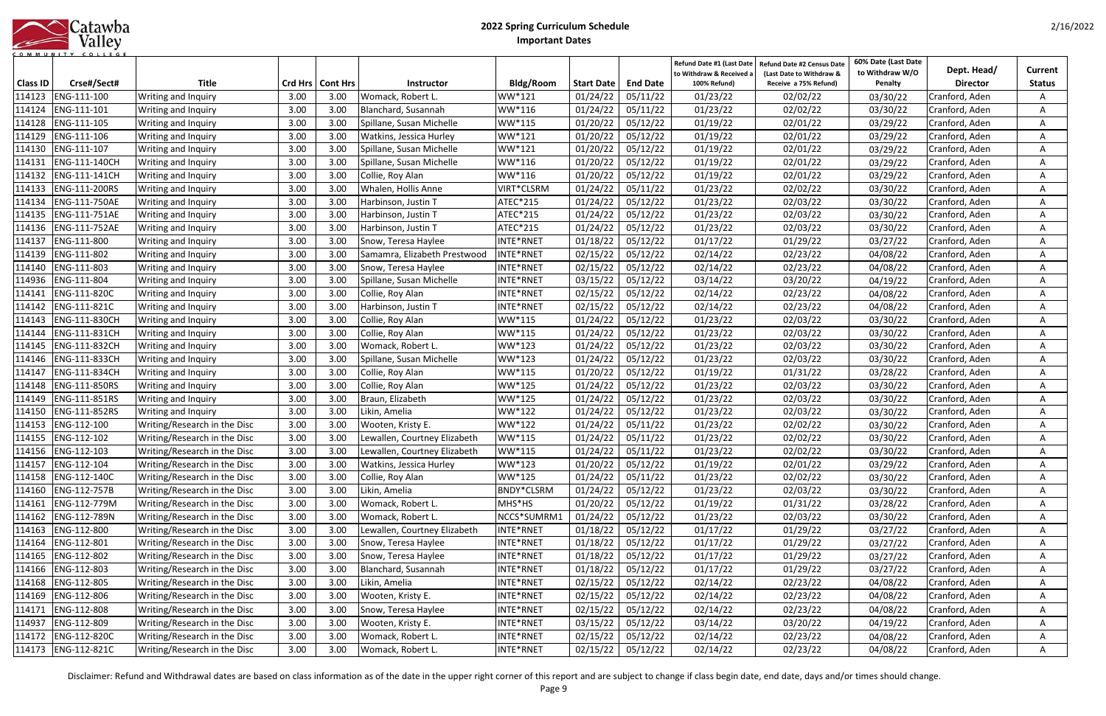|            | Catawba |
|------------|---------|
|            | Valley  |
| <b>MUN</b> |         |

| <b>Title</b><br>Crse#/Sect#<br>Crd Hrs   Cont Hrs<br>Bldg/Room<br><b>End Date</b><br><b>Class ID</b><br><b>Start Date</b><br>100% Refund)<br>Receive a 75% Refund)<br><b>Director</b><br><b>Status</b><br><b>Instructor</b><br>Penalty<br>05/11/22<br>01/23/22<br>114123<br>ENG-111-100<br>01/24/22<br>02/02/22<br>3.00<br>3.00<br>WW*121<br>03/30/22<br>Cranford, Aden<br>Writing and Inquiry<br>Womack, Robert L.<br>ENG-111-101<br>3.00<br>01/24/22<br>05/11/22<br>01/23/22<br>114124<br>3.00<br>Blanchard, Susannah<br>WW*116<br>02/02/22<br>03/30/22<br>Writing and Inquiry<br>Cranford, Aden<br>ENG-111-105<br>01/20/22<br>05/12/22<br>114128<br>3.00<br>3.00<br>WW*115<br>01/19/22<br>02/01/22<br>Spillane, Susan Michelle<br>03/29/22<br>Writing and Inquiry<br>Cranford, Aden<br>A<br>ENG-111-106<br>01/20/22<br>05/12/22<br>114129<br>3.00<br>3.00<br>WW*121<br>01/19/22<br>02/01/22<br>Writing and Inquiry<br>Watkins, Jessica Hurley<br>03/29/22<br>Cranford, Aden<br>A<br>WW*121<br>05/12/22<br>01/19/22<br>114130<br>ENG-111-107<br>3.00<br>3.00<br>01/20/22<br>02/01/22<br>03/29/22<br>Writing and Inquiry<br>Spillane, Susan Michelle<br>Cranford, Aden<br>ENG-111-140CH<br>01/20/22<br>05/12/22<br>01/19/22<br>02/01/22<br>114131<br>3.00<br>3.00<br>Spillane, Susan Michelle<br>WW*116<br>03/29/22<br>Writing and Inquiry<br>Cranford, Aden<br>WW*116<br>01/20/22<br>05/12/22<br>03/29/22<br>114132<br>ENG-111-141CH<br>3.00<br>3.00<br>01/19/22<br>02/01/22<br>Collie, Roy Alan<br>Cranford, Aden<br>Writing and Inquiry<br>ENG-111-200RS<br>114133<br>3.00<br>/IRT*CLSRM<br>01/24/22<br>05/11/22<br>01/23/22<br>02/02/22<br>3.00<br>Whalen, Hollis Anne<br>03/30/22<br>Cranford, Aden<br>Writing and Inquiry<br>Α<br>ENG-111-750AE<br>01/24/22<br>114134<br>3.00<br>3.00<br>ATEC*215<br>05/12/22<br>01/23/22<br>02/03/22<br>03/30/22<br>Writing and Inquiry<br>Harbinson, Justin T<br>Cranford, Aden<br>A<br>114135<br>ENG-111-751AE<br>3.00<br>ATEC*215<br>01/24/22<br>05/12/22<br>01/23/22<br>02/03/22<br>03/30/22<br>3.00<br>Harbinson, Justin T<br>Cranford, Aden<br>Writing and Inquiry<br>A<br>114136<br>ENG-111-752AE<br>3.00<br>3.00<br>ATEC*215<br>01/24/22<br>05/12/22<br>01/23/22<br>02/03/22<br>03/30/22<br>Harbinson, Justin T<br>Cranford, Aden<br>Writing and Inquiry<br>A<br>114137<br>ENG-111-800<br>INTE*RNET<br>01/18/22<br>05/12/22<br>3.00<br>3.00<br>01/17/22<br>01/29/22<br>Writing and Inquiry<br>Snow, Teresa Haylee<br>03/27/22<br>Cranford, Aden<br>A<br>ENG-111-802<br>3.00<br>INTE*RNET<br>02/15/22<br>05/12/22<br>02/14/22<br>02/23/22<br>114139<br>3.00<br>Samamra, Elizabeth Prestwood<br>04/08/22<br>Writing and Inquiry<br>Cranford, Aden<br>A<br>02/15/22<br>05/12/22<br>02/14/22<br>02/23/22<br>114140<br>ENG-111-803<br>3.00<br>3.00<br>INTE*RNET<br>04/08/22<br>Cranford, Aden<br>Writing and Inquiry<br>Snow, Teresa Haylee<br>A<br>05/12/22<br>114936<br>ENG-111-804<br>3.00<br>INTE*RNET<br>03/15/22<br>03/14/22<br>03/20/22<br>04/19/22<br>Writing and Inquiry<br>3.00<br>Spillane, Susan Michelle<br>Cranford, Aden<br>A<br>02/15/22<br>05/12/22<br>114141<br>ENG-111-820C<br>3.00<br>3.00<br>INTE*RNET<br>02/14/22<br>02/23/22<br>Collie, Roy Alan<br>04/08/22<br>Cranford, Aden<br>Writing and Inquiry<br>A<br>ENG-111-821C<br>02/15/22<br>02/23/22<br>3.00<br>3.00<br>INTE*RNET<br>05/12/22<br>02/14/22<br>114142<br>Harbinson, Justin T<br>04/08/22<br>Cranford, Aden<br>Writing and Inquiry<br>A<br>ENG-111-830CH<br>3.00<br>01/24/22<br>05/12/22<br>01/23/22<br>02/03/22<br>03/30/22<br>114143<br>3.00<br>Collie, Roy Alan<br>WW*115<br>Cranford, Aden<br>Writing and Inquiry<br>A<br>WW*115<br>01/24/22<br>114144<br>ENG-111-831CH<br>3.00<br>3.00<br>05/12/22<br>01/23/22<br>02/03/22<br>03/30/22<br>Collie, Roy Alan<br>Writing and Inquiry<br>Cranford, Aden<br>05/12/22<br>01/23/22<br>114145<br>ENG-111-832CH<br>3.00<br>WW*123<br>01/24/22<br>02/03/22<br>03/30/22<br>3.00<br>Womack, Robert L.<br>Cranford, Aden<br>Writing and Inquiry<br>ENG-111-833CH<br>3.00<br>WW*123<br>01/24/22<br>05/12/22<br>01/23/22<br>03/30/22<br>114146<br>Writing and Inquiry<br>3.00<br>Spillane, Susan Michelle<br>02/03/22<br>Cranford, Aden<br><b>ENG-111-834CH</b><br>01/20/22<br>05/12/22<br>03/28/22<br>3.00<br>3.00<br>WW*115<br>01/19/22<br>01/31/22<br>114147<br>Collie, Roy Alan<br>Cranford, Aden<br>Writing and Inquiry<br>ENG-111-850RS<br>3.00<br>3.00<br>WW*125<br>01/24/22<br>05/12/22<br>02/03/22<br>114148<br>Collie, Roy Alan<br>01/23/22<br>03/30/22<br>Writing and Inquiry<br>Cranford, Aden<br>A<br>WW*125<br>05/12/22<br>01/23/22<br>114149<br>ENG-111-851RS<br>3.00<br>3.00<br>Braun, Elizabeth<br>01/24/22<br>02/03/22<br>03/30/22<br>Writing and Inquiry<br>Cranford, Aden<br>3.00<br>WW*122<br>01/24/22<br>05/12/22<br>114150<br>ENG-111-852RS<br>3.00<br>Likin, Amelia<br>01/23/22<br>02/03/22<br>Writing and Inquiry<br>03/30/22<br>Cranford, Aden<br>ENG-112-100<br>WW*122<br>01/24/22<br>01/23/22<br>114153<br>3.00<br>3.00<br>Wooten, Kristy E.<br>05/11/22<br>02/02/22<br>Writing/Research in the Disc<br>03/30/22<br>Cranford, Aden<br>114155<br>ENG-112-102<br>3.00<br>WW*115<br>01/24/22<br>05/11/22<br>01/23/22<br>02/02/22<br>Writing/Research in the Disc<br>3.00<br>Lewallen, Courtney Elizabeth<br>03/30/22<br>Cranford, Aden<br>A<br>ENG-112-103<br>01/24/22<br>05/11/22<br>114156<br>Writing/Research in the Disc<br>3.00<br>3.00<br>WW*115<br>01/23/22<br>02/02/22<br>03/30/22<br>Lewallen, Courtney Elizabeth<br>Cranford, Aden<br>A<br>$01/20/22$ 05/12/22<br>114157 ENG-112-104<br>Writing/Research in the Disc<br>3.00<br>3.00<br>WW*123<br>01/19/22<br>02/01/22<br>Watkins, Jessica Hurley<br>03/29/22<br>Cranford, Aden<br>A<br>ENG-112-140C<br>WW*125<br>01/24/22<br>05/11/22<br>114158<br>Writing/Research in the Disc<br>3.00<br>3.00<br>Collie, Roy Alan<br>01/23/22<br>02/02/22<br>Cranford, Aden<br>03/30/22<br>A<br>ENG-112-757B<br>BNDY*CLSRM<br>114160<br>3.00<br>3.00<br>Likin, Amelia<br>01/24/22<br>05/12/22<br>01/23/22<br>02/03/22<br>Writing/Research in the Disc<br>Cranford, Aden<br>03/30/22<br>A<br>01/19/22<br>ENG-112-779M<br>Writing/Research in the Disc<br>3.00<br>3.00<br>Womack, Robert L.<br>MHS*HS<br>01/20/22<br>05/12/22<br>01/31/22<br>Cranford, Aden<br>114161<br>03/28/22<br>A<br>ENG-112-789N<br>Writing/Research in the Disc<br>3.00<br>3.00<br>Womack, Robert L.<br>NCCS*SUMRM1<br>01/24/22<br>02/03/22<br>Cranford, Aden<br>114162<br>05/12/22<br>01/23/22<br>03/30/22<br>A<br>ENG-112-800<br>3.00<br>Lewallen, Courtney Elizabeth<br>INTE*RNET<br>01/18/22<br>05/12/22<br>114163<br>Writing/Research in the Disc<br>3.00<br>01/17/22<br>01/29/22<br>03/27/22<br>Cranford, Aden<br>A<br>ENG-112-801<br>INTE*RNET<br>01/18/22<br>05/12/22<br>01/17/22<br>114164<br>Writing/Research in the Disc<br>3.00<br>3.00<br>Snow, Teresa Haylee<br>01/29/22<br>03/27/22<br>Cranford, Aden<br>A<br>ENG-112-802<br>01/18/22<br>05/12/22<br>01/17/22<br>01/29/22<br>114165<br>Writing/Research in the Disc<br>3.00<br>3.00<br>Snow, Teresa Haylee<br>INTE*RNET<br>Cranford, Aden<br>03/27/22<br>A<br>114166<br>ENG-112-803<br>Writing/Research in the Disc<br>3.00<br>Blanchard, Susannah<br>INTE*RNET<br>01/18/22<br>05/12/22<br>01/17/22<br>01/29/22<br>3.00<br>03/27/22<br>Cranford, Aden<br>A<br>ENG-112-805<br>3.00<br>INTE*RNET<br>02/15/22<br>114168<br>Writing/Research in the Disc<br>3.00<br>05/12/22<br>02/14/22<br>02/23/22<br>Cranford, Aden<br>Likin, Amelia<br>04/08/22<br>Α<br>ENG-112-806<br>Writing/Research in the Disc<br>3.00<br>3.00<br>INTE*RNET<br>05/12/22<br>02/14/22<br>114169<br>Wooten, Kristy E.<br>02/15/22<br>02/23/22<br>04/08/22<br>Cranford, Aden<br>A<br>ENG-112-808<br>Writing/Research in the Disc<br>3.00<br>INTE*RNET<br>02/15/22<br>05/12/22<br>02/14/22<br>114171<br>3.00<br>Snow, Teresa Haylee<br>02/23/22<br>04/08/22<br>Cranford, Aden<br>A<br>114937<br>ENG-112-809<br>Writing/Research in the Disc<br>03/15/22<br>05/12/22<br>03/14/22<br>03/20/22<br>Cranford, Aden<br>3.00<br>3.00<br>Wooten, Kristy E.<br>INTE*RNET<br>04/19/22<br>A<br>ENG-112-820C<br>Womack, Robert L.<br>02/15/22<br>114172<br>Writing/Research in the Disc<br>3.00<br>3.00<br>INTE*RNET<br>05/12/22<br>02/14/22<br>02/23/22<br>Cranford, Aden<br>04/08/22<br>Α |  |                              |      |      |                   |           |          |          | Refund Date #1 (Last Date<br>to Withdraw & Received a | Refund Date #2 Census Date<br>(Last Date to Withdraw & | 60% Date (Last Date<br>to Withdraw W/O | Dept. Head/    | Current |
|------------------------------------------------------------------------------------------------------------------------------------------------------------------------------------------------------------------------------------------------------------------------------------------------------------------------------------------------------------------------------------------------------------------------------------------------------------------------------------------------------------------------------------------------------------------------------------------------------------------------------------------------------------------------------------------------------------------------------------------------------------------------------------------------------------------------------------------------------------------------------------------------------------------------------------------------------------------------------------------------------------------------------------------------------------------------------------------------------------------------------------------------------------------------------------------------------------------------------------------------------------------------------------------------------------------------------------------------------------------------------------------------------------------------------------------------------------------------------------------------------------------------------------------------------------------------------------------------------------------------------------------------------------------------------------------------------------------------------------------------------------------------------------------------------------------------------------------------------------------------------------------------------------------------------------------------------------------------------------------------------------------------------------------------------------------------------------------------------------------------------------------------------------------------------------------------------------------------------------------------------------------------------------------------------------------------------------------------------------------------------------------------------------------------------------------------------------------------------------------------------------------------------------------------------------------------------------------------------------------------------------------------------------------------------------------------------------------------------------------------------------------------------------------------------------------------------------------------------------------------------------------------------------------------------------------------------------------------------------------------------------------------------------------------------------------------------------------------------------------------------------------------------------------------------------------------------------------------------------------------------------------------------------------------------------------------------------------------------------------------------------------------------------------------------------------------------------------------------------------------------------------------------------------------------------------------------------------------------------------------------------------------------------------------------------------------------------------------------------------------------------------------------------------------------------------------------------------------------------------------------------------------------------------------------------------------------------------------------------------------------------------------------------------------------------------------------------------------------------------------------------------------------------------------------------------------------------------------------------------------------------------------------------------------------------------------------------------------------------------------------------------------------------------------------------------------------------------------------------------------------------------------------------------------------------------------------------------------------------------------------------------------------------------------------------------------------------------------------------------------------------------------------------------------------------------------------------------------------------------------------------------------------------------------------------------------------------------------------------------------------------------------------------------------------------------------------------------------------------------------------------------------------------------------------------------------------------------------------------------------------------------------------------------------------------------------------------------------------------------------------------------------------------------------------------------------------------------------------------------------------------------------------------------------------------------------------------------------------------------------------------------------------------------------------------------------------------------------------------------------------------------------------------------------------------------------------------------------------------------------------------------------------------------------------------------------------------------------------------------------------------------------------------------------------------------------------------------------------------------------------------------------------------------------------------------------------------------------------------------------------------------------------------------------------------------------------------------------------------------------------------------------------------------------------------------------------------------------------------------------------------------------------------------------------------------------------------------------------------------------------------------------------------------------------------------------------------------------------------------------------------------------------------------------------------------------------------------------------------------------------------------------------------------------------------------------------------------------------------------------------------------------------------------------------------------------------------------------------------------------------------------------------------------------------------------------------------------------------------------------------------------------------------------------------------------------------------------------------------------------------------------------------------------------------------------------------------------------------------------------------------------------------------------------------------------------------------------------------------------------------------------------------------------------------------------------------------------------------------------------------------------------------------------------------------------------------------------------------------------------------------------------------------------------------------------------------------------------------------------------------------------------------------------------------------------------------------------------------------------------------------------------------------------------------------------------------------------------------------------------------------------------------------------------------------------------------|--|------------------------------|------|------|-------------------|-----------|----------|----------|-------------------------------------------------------|--------------------------------------------------------|----------------------------------------|----------------|---------|
|                                                                                                                                                                                                                                                                                                                                                                                                                                                                                                                                                                                                                                                                                                                                                                                                                                                                                                                                                                                                                                                                                                                                                                                                                                                                                                                                                                                                                                                                                                                                                                                                                                                                                                                                                                                                                                                                                                                                                                                                                                                                                                                                                                                                                                                                                                                                                                                                                                                                                                                                                                                                                                                                                                                                                                                                                                                                                                                                                                                                                                                                                                                                                                                                                                                                                                                                                                                                                                                                                                                                                                                                                                                                                                                                                                                                                                                                                                                                                                                                                                                                                                                                                                                                                                                                                                                                                                                                                                                                                                                                                                                                                                                                                                                                                                                                                                                                                                                                                                                                                                                                                                                                                                                                                                                                                                                                                                                                                                                                                                                                                                                                                                                                                                                                                                                                                                                                                                                                                                                                                                                                                                                                                                                                                                                                                                                                                                                                                                                                                                                                                                                                                                                                                                                                                                                                                                                                                                                                                                                                                                                                                                                                                                                                                                                                                                                                                                                                                                                                                                                                                                                                                                                                                                                                                                                                                                                                                                                                                                                                                                                                                                                                                                                                                                                                                                                              |  |                              |      |      |                   |           |          |          |                                                       |                                                        |                                        |                |         |
|                                                                                                                                                                                                                                                                                                                                                                                                                                                                                                                                                                                                                                                                                                                                                                                                                                                                                                                                                                                                                                                                                                                                                                                                                                                                                                                                                                                                                                                                                                                                                                                                                                                                                                                                                                                                                                                                                                                                                                                                                                                                                                                                                                                                                                                                                                                                                                                                                                                                                                                                                                                                                                                                                                                                                                                                                                                                                                                                                                                                                                                                                                                                                                                                                                                                                                                                                                                                                                                                                                                                                                                                                                                                                                                                                                                                                                                                                                                                                                                                                                                                                                                                                                                                                                                                                                                                                                                                                                                                                                                                                                                                                                                                                                                                                                                                                                                                                                                                                                                                                                                                                                                                                                                                                                                                                                                                                                                                                                                                                                                                                                                                                                                                                                                                                                                                                                                                                                                                                                                                                                                                                                                                                                                                                                                                                                                                                                                                                                                                                                                                                                                                                                                                                                                                                                                                                                                                                                                                                                                                                                                                                                                                                                                                                                                                                                                                                                                                                                                                                                                                                                                                                                                                                                                                                                                                                                                                                                                                                                                                                                                                                                                                                                                                                                                                                                                              |  |                              |      |      |                   |           |          |          |                                                       |                                                        |                                        |                |         |
|                                                                                                                                                                                                                                                                                                                                                                                                                                                                                                                                                                                                                                                                                                                                                                                                                                                                                                                                                                                                                                                                                                                                                                                                                                                                                                                                                                                                                                                                                                                                                                                                                                                                                                                                                                                                                                                                                                                                                                                                                                                                                                                                                                                                                                                                                                                                                                                                                                                                                                                                                                                                                                                                                                                                                                                                                                                                                                                                                                                                                                                                                                                                                                                                                                                                                                                                                                                                                                                                                                                                                                                                                                                                                                                                                                                                                                                                                                                                                                                                                                                                                                                                                                                                                                                                                                                                                                                                                                                                                                                                                                                                                                                                                                                                                                                                                                                                                                                                                                                                                                                                                                                                                                                                                                                                                                                                                                                                                                                                                                                                                                                                                                                                                                                                                                                                                                                                                                                                                                                                                                                                                                                                                                                                                                                                                                                                                                                                                                                                                                                                                                                                                                                                                                                                                                                                                                                                                                                                                                                                                                                                                                                                                                                                                                                                                                                                                                                                                                                                                                                                                                                                                                                                                                                                                                                                                                                                                                                                                                                                                                                                                                                                                                                                                                                                                                                              |  |                              |      |      |                   |           |          |          |                                                       |                                                        |                                        |                |         |
|                                                                                                                                                                                                                                                                                                                                                                                                                                                                                                                                                                                                                                                                                                                                                                                                                                                                                                                                                                                                                                                                                                                                                                                                                                                                                                                                                                                                                                                                                                                                                                                                                                                                                                                                                                                                                                                                                                                                                                                                                                                                                                                                                                                                                                                                                                                                                                                                                                                                                                                                                                                                                                                                                                                                                                                                                                                                                                                                                                                                                                                                                                                                                                                                                                                                                                                                                                                                                                                                                                                                                                                                                                                                                                                                                                                                                                                                                                                                                                                                                                                                                                                                                                                                                                                                                                                                                                                                                                                                                                                                                                                                                                                                                                                                                                                                                                                                                                                                                                                                                                                                                                                                                                                                                                                                                                                                                                                                                                                                                                                                                                                                                                                                                                                                                                                                                                                                                                                                                                                                                                                                                                                                                                                                                                                                                                                                                                                                                                                                                                                                                                                                                                                                                                                                                                                                                                                                                                                                                                                                                                                                                                                                                                                                                                                                                                                                                                                                                                                                                                                                                                                                                                                                                                                                                                                                                                                                                                                                                                                                                                                                                                                                                                                                                                                                                                                              |  |                              |      |      |                   |           |          |          |                                                       |                                                        |                                        |                |         |
|                                                                                                                                                                                                                                                                                                                                                                                                                                                                                                                                                                                                                                                                                                                                                                                                                                                                                                                                                                                                                                                                                                                                                                                                                                                                                                                                                                                                                                                                                                                                                                                                                                                                                                                                                                                                                                                                                                                                                                                                                                                                                                                                                                                                                                                                                                                                                                                                                                                                                                                                                                                                                                                                                                                                                                                                                                                                                                                                                                                                                                                                                                                                                                                                                                                                                                                                                                                                                                                                                                                                                                                                                                                                                                                                                                                                                                                                                                                                                                                                                                                                                                                                                                                                                                                                                                                                                                                                                                                                                                                                                                                                                                                                                                                                                                                                                                                                                                                                                                                                                                                                                                                                                                                                                                                                                                                                                                                                                                                                                                                                                                                                                                                                                                                                                                                                                                                                                                                                                                                                                                                                                                                                                                                                                                                                                                                                                                                                                                                                                                                                                                                                                                                                                                                                                                                                                                                                                                                                                                                                                                                                                                                                                                                                                                                                                                                                                                                                                                                                                                                                                                                                                                                                                                                                                                                                                                                                                                                                                                                                                                                                                                                                                                                                                                                                                                                              |  |                              |      |      |                   |           |          |          |                                                       |                                                        |                                        |                |         |
|                                                                                                                                                                                                                                                                                                                                                                                                                                                                                                                                                                                                                                                                                                                                                                                                                                                                                                                                                                                                                                                                                                                                                                                                                                                                                                                                                                                                                                                                                                                                                                                                                                                                                                                                                                                                                                                                                                                                                                                                                                                                                                                                                                                                                                                                                                                                                                                                                                                                                                                                                                                                                                                                                                                                                                                                                                                                                                                                                                                                                                                                                                                                                                                                                                                                                                                                                                                                                                                                                                                                                                                                                                                                                                                                                                                                                                                                                                                                                                                                                                                                                                                                                                                                                                                                                                                                                                                                                                                                                                                                                                                                                                                                                                                                                                                                                                                                                                                                                                                                                                                                                                                                                                                                                                                                                                                                                                                                                                                                                                                                                                                                                                                                                                                                                                                                                                                                                                                                                                                                                                                                                                                                                                                                                                                                                                                                                                                                                                                                                                                                                                                                                                                                                                                                                                                                                                                                                                                                                                                                                                                                                                                                                                                                                                                                                                                                                                                                                                                                                                                                                                                                                                                                                                                                                                                                                                                                                                                                                                                                                                                                                                                                                                                                                                                                                                                              |  |                              |      |      |                   |           |          |          |                                                       |                                                        |                                        |                |         |
|                                                                                                                                                                                                                                                                                                                                                                                                                                                                                                                                                                                                                                                                                                                                                                                                                                                                                                                                                                                                                                                                                                                                                                                                                                                                                                                                                                                                                                                                                                                                                                                                                                                                                                                                                                                                                                                                                                                                                                                                                                                                                                                                                                                                                                                                                                                                                                                                                                                                                                                                                                                                                                                                                                                                                                                                                                                                                                                                                                                                                                                                                                                                                                                                                                                                                                                                                                                                                                                                                                                                                                                                                                                                                                                                                                                                                                                                                                                                                                                                                                                                                                                                                                                                                                                                                                                                                                                                                                                                                                                                                                                                                                                                                                                                                                                                                                                                                                                                                                                                                                                                                                                                                                                                                                                                                                                                                                                                                                                                                                                                                                                                                                                                                                                                                                                                                                                                                                                                                                                                                                                                                                                                                                                                                                                                                                                                                                                                                                                                                                                                                                                                                                                                                                                                                                                                                                                                                                                                                                                                                                                                                                                                                                                                                                                                                                                                                                                                                                                                                                                                                                                                                                                                                                                                                                                                                                                                                                                                                                                                                                                                                                                                                                                                                                                                                                                              |  |                              |      |      |                   |           |          |          |                                                       |                                                        |                                        |                |         |
|                                                                                                                                                                                                                                                                                                                                                                                                                                                                                                                                                                                                                                                                                                                                                                                                                                                                                                                                                                                                                                                                                                                                                                                                                                                                                                                                                                                                                                                                                                                                                                                                                                                                                                                                                                                                                                                                                                                                                                                                                                                                                                                                                                                                                                                                                                                                                                                                                                                                                                                                                                                                                                                                                                                                                                                                                                                                                                                                                                                                                                                                                                                                                                                                                                                                                                                                                                                                                                                                                                                                                                                                                                                                                                                                                                                                                                                                                                                                                                                                                                                                                                                                                                                                                                                                                                                                                                                                                                                                                                                                                                                                                                                                                                                                                                                                                                                                                                                                                                                                                                                                                                                                                                                                                                                                                                                                                                                                                                                                                                                                                                                                                                                                                                                                                                                                                                                                                                                                                                                                                                                                                                                                                                                                                                                                                                                                                                                                                                                                                                                                                                                                                                                                                                                                                                                                                                                                                                                                                                                                                                                                                                                                                                                                                                                                                                                                                                                                                                                                                                                                                                                                                                                                                                                                                                                                                                                                                                                                                                                                                                                                                                                                                                                                                                                                                                                              |  |                              |      |      |                   |           |          |          |                                                       |                                                        |                                        |                |         |
|                                                                                                                                                                                                                                                                                                                                                                                                                                                                                                                                                                                                                                                                                                                                                                                                                                                                                                                                                                                                                                                                                                                                                                                                                                                                                                                                                                                                                                                                                                                                                                                                                                                                                                                                                                                                                                                                                                                                                                                                                                                                                                                                                                                                                                                                                                                                                                                                                                                                                                                                                                                                                                                                                                                                                                                                                                                                                                                                                                                                                                                                                                                                                                                                                                                                                                                                                                                                                                                                                                                                                                                                                                                                                                                                                                                                                                                                                                                                                                                                                                                                                                                                                                                                                                                                                                                                                                                                                                                                                                                                                                                                                                                                                                                                                                                                                                                                                                                                                                                                                                                                                                                                                                                                                                                                                                                                                                                                                                                                                                                                                                                                                                                                                                                                                                                                                                                                                                                                                                                                                                                                                                                                                                                                                                                                                                                                                                                                                                                                                                                                                                                                                                                                                                                                                                                                                                                                                                                                                                                                                                                                                                                                                                                                                                                                                                                                                                                                                                                                                                                                                                                                                                                                                                                                                                                                                                                                                                                                                                                                                                                                                                                                                                                                                                                                                                                              |  |                              |      |      |                   |           |          |          |                                                       |                                                        |                                        |                |         |
|                                                                                                                                                                                                                                                                                                                                                                                                                                                                                                                                                                                                                                                                                                                                                                                                                                                                                                                                                                                                                                                                                                                                                                                                                                                                                                                                                                                                                                                                                                                                                                                                                                                                                                                                                                                                                                                                                                                                                                                                                                                                                                                                                                                                                                                                                                                                                                                                                                                                                                                                                                                                                                                                                                                                                                                                                                                                                                                                                                                                                                                                                                                                                                                                                                                                                                                                                                                                                                                                                                                                                                                                                                                                                                                                                                                                                                                                                                                                                                                                                                                                                                                                                                                                                                                                                                                                                                                                                                                                                                                                                                                                                                                                                                                                                                                                                                                                                                                                                                                                                                                                                                                                                                                                                                                                                                                                                                                                                                                                                                                                                                                                                                                                                                                                                                                                                                                                                                                                                                                                                                                                                                                                                                                                                                                                                                                                                                                                                                                                                                                                                                                                                                                                                                                                                                                                                                                                                                                                                                                                                                                                                                                                                                                                                                                                                                                                                                                                                                                                                                                                                                                                                                                                                                                                                                                                                                                                                                                                                                                                                                                                                                                                                                                                                                                                                                                              |  |                              |      |      |                   |           |          |          |                                                       |                                                        |                                        |                |         |
|                                                                                                                                                                                                                                                                                                                                                                                                                                                                                                                                                                                                                                                                                                                                                                                                                                                                                                                                                                                                                                                                                                                                                                                                                                                                                                                                                                                                                                                                                                                                                                                                                                                                                                                                                                                                                                                                                                                                                                                                                                                                                                                                                                                                                                                                                                                                                                                                                                                                                                                                                                                                                                                                                                                                                                                                                                                                                                                                                                                                                                                                                                                                                                                                                                                                                                                                                                                                                                                                                                                                                                                                                                                                                                                                                                                                                                                                                                                                                                                                                                                                                                                                                                                                                                                                                                                                                                                                                                                                                                                                                                                                                                                                                                                                                                                                                                                                                                                                                                                                                                                                                                                                                                                                                                                                                                                                                                                                                                                                                                                                                                                                                                                                                                                                                                                                                                                                                                                                                                                                                                                                                                                                                                                                                                                                                                                                                                                                                                                                                                                                                                                                                                                                                                                                                                                                                                                                                                                                                                                                                                                                                                                                                                                                                                                                                                                                                                                                                                                                                                                                                                                                                                                                                                                                                                                                                                                                                                                                                                                                                                                                                                                                                                                                                                                                                                                              |  |                              |      |      |                   |           |          |          |                                                       |                                                        |                                        |                |         |
|                                                                                                                                                                                                                                                                                                                                                                                                                                                                                                                                                                                                                                                                                                                                                                                                                                                                                                                                                                                                                                                                                                                                                                                                                                                                                                                                                                                                                                                                                                                                                                                                                                                                                                                                                                                                                                                                                                                                                                                                                                                                                                                                                                                                                                                                                                                                                                                                                                                                                                                                                                                                                                                                                                                                                                                                                                                                                                                                                                                                                                                                                                                                                                                                                                                                                                                                                                                                                                                                                                                                                                                                                                                                                                                                                                                                                                                                                                                                                                                                                                                                                                                                                                                                                                                                                                                                                                                                                                                                                                                                                                                                                                                                                                                                                                                                                                                                                                                                                                                                                                                                                                                                                                                                                                                                                                                                                                                                                                                                                                                                                                                                                                                                                                                                                                                                                                                                                                                                                                                                                                                                                                                                                                                                                                                                                                                                                                                                                                                                                                                                                                                                                                                                                                                                                                                                                                                                                                                                                                                                                                                                                                                                                                                                                                                                                                                                                                                                                                                                                                                                                                                                                                                                                                                                                                                                                                                                                                                                                                                                                                                                                                                                                                                                                                                                                                                              |  |                              |      |      |                   |           |          |          |                                                       |                                                        |                                        |                |         |
|                                                                                                                                                                                                                                                                                                                                                                                                                                                                                                                                                                                                                                                                                                                                                                                                                                                                                                                                                                                                                                                                                                                                                                                                                                                                                                                                                                                                                                                                                                                                                                                                                                                                                                                                                                                                                                                                                                                                                                                                                                                                                                                                                                                                                                                                                                                                                                                                                                                                                                                                                                                                                                                                                                                                                                                                                                                                                                                                                                                                                                                                                                                                                                                                                                                                                                                                                                                                                                                                                                                                                                                                                                                                                                                                                                                                                                                                                                                                                                                                                                                                                                                                                                                                                                                                                                                                                                                                                                                                                                                                                                                                                                                                                                                                                                                                                                                                                                                                                                                                                                                                                                                                                                                                                                                                                                                                                                                                                                                                                                                                                                                                                                                                                                                                                                                                                                                                                                                                                                                                                                                                                                                                                                                                                                                                                                                                                                                                                                                                                                                                                                                                                                                                                                                                                                                                                                                                                                                                                                                                                                                                                                                                                                                                                                                                                                                                                                                                                                                                                                                                                                                                                                                                                                                                                                                                                                                                                                                                                                                                                                                                                                                                                                                                                                                                                                                              |  |                              |      |      |                   |           |          |          |                                                       |                                                        |                                        |                |         |
|                                                                                                                                                                                                                                                                                                                                                                                                                                                                                                                                                                                                                                                                                                                                                                                                                                                                                                                                                                                                                                                                                                                                                                                                                                                                                                                                                                                                                                                                                                                                                                                                                                                                                                                                                                                                                                                                                                                                                                                                                                                                                                                                                                                                                                                                                                                                                                                                                                                                                                                                                                                                                                                                                                                                                                                                                                                                                                                                                                                                                                                                                                                                                                                                                                                                                                                                                                                                                                                                                                                                                                                                                                                                                                                                                                                                                                                                                                                                                                                                                                                                                                                                                                                                                                                                                                                                                                                                                                                                                                                                                                                                                                                                                                                                                                                                                                                                                                                                                                                                                                                                                                                                                                                                                                                                                                                                                                                                                                                                                                                                                                                                                                                                                                                                                                                                                                                                                                                                                                                                                                                                                                                                                                                                                                                                                                                                                                                                                                                                                                                                                                                                                                                                                                                                                                                                                                                                                                                                                                                                                                                                                                                                                                                                                                                                                                                                                                                                                                                                                                                                                                                                                                                                                                                                                                                                                                                                                                                                                                                                                                                                                                                                                                                                                                                                                                                              |  |                              |      |      |                   |           |          |          |                                                       |                                                        |                                        |                |         |
|                                                                                                                                                                                                                                                                                                                                                                                                                                                                                                                                                                                                                                                                                                                                                                                                                                                                                                                                                                                                                                                                                                                                                                                                                                                                                                                                                                                                                                                                                                                                                                                                                                                                                                                                                                                                                                                                                                                                                                                                                                                                                                                                                                                                                                                                                                                                                                                                                                                                                                                                                                                                                                                                                                                                                                                                                                                                                                                                                                                                                                                                                                                                                                                                                                                                                                                                                                                                                                                                                                                                                                                                                                                                                                                                                                                                                                                                                                                                                                                                                                                                                                                                                                                                                                                                                                                                                                                                                                                                                                                                                                                                                                                                                                                                                                                                                                                                                                                                                                                                                                                                                                                                                                                                                                                                                                                                                                                                                                                                                                                                                                                                                                                                                                                                                                                                                                                                                                                                                                                                                                                                                                                                                                                                                                                                                                                                                                                                                                                                                                                                                                                                                                                                                                                                                                                                                                                                                                                                                                                                                                                                                                                                                                                                                                                                                                                                                                                                                                                                                                                                                                                                                                                                                                                                                                                                                                                                                                                                                                                                                                                                                                                                                                                                                                                                                                                              |  |                              |      |      |                   |           |          |          |                                                       |                                                        |                                        |                |         |
|                                                                                                                                                                                                                                                                                                                                                                                                                                                                                                                                                                                                                                                                                                                                                                                                                                                                                                                                                                                                                                                                                                                                                                                                                                                                                                                                                                                                                                                                                                                                                                                                                                                                                                                                                                                                                                                                                                                                                                                                                                                                                                                                                                                                                                                                                                                                                                                                                                                                                                                                                                                                                                                                                                                                                                                                                                                                                                                                                                                                                                                                                                                                                                                                                                                                                                                                                                                                                                                                                                                                                                                                                                                                                                                                                                                                                                                                                                                                                                                                                                                                                                                                                                                                                                                                                                                                                                                                                                                                                                                                                                                                                                                                                                                                                                                                                                                                                                                                                                                                                                                                                                                                                                                                                                                                                                                                                                                                                                                                                                                                                                                                                                                                                                                                                                                                                                                                                                                                                                                                                                                                                                                                                                                                                                                                                                                                                                                                                                                                                                                                                                                                                                                                                                                                                                                                                                                                                                                                                                                                                                                                                                                                                                                                                                                                                                                                                                                                                                                                                                                                                                                                                                                                                                                                                                                                                                                                                                                                                                                                                                                                                                                                                                                                                                                                                                                              |  |                              |      |      |                   |           |          |          |                                                       |                                                        |                                        |                |         |
|                                                                                                                                                                                                                                                                                                                                                                                                                                                                                                                                                                                                                                                                                                                                                                                                                                                                                                                                                                                                                                                                                                                                                                                                                                                                                                                                                                                                                                                                                                                                                                                                                                                                                                                                                                                                                                                                                                                                                                                                                                                                                                                                                                                                                                                                                                                                                                                                                                                                                                                                                                                                                                                                                                                                                                                                                                                                                                                                                                                                                                                                                                                                                                                                                                                                                                                                                                                                                                                                                                                                                                                                                                                                                                                                                                                                                                                                                                                                                                                                                                                                                                                                                                                                                                                                                                                                                                                                                                                                                                                                                                                                                                                                                                                                                                                                                                                                                                                                                                                                                                                                                                                                                                                                                                                                                                                                                                                                                                                                                                                                                                                                                                                                                                                                                                                                                                                                                                                                                                                                                                                                                                                                                                                                                                                                                                                                                                                                                                                                                                                                                                                                                                                                                                                                                                                                                                                                                                                                                                                                                                                                                                                                                                                                                                                                                                                                                                                                                                                                                                                                                                                                                                                                                                                                                                                                                                                                                                                                                                                                                                                                                                                                                                                                                                                                                                                              |  |                              |      |      |                   |           |          |          |                                                       |                                                        |                                        |                |         |
|                                                                                                                                                                                                                                                                                                                                                                                                                                                                                                                                                                                                                                                                                                                                                                                                                                                                                                                                                                                                                                                                                                                                                                                                                                                                                                                                                                                                                                                                                                                                                                                                                                                                                                                                                                                                                                                                                                                                                                                                                                                                                                                                                                                                                                                                                                                                                                                                                                                                                                                                                                                                                                                                                                                                                                                                                                                                                                                                                                                                                                                                                                                                                                                                                                                                                                                                                                                                                                                                                                                                                                                                                                                                                                                                                                                                                                                                                                                                                                                                                                                                                                                                                                                                                                                                                                                                                                                                                                                                                                                                                                                                                                                                                                                                                                                                                                                                                                                                                                                                                                                                                                                                                                                                                                                                                                                                                                                                                                                                                                                                                                                                                                                                                                                                                                                                                                                                                                                                                                                                                                                                                                                                                                                                                                                                                                                                                                                                                                                                                                                                                                                                                                                                                                                                                                                                                                                                                                                                                                                                                                                                                                                                                                                                                                                                                                                                                                                                                                                                                                                                                                                                                                                                                                                                                                                                                                                                                                                                                                                                                                                                                                                                                                                                                                                                                                                              |  |                              |      |      |                   |           |          |          |                                                       |                                                        |                                        |                |         |
|                                                                                                                                                                                                                                                                                                                                                                                                                                                                                                                                                                                                                                                                                                                                                                                                                                                                                                                                                                                                                                                                                                                                                                                                                                                                                                                                                                                                                                                                                                                                                                                                                                                                                                                                                                                                                                                                                                                                                                                                                                                                                                                                                                                                                                                                                                                                                                                                                                                                                                                                                                                                                                                                                                                                                                                                                                                                                                                                                                                                                                                                                                                                                                                                                                                                                                                                                                                                                                                                                                                                                                                                                                                                                                                                                                                                                                                                                                                                                                                                                                                                                                                                                                                                                                                                                                                                                                                                                                                                                                                                                                                                                                                                                                                                                                                                                                                                                                                                                                                                                                                                                                                                                                                                                                                                                                                                                                                                                                                                                                                                                                                                                                                                                                                                                                                                                                                                                                                                                                                                                                                                                                                                                                                                                                                                                                                                                                                                                                                                                                                                                                                                                                                                                                                                                                                                                                                                                                                                                                                                                                                                                                                                                                                                                                                                                                                                                                                                                                                                                                                                                                                                                                                                                                                                                                                                                                                                                                                                                                                                                                                                                                                                                                                                                                                                                                                              |  |                              |      |      |                   |           |          |          |                                                       |                                                        |                                        |                |         |
|                                                                                                                                                                                                                                                                                                                                                                                                                                                                                                                                                                                                                                                                                                                                                                                                                                                                                                                                                                                                                                                                                                                                                                                                                                                                                                                                                                                                                                                                                                                                                                                                                                                                                                                                                                                                                                                                                                                                                                                                                                                                                                                                                                                                                                                                                                                                                                                                                                                                                                                                                                                                                                                                                                                                                                                                                                                                                                                                                                                                                                                                                                                                                                                                                                                                                                                                                                                                                                                                                                                                                                                                                                                                                                                                                                                                                                                                                                                                                                                                                                                                                                                                                                                                                                                                                                                                                                                                                                                                                                                                                                                                                                                                                                                                                                                                                                                                                                                                                                                                                                                                                                                                                                                                                                                                                                                                                                                                                                                                                                                                                                                                                                                                                                                                                                                                                                                                                                                                                                                                                                                                                                                                                                                                                                                                                                                                                                                                                                                                                                                                                                                                                                                                                                                                                                                                                                                                                                                                                                                                                                                                                                                                                                                                                                                                                                                                                                                                                                                                                                                                                                                                                                                                                                                                                                                                                                                                                                                                                                                                                                                                                                                                                                                                                                                                                                                              |  |                              |      |      |                   |           |          |          |                                                       |                                                        |                                        |                |         |
|                                                                                                                                                                                                                                                                                                                                                                                                                                                                                                                                                                                                                                                                                                                                                                                                                                                                                                                                                                                                                                                                                                                                                                                                                                                                                                                                                                                                                                                                                                                                                                                                                                                                                                                                                                                                                                                                                                                                                                                                                                                                                                                                                                                                                                                                                                                                                                                                                                                                                                                                                                                                                                                                                                                                                                                                                                                                                                                                                                                                                                                                                                                                                                                                                                                                                                                                                                                                                                                                                                                                                                                                                                                                                                                                                                                                                                                                                                                                                                                                                                                                                                                                                                                                                                                                                                                                                                                                                                                                                                                                                                                                                                                                                                                                                                                                                                                                                                                                                                                                                                                                                                                                                                                                                                                                                                                                                                                                                                                                                                                                                                                                                                                                                                                                                                                                                                                                                                                                                                                                                                                                                                                                                                                                                                                                                                                                                                                                                                                                                                                                                                                                                                                                                                                                                                                                                                                                                                                                                                                                                                                                                                                                                                                                                                                                                                                                                                                                                                                                                                                                                                                                                                                                                                                                                                                                                                                                                                                                                                                                                                                                                                                                                                                                                                                                                                                              |  |                              |      |      |                   |           |          |          |                                                       |                                                        |                                        |                |         |
|                                                                                                                                                                                                                                                                                                                                                                                                                                                                                                                                                                                                                                                                                                                                                                                                                                                                                                                                                                                                                                                                                                                                                                                                                                                                                                                                                                                                                                                                                                                                                                                                                                                                                                                                                                                                                                                                                                                                                                                                                                                                                                                                                                                                                                                                                                                                                                                                                                                                                                                                                                                                                                                                                                                                                                                                                                                                                                                                                                                                                                                                                                                                                                                                                                                                                                                                                                                                                                                                                                                                                                                                                                                                                                                                                                                                                                                                                                                                                                                                                                                                                                                                                                                                                                                                                                                                                                                                                                                                                                                                                                                                                                                                                                                                                                                                                                                                                                                                                                                                                                                                                                                                                                                                                                                                                                                                                                                                                                                                                                                                                                                                                                                                                                                                                                                                                                                                                                                                                                                                                                                                                                                                                                                                                                                                                                                                                                                                                                                                                                                                                                                                                                                                                                                                                                                                                                                                                                                                                                                                                                                                                                                                                                                                                                                                                                                                                                                                                                                                                                                                                                                                                                                                                                                                                                                                                                                                                                                                                                                                                                                                                                                                                                                                                                                                                                                              |  |                              |      |      |                   |           |          |          |                                                       |                                                        |                                        |                |         |
|                                                                                                                                                                                                                                                                                                                                                                                                                                                                                                                                                                                                                                                                                                                                                                                                                                                                                                                                                                                                                                                                                                                                                                                                                                                                                                                                                                                                                                                                                                                                                                                                                                                                                                                                                                                                                                                                                                                                                                                                                                                                                                                                                                                                                                                                                                                                                                                                                                                                                                                                                                                                                                                                                                                                                                                                                                                                                                                                                                                                                                                                                                                                                                                                                                                                                                                                                                                                                                                                                                                                                                                                                                                                                                                                                                                                                                                                                                                                                                                                                                                                                                                                                                                                                                                                                                                                                                                                                                                                                                                                                                                                                                                                                                                                                                                                                                                                                                                                                                                                                                                                                                                                                                                                                                                                                                                                                                                                                                                                                                                                                                                                                                                                                                                                                                                                                                                                                                                                                                                                                                                                                                                                                                                                                                                                                                                                                                                                                                                                                                                                                                                                                                                                                                                                                                                                                                                                                                                                                                                                                                                                                                                                                                                                                                                                                                                                                                                                                                                                                                                                                                                                                                                                                                                                                                                                                                                                                                                                                                                                                                                                                                                                                                                                                                                                                                                              |  |                              |      |      |                   |           |          |          |                                                       |                                                        |                                        |                |         |
|                                                                                                                                                                                                                                                                                                                                                                                                                                                                                                                                                                                                                                                                                                                                                                                                                                                                                                                                                                                                                                                                                                                                                                                                                                                                                                                                                                                                                                                                                                                                                                                                                                                                                                                                                                                                                                                                                                                                                                                                                                                                                                                                                                                                                                                                                                                                                                                                                                                                                                                                                                                                                                                                                                                                                                                                                                                                                                                                                                                                                                                                                                                                                                                                                                                                                                                                                                                                                                                                                                                                                                                                                                                                                                                                                                                                                                                                                                                                                                                                                                                                                                                                                                                                                                                                                                                                                                                                                                                                                                                                                                                                                                                                                                                                                                                                                                                                                                                                                                                                                                                                                                                                                                                                                                                                                                                                                                                                                                                                                                                                                                                                                                                                                                                                                                                                                                                                                                                                                                                                                                                                                                                                                                                                                                                                                                                                                                                                                                                                                                                                                                                                                                                                                                                                                                                                                                                                                                                                                                                                                                                                                                                                                                                                                                                                                                                                                                                                                                                                                                                                                                                                                                                                                                                                                                                                                                                                                                                                                                                                                                                                                                                                                                                                                                                                                                                              |  |                              |      |      |                   |           |          |          |                                                       |                                                        |                                        |                |         |
|                                                                                                                                                                                                                                                                                                                                                                                                                                                                                                                                                                                                                                                                                                                                                                                                                                                                                                                                                                                                                                                                                                                                                                                                                                                                                                                                                                                                                                                                                                                                                                                                                                                                                                                                                                                                                                                                                                                                                                                                                                                                                                                                                                                                                                                                                                                                                                                                                                                                                                                                                                                                                                                                                                                                                                                                                                                                                                                                                                                                                                                                                                                                                                                                                                                                                                                                                                                                                                                                                                                                                                                                                                                                                                                                                                                                                                                                                                                                                                                                                                                                                                                                                                                                                                                                                                                                                                                                                                                                                                                                                                                                                                                                                                                                                                                                                                                                                                                                                                                                                                                                                                                                                                                                                                                                                                                                                                                                                                                                                                                                                                                                                                                                                                                                                                                                                                                                                                                                                                                                                                                                                                                                                                                                                                                                                                                                                                                                                                                                                                                                                                                                                                                                                                                                                                                                                                                                                                                                                                                                                                                                                                                                                                                                                                                                                                                                                                                                                                                                                                                                                                                                                                                                                                                                                                                                                                                                                                                                                                                                                                                                                                                                                                                                                                                                                                                              |  |                              |      |      |                   |           |          |          |                                                       |                                                        |                                        |                |         |
|                                                                                                                                                                                                                                                                                                                                                                                                                                                                                                                                                                                                                                                                                                                                                                                                                                                                                                                                                                                                                                                                                                                                                                                                                                                                                                                                                                                                                                                                                                                                                                                                                                                                                                                                                                                                                                                                                                                                                                                                                                                                                                                                                                                                                                                                                                                                                                                                                                                                                                                                                                                                                                                                                                                                                                                                                                                                                                                                                                                                                                                                                                                                                                                                                                                                                                                                                                                                                                                                                                                                                                                                                                                                                                                                                                                                                                                                                                                                                                                                                                                                                                                                                                                                                                                                                                                                                                                                                                                                                                                                                                                                                                                                                                                                                                                                                                                                                                                                                                                                                                                                                                                                                                                                                                                                                                                                                                                                                                                                                                                                                                                                                                                                                                                                                                                                                                                                                                                                                                                                                                                                                                                                                                                                                                                                                                                                                                                                                                                                                                                                                                                                                                                                                                                                                                                                                                                                                                                                                                                                                                                                                                                                                                                                                                                                                                                                                                                                                                                                                                                                                                                                                                                                                                                                                                                                                                                                                                                                                                                                                                                                                                                                                                                                                                                                                                                              |  |                              |      |      |                   |           |          |          |                                                       |                                                        |                                        |                |         |
|                                                                                                                                                                                                                                                                                                                                                                                                                                                                                                                                                                                                                                                                                                                                                                                                                                                                                                                                                                                                                                                                                                                                                                                                                                                                                                                                                                                                                                                                                                                                                                                                                                                                                                                                                                                                                                                                                                                                                                                                                                                                                                                                                                                                                                                                                                                                                                                                                                                                                                                                                                                                                                                                                                                                                                                                                                                                                                                                                                                                                                                                                                                                                                                                                                                                                                                                                                                                                                                                                                                                                                                                                                                                                                                                                                                                                                                                                                                                                                                                                                                                                                                                                                                                                                                                                                                                                                                                                                                                                                                                                                                                                                                                                                                                                                                                                                                                                                                                                                                                                                                                                                                                                                                                                                                                                                                                                                                                                                                                                                                                                                                                                                                                                                                                                                                                                                                                                                                                                                                                                                                                                                                                                                                                                                                                                                                                                                                                                                                                                                                                                                                                                                                                                                                                                                                                                                                                                                                                                                                                                                                                                                                                                                                                                                                                                                                                                                                                                                                                                                                                                                                                                                                                                                                                                                                                                                                                                                                                                                                                                                                                                                                                                                                                                                                                                                                              |  |                              |      |      |                   |           |          |          |                                                       |                                                        |                                        |                |         |
|                                                                                                                                                                                                                                                                                                                                                                                                                                                                                                                                                                                                                                                                                                                                                                                                                                                                                                                                                                                                                                                                                                                                                                                                                                                                                                                                                                                                                                                                                                                                                                                                                                                                                                                                                                                                                                                                                                                                                                                                                                                                                                                                                                                                                                                                                                                                                                                                                                                                                                                                                                                                                                                                                                                                                                                                                                                                                                                                                                                                                                                                                                                                                                                                                                                                                                                                                                                                                                                                                                                                                                                                                                                                                                                                                                                                                                                                                                                                                                                                                                                                                                                                                                                                                                                                                                                                                                                                                                                                                                                                                                                                                                                                                                                                                                                                                                                                                                                                                                                                                                                                                                                                                                                                                                                                                                                                                                                                                                                                                                                                                                                                                                                                                                                                                                                                                                                                                                                                                                                                                                                                                                                                                                                                                                                                                                                                                                                                                                                                                                                                                                                                                                                                                                                                                                                                                                                                                                                                                                                                                                                                                                                                                                                                                                                                                                                                                                                                                                                                                                                                                                                                                                                                                                                                                                                                                                                                                                                                                                                                                                                                                                                                                                                                                                                                                                                              |  |                              |      |      |                   |           |          |          |                                                       |                                                        |                                        |                |         |
|                                                                                                                                                                                                                                                                                                                                                                                                                                                                                                                                                                                                                                                                                                                                                                                                                                                                                                                                                                                                                                                                                                                                                                                                                                                                                                                                                                                                                                                                                                                                                                                                                                                                                                                                                                                                                                                                                                                                                                                                                                                                                                                                                                                                                                                                                                                                                                                                                                                                                                                                                                                                                                                                                                                                                                                                                                                                                                                                                                                                                                                                                                                                                                                                                                                                                                                                                                                                                                                                                                                                                                                                                                                                                                                                                                                                                                                                                                                                                                                                                                                                                                                                                                                                                                                                                                                                                                                                                                                                                                                                                                                                                                                                                                                                                                                                                                                                                                                                                                                                                                                                                                                                                                                                                                                                                                                                                                                                                                                                                                                                                                                                                                                                                                                                                                                                                                                                                                                                                                                                                                                                                                                                                                                                                                                                                                                                                                                                                                                                                                                                                                                                                                                                                                                                                                                                                                                                                                                                                                                                                                                                                                                                                                                                                                                                                                                                                                                                                                                                                                                                                                                                                                                                                                                                                                                                                                                                                                                                                                                                                                                                                                                                                                                                                                                                                                                              |  |                              |      |      |                   |           |          |          |                                                       |                                                        |                                        |                |         |
|                                                                                                                                                                                                                                                                                                                                                                                                                                                                                                                                                                                                                                                                                                                                                                                                                                                                                                                                                                                                                                                                                                                                                                                                                                                                                                                                                                                                                                                                                                                                                                                                                                                                                                                                                                                                                                                                                                                                                                                                                                                                                                                                                                                                                                                                                                                                                                                                                                                                                                                                                                                                                                                                                                                                                                                                                                                                                                                                                                                                                                                                                                                                                                                                                                                                                                                                                                                                                                                                                                                                                                                                                                                                                                                                                                                                                                                                                                                                                                                                                                                                                                                                                                                                                                                                                                                                                                                                                                                                                                                                                                                                                                                                                                                                                                                                                                                                                                                                                                                                                                                                                                                                                                                                                                                                                                                                                                                                                                                                                                                                                                                                                                                                                                                                                                                                                                                                                                                                                                                                                                                                                                                                                                                                                                                                                                                                                                                                                                                                                                                                                                                                                                                                                                                                                                                                                                                                                                                                                                                                                                                                                                                                                                                                                                                                                                                                                                                                                                                                                                                                                                                                                                                                                                                                                                                                                                                                                                                                                                                                                                                                                                                                                                                                                                                                                                                              |  |                              |      |      |                   |           |          |          |                                                       |                                                        |                                        |                |         |
|                                                                                                                                                                                                                                                                                                                                                                                                                                                                                                                                                                                                                                                                                                                                                                                                                                                                                                                                                                                                                                                                                                                                                                                                                                                                                                                                                                                                                                                                                                                                                                                                                                                                                                                                                                                                                                                                                                                                                                                                                                                                                                                                                                                                                                                                                                                                                                                                                                                                                                                                                                                                                                                                                                                                                                                                                                                                                                                                                                                                                                                                                                                                                                                                                                                                                                                                                                                                                                                                                                                                                                                                                                                                                                                                                                                                                                                                                                                                                                                                                                                                                                                                                                                                                                                                                                                                                                                                                                                                                                                                                                                                                                                                                                                                                                                                                                                                                                                                                                                                                                                                                                                                                                                                                                                                                                                                                                                                                                                                                                                                                                                                                                                                                                                                                                                                                                                                                                                                                                                                                                                                                                                                                                                                                                                                                                                                                                                                                                                                                                                                                                                                                                                                                                                                                                                                                                                                                                                                                                                                                                                                                                                                                                                                                                                                                                                                                                                                                                                                                                                                                                                                                                                                                                                                                                                                                                                                                                                                                                                                                                                                                                                                                                                                                                                                                                                              |  |                              |      |      |                   |           |          |          |                                                       |                                                        |                                        |                |         |
|                                                                                                                                                                                                                                                                                                                                                                                                                                                                                                                                                                                                                                                                                                                                                                                                                                                                                                                                                                                                                                                                                                                                                                                                                                                                                                                                                                                                                                                                                                                                                                                                                                                                                                                                                                                                                                                                                                                                                                                                                                                                                                                                                                                                                                                                                                                                                                                                                                                                                                                                                                                                                                                                                                                                                                                                                                                                                                                                                                                                                                                                                                                                                                                                                                                                                                                                                                                                                                                                                                                                                                                                                                                                                                                                                                                                                                                                                                                                                                                                                                                                                                                                                                                                                                                                                                                                                                                                                                                                                                                                                                                                                                                                                                                                                                                                                                                                                                                                                                                                                                                                                                                                                                                                                                                                                                                                                                                                                                                                                                                                                                                                                                                                                                                                                                                                                                                                                                                                                                                                                                                                                                                                                                                                                                                                                                                                                                                                                                                                                                                                                                                                                                                                                                                                                                                                                                                                                                                                                                                                                                                                                                                                                                                                                                                                                                                                                                                                                                                                                                                                                                                                                                                                                                                                                                                                                                                                                                                                                                                                                                                                                                                                                                                                                                                                                                                              |  |                              |      |      |                   |           |          |          |                                                       |                                                        |                                        |                |         |
|                                                                                                                                                                                                                                                                                                                                                                                                                                                                                                                                                                                                                                                                                                                                                                                                                                                                                                                                                                                                                                                                                                                                                                                                                                                                                                                                                                                                                                                                                                                                                                                                                                                                                                                                                                                                                                                                                                                                                                                                                                                                                                                                                                                                                                                                                                                                                                                                                                                                                                                                                                                                                                                                                                                                                                                                                                                                                                                                                                                                                                                                                                                                                                                                                                                                                                                                                                                                                                                                                                                                                                                                                                                                                                                                                                                                                                                                                                                                                                                                                                                                                                                                                                                                                                                                                                                                                                                                                                                                                                                                                                                                                                                                                                                                                                                                                                                                                                                                                                                                                                                                                                                                                                                                                                                                                                                                                                                                                                                                                                                                                                                                                                                                                                                                                                                                                                                                                                                                                                                                                                                                                                                                                                                                                                                                                                                                                                                                                                                                                                                                                                                                                                                                                                                                                                                                                                                                                                                                                                                                                                                                                                                                                                                                                                                                                                                                                                                                                                                                                                                                                                                                                                                                                                                                                                                                                                                                                                                                                                                                                                                                                                                                                                                                                                                                                                                              |  |                              |      |      |                   |           |          |          |                                                       |                                                        |                                        |                |         |
|                                                                                                                                                                                                                                                                                                                                                                                                                                                                                                                                                                                                                                                                                                                                                                                                                                                                                                                                                                                                                                                                                                                                                                                                                                                                                                                                                                                                                                                                                                                                                                                                                                                                                                                                                                                                                                                                                                                                                                                                                                                                                                                                                                                                                                                                                                                                                                                                                                                                                                                                                                                                                                                                                                                                                                                                                                                                                                                                                                                                                                                                                                                                                                                                                                                                                                                                                                                                                                                                                                                                                                                                                                                                                                                                                                                                                                                                                                                                                                                                                                                                                                                                                                                                                                                                                                                                                                                                                                                                                                                                                                                                                                                                                                                                                                                                                                                                                                                                                                                                                                                                                                                                                                                                                                                                                                                                                                                                                                                                                                                                                                                                                                                                                                                                                                                                                                                                                                                                                                                                                                                                                                                                                                                                                                                                                                                                                                                                                                                                                                                                                                                                                                                                                                                                                                                                                                                                                                                                                                                                                                                                                                                                                                                                                                                                                                                                                                                                                                                                                                                                                                                                                                                                                                                                                                                                                                                                                                                                                                                                                                                                                                                                                                                                                                                                                                                              |  |                              |      |      |                   |           |          |          |                                                       |                                                        |                                        |                |         |
|                                                                                                                                                                                                                                                                                                                                                                                                                                                                                                                                                                                                                                                                                                                                                                                                                                                                                                                                                                                                                                                                                                                                                                                                                                                                                                                                                                                                                                                                                                                                                                                                                                                                                                                                                                                                                                                                                                                                                                                                                                                                                                                                                                                                                                                                                                                                                                                                                                                                                                                                                                                                                                                                                                                                                                                                                                                                                                                                                                                                                                                                                                                                                                                                                                                                                                                                                                                                                                                                                                                                                                                                                                                                                                                                                                                                                                                                                                                                                                                                                                                                                                                                                                                                                                                                                                                                                                                                                                                                                                                                                                                                                                                                                                                                                                                                                                                                                                                                                                                                                                                                                                                                                                                                                                                                                                                                                                                                                                                                                                                                                                                                                                                                                                                                                                                                                                                                                                                                                                                                                                                                                                                                                                                                                                                                                                                                                                                                                                                                                                                                                                                                                                                                                                                                                                                                                                                                                                                                                                                                                                                                                                                                                                                                                                                                                                                                                                                                                                                                                                                                                                                                                                                                                                                                                                                                                                                                                                                                                                                                                                                                                                                                                                                                                                                                                                                              |  |                              |      |      |                   |           |          |          |                                                       |                                                        |                                        |                |         |
|                                                                                                                                                                                                                                                                                                                                                                                                                                                                                                                                                                                                                                                                                                                                                                                                                                                                                                                                                                                                                                                                                                                                                                                                                                                                                                                                                                                                                                                                                                                                                                                                                                                                                                                                                                                                                                                                                                                                                                                                                                                                                                                                                                                                                                                                                                                                                                                                                                                                                                                                                                                                                                                                                                                                                                                                                                                                                                                                                                                                                                                                                                                                                                                                                                                                                                                                                                                                                                                                                                                                                                                                                                                                                                                                                                                                                                                                                                                                                                                                                                                                                                                                                                                                                                                                                                                                                                                                                                                                                                                                                                                                                                                                                                                                                                                                                                                                                                                                                                                                                                                                                                                                                                                                                                                                                                                                                                                                                                                                                                                                                                                                                                                                                                                                                                                                                                                                                                                                                                                                                                                                                                                                                                                                                                                                                                                                                                                                                                                                                                                                                                                                                                                                                                                                                                                                                                                                                                                                                                                                                                                                                                                                                                                                                                                                                                                                                                                                                                                                                                                                                                                                                                                                                                                                                                                                                                                                                                                                                                                                                                                                                                                                                                                                                                                                                                                              |  |                              |      |      |                   |           |          |          |                                                       |                                                        |                                        |                |         |
|                                                                                                                                                                                                                                                                                                                                                                                                                                                                                                                                                                                                                                                                                                                                                                                                                                                                                                                                                                                                                                                                                                                                                                                                                                                                                                                                                                                                                                                                                                                                                                                                                                                                                                                                                                                                                                                                                                                                                                                                                                                                                                                                                                                                                                                                                                                                                                                                                                                                                                                                                                                                                                                                                                                                                                                                                                                                                                                                                                                                                                                                                                                                                                                                                                                                                                                                                                                                                                                                                                                                                                                                                                                                                                                                                                                                                                                                                                                                                                                                                                                                                                                                                                                                                                                                                                                                                                                                                                                                                                                                                                                                                                                                                                                                                                                                                                                                                                                                                                                                                                                                                                                                                                                                                                                                                                                                                                                                                                                                                                                                                                                                                                                                                                                                                                                                                                                                                                                                                                                                                                                                                                                                                                                                                                                                                                                                                                                                                                                                                                                                                                                                                                                                                                                                                                                                                                                                                                                                                                                                                                                                                                                                                                                                                                                                                                                                                                                                                                                                                                                                                                                                                                                                                                                                                                                                                                                                                                                                                                                                                                                                                                                                                                                                                                                                                                                              |  |                              |      |      |                   |           |          |          |                                                       |                                                        |                                        |                |         |
|                                                                                                                                                                                                                                                                                                                                                                                                                                                                                                                                                                                                                                                                                                                                                                                                                                                                                                                                                                                                                                                                                                                                                                                                                                                                                                                                                                                                                                                                                                                                                                                                                                                                                                                                                                                                                                                                                                                                                                                                                                                                                                                                                                                                                                                                                                                                                                                                                                                                                                                                                                                                                                                                                                                                                                                                                                                                                                                                                                                                                                                                                                                                                                                                                                                                                                                                                                                                                                                                                                                                                                                                                                                                                                                                                                                                                                                                                                                                                                                                                                                                                                                                                                                                                                                                                                                                                                                                                                                                                                                                                                                                                                                                                                                                                                                                                                                                                                                                                                                                                                                                                                                                                                                                                                                                                                                                                                                                                                                                                                                                                                                                                                                                                                                                                                                                                                                                                                                                                                                                                                                                                                                                                                                                                                                                                                                                                                                                                                                                                                                                                                                                                                                                                                                                                                                                                                                                                                                                                                                                                                                                                                                                                                                                                                                                                                                                                                                                                                                                                                                                                                                                                                                                                                                                                                                                                                                                                                                                                                                                                                                                                                                                                                                                                                                                                                                              |  |                              |      |      |                   |           |          |          |                                                       |                                                        |                                        |                |         |
|                                                                                                                                                                                                                                                                                                                                                                                                                                                                                                                                                                                                                                                                                                                                                                                                                                                                                                                                                                                                                                                                                                                                                                                                                                                                                                                                                                                                                                                                                                                                                                                                                                                                                                                                                                                                                                                                                                                                                                                                                                                                                                                                                                                                                                                                                                                                                                                                                                                                                                                                                                                                                                                                                                                                                                                                                                                                                                                                                                                                                                                                                                                                                                                                                                                                                                                                                                                                                                                                                                                                                                                                                                                                                                                                                                                                                                                                                                                                                                                                                                                                                                                                                                                                                                                                                                                                                                                                                                                                                                                                                                                                                                                                                                                                                                                                                                                                                                                                                                                                                                                                                                                                                                                                                                                                                                                                                                                                                                                                                                                                                                                                                                                                                                                                                                                                                                                                                                                                                                                                                                                                                                                                                                                                                                                                                                                                                                                                                                                                                                                                                                                                                                                                                                                                                                                                                                                                                                                                                                                                                                                                                                                                                                                                                                                                                                                                                                                                                                                                                                                                                                                                                                                                                                                                                                                                                                                                                                                                                                                                                                                                                                                                                                                                                                                                                                                              |  |                              |      |      |                   |           |          |          |                                                       |                                                        |                                        |                |         |
|                                                                                                                                                                                                                                                                                                                                                                                                                                                                                                                                                                                                                                                                                                                                                                                                                                                                                                                                                                                                                                                                                                                                                                                                                                                                                                                                                                                                                                                                                                                                                                                                                                                                                                                                                                                                                                                                                                                                                                                                                                                                                                                                                                                                                                                                                                                                                                                                                                                                                                                                                                                                                                                                                                                                                                                                                                                                                                                                                                                                                                                                                                                                                                                                                                                                                                                                                                                                                                                                                                                                                                                                                                                                                                                                                                                                                                                                                                                                                                                                                                                                                                                                                                                                                                                                                                                                                                                                                                                                                                                                                                                                                                                                                                                                                                                                                                                                                                                                                                                                                                                                                                                                                                                                                                                                                                                                                                                                                                                                                                                                                                                                                                                                                                                                                                                                                                                                                                                                                                                                                                                                                                                                                                                                                                                                                                                                                                                                                                                                                                                                                                                                                                                                                                                                                                                                                                                                                                                                                                                                                                                                                                                                                                                                                                                                                                                                                                                                                                                                                                                                                                                                                                                                                                                                                                                                                                                                                                                                                                                                                                                                                                                                                                                                                                                                                                                              |  |                              |      |      |                   |           |          |          |                                                       |                                                        |                                        |                |         |
|                                                                                                                                                                                                                                                                                                                                                                                                                                                                                                                                                                                                                                                                                                                                                                                                                                                                                                                                                                                                                                                                                                                                                                                                                                                                                                                                                                                                                                                                                                                                                                                                                                                                                                                                                                                                                                                                                                                                                                                                                                                                                                                                                                                                                                                                                                                                                                                                                                                                                                                                                                                                                                                                                                                                                                                                                                                                                                                                                                                                                                                                                                                                                                                                                                                                                                                                                                                                                                                                                                                                                                                                                                                                                                                                                                                                                                                                                                                                                                                                                                                                                                                                                                                                                                                                                                                                                                                                                                                                                                                                                                                                                                                                                                                                                                                                                                                                                                                                                                                                                                                                                                                                                                                                                                                                                                                                                                                                                                                                                                                                                                                                                                                                                                                                                                                                                                                                                                                                                                                                                                                                                                                                                                                                                                                                                                                                                                                                                                                                                                                                                                                                                                                                                                                                                                                                                                                                                                                                                                                                                                                                                                                                                                                                                                                                                                                                                                                                                                                                                                                                                                                                                                                                                                                                                                                                                                                                                                                                                                                                                                                                                                                                                                                                                                                                                                                              |  |                              |      |      |                   |           |          |          |                                                       |                                                        |                                        |                |         |
|                                                                                                                                                                                                                                                                                                                                                                                                                                                                                                                                                                                                                                                                                                                                                                                                                                                                                                                                                                                                                                                                                                                                                                                                                                                                                                                                                                                                                                                                                                                                                                                                                                                                                                                                                                                                                                                                                                                                                                                                                                                                                                                                                                                                                                                                                                                                                                                                                                                                                                                                                                                                                                                                                                                                                                                                                                                                                                                                                                                                                                                                                                                                                                                                                                                                                                                                                                                                                                                                                                                                                                                                                                                                                                                                                                                                                                                                                                                                                                                                                                                                                                                                                                                                                                                                                                                                                                                                                                                                                                                                                                                                                                                                                                                                                                                                                                                                                                                                                                                                                                                                                                                                                                                                                                                                                                                                                                                                                                                                                                                                                                                                                                                                                                                                                                                                                                                                                                                                                                                                                                                                                                                                                                                                                                                                                                                                                                                                                                                                                                                                                                                                                                                                                                                                                                                                                                                                                                                                                                                                                                                                                                                                                                                                                                                                                                                                                                                                                                                                                                                                                                                                                                                                                                                                                                                                                                                                                                                                                                                                                                                                                                                                                                                                                                                                                                                              |  |                              |      |      |                   |           |          |          |                                                       |                                                        |                                        |                |         |
|                                                                                                                                                                                                                                                                                                                                                                                                                                                                                                                                                                                                                                                                                                                                                                                                                                                                                                                                                                                                                                                                                                                                                                                                                                                                                                                                                                                                                                                                                                                                                                                                                                                                                                                                                                                                                                                                                                                                                                                                                                                                                                                                                                                                                                                                                                                                                                                                                                                                                                                                                                                                                                                                                                                                                                                                                                                                                                                                                                                                                                                                                                                                                                                                                                                                                                                                                                                                                                                                                                                                                                                                                                                                                                                                                                                                                                                                                                                                                                                                                                                                                                                                                                                                                                                                                                                                                                                                                                                                                                                                                                                                                                                                                                                                                                                                                                                                                                                                                                                                                                                                                                                                                                                                                                                                                                                                                                                                                                                                                                                                                                                                                                                                                                                                                                                                                                                                                                                                                                                                                                                                                                                                                                                                                                                                                                                                                                                                                                                                                                                                                                                                                                                                                                                                                                                                                                                                                                                                                                                                                                                                                                                                                                                                                                                                                                                                                                                                                                                                                                                                                                                                                                                                                                                                                                                                                                                                                                                                                                                                                                                                                                                                                                                                                                                                                                                              |  |                              |      |      |                   |           |          |          |                                                       |                                                        |                                        |                |         |
| 114173  ENG-112-821C<br>A                                                                                                                                                                                                                                                                                                                                                                                                                                                                                                                                                                                                                                                                                                                                                                                                                                                                                                                                                                                                                                                                                                                                                                                                                                                                                                                                                                                                                                                                                                                                                                                                                                                                                                                                                                                                                                                                                                                                                                                                                                                                                                                                                                                                                                                                                                                                                                                                                                                                                                                                                                                                                                                                                                                                                                                                                                                                                                                                                                                                                                                                                                                                                                                                                                                                                                                                                                                                                                                                                                                                                                                                                                                                                                                                                                                                                                                                                                                                                                                                                                                                                                                                                                                                                                                                                                                                                                                                                                                                                                                                                                                                                                                                                                                                                                                                                                                                                                                                                                                                                                                                                                                                                                                                                                                                                                                                                                                                                                                                                                                                                                                                                                                                                                                                                                                                                                                                                                                                                                                                                                                                                                                                                                                                                                                                                                                                                                                                                                                                                                                                                                                                                                                                                                                                                                                                                                                                                                                                                                                                                                                                                                                                                                                                                                                                                                                                                                                                                                                                                                                                                                                                                                                                                                                                                                                                                                                                                                                                                                                                                                                                                                                                                                                                                                                                                                    |  | Writing/Research in the Disc | 3.00 | 3.00 | Womack, Robert L. | INTE*RNET | 02/15/22 | 05/12/22 | 02/14/22                                              | 02/23/22                                               | 04/08/22                               | Cranford, Aden |         |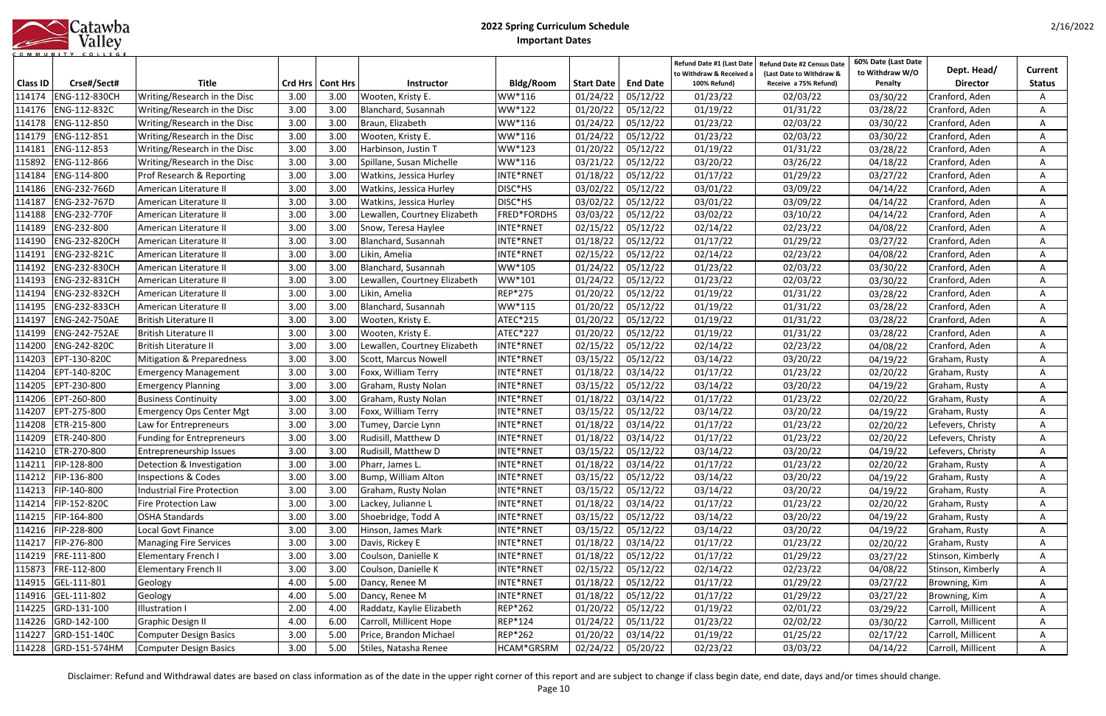|            | Catawba |
|------------|---------|
|            | Valley  |
| <b>MUN</b> |         |

| <b>Class ID</b> | Crse#/Sect#          | <b>Title</b>                     |      | Crd Hrs   Cont Hrs | <b>Instructor</b>            | Bldg/Room   | <b>Start Date</b> | <b>End Date</b>     | Refund Date #1 (Last Date<br>to Withdraw & Received a<br>100% Refund) | <b>Refund Date #2 Census Date</b><br>(Last Date to Withdraw &<br>Receive a 75% Refund) | 60% Date (Last Date<br>to Withdraw W/O<br>Penalty | Dept. Head/<br><b>Director</b> | Current<br><b>Status</b> |
|-----------------|----------------------|----------------------------------|------|--------------------|------------------------------|-------------|-------------------|---------------------|-----------------------------------------------------------------------|----------------------------------------------------------------------------------------|---------------------------------------------------|--------------------------------|--------------------------|
| 114174          | ENG-112-830CH        | Writing/Research in the Disc     | 3.00 | 3.00               | Wooten, Kristy E.            | WW*116      | 01/24/22          | 05/12/22            | 01/23/22                                                              | 02/03/22                                                                               | 03/30/22                                          | Cranford, Aden                 | Α                        |
| 114176          | ENG-112-832C         | Writing/Research in the Disc     | 3.00 | 3.00               | Blanchard, Susannah          | WW*122      | 01/20/22          | 05/12/22            | 01/19/22                                                              | 01/31/22                                                                               | 03/28/22                                          | Cranford, Aden                 | A                        |
| 114178          | ENG-112-850          | Writing/Research in the Disc     | 3.00 | 3.00               | Braun, Elizabeth             | WW*116      | 01/24/22          | 05/12/22            | 01/23/22                                                              | 02/03/22                                                                               | 03/30/22                                          | Cranford, Aden                 | A                        |
| 114179          | ENG-112-851          | Writing/Research in the Disc     | 3.00 | 3.00               | Wooten, Kristy E.            | WW*116      | 01/24/22          | 05/12/22            | 01/23/22                                                              | 02/03/22                                                                               | 03/30/22                                          | Cranford, Aden                 | A                        |
| 114181          | ENG-112-853          | Writing/Research in the Disc     | 3.00 | 3.00               | Harbinson, Justin T          | WW*123      | 01/20/22          | 05/12/22            | 01/19/22                                                              | 01/31/22                                                                               | 03/28/22                                          | Cranford, Aden                 | A                        |
| 115892          | ENG-112-866          | Writing/Research in the Disc     | 3.00 | 3.00               | Spillane, Susan Michelle     | WW*116      | 03/21/22          | 05/12/22            | 03/20/22                                                              | 03/26/22                                                                               | 04/18/22                                          | Cranford, Aden                 | A                        |
| 114184          | ENG-114-800          | Prof Research & Reporting        | 3.00 | 3.00               | Watkins, Jessica Hurley      | INTE*RNET   | 01/18/22          | 05/12/22            | 01/17/22                                                              | 01/29/22                                                                               | 03/27/22                                          | Cranford, Aden                 | A                        |
| 114186          | ENG-232-766D         | American Literature II           | 3.00 | 3.00               | Watkins, Jessica Hurley      | DISC*HS     | 03/02/22          | 05/12/22            | 03/01/22                                                              | 03/09/22                                                                               | 04/14/22                                          | Cranford, Aden                 | A                        |
| 114187          | ENG-232-767D         | American Literature II           | 3.00 | 3.00               | Watkins, Jessica Hurley      | DISC*HS     | 03/02/22          | 05/12/22            | 03/01/22                                                              | 03/09/22                                                                               | 04/14/22                                          | Cranford, Aden                 | A                        |
| 114188          | ENG-232-770F         | American Literature II           | 3.00 | 3.00               | Lewallen, Courtney Elizabeth | FRED*FORDHS | 03/03/22          | 05/12/22            | 03/02/22                                                              | 03/10/22                                                                               | 04/14/22                                          | Cranford, Aden                 | A                        |
| 114189          | ENG-232-800          | American Literature II           | 3.00 | 3.00               | Snow, Teresa Haylee          | INTE*RNET   | 02/15/22          | 05/12/22            | 02/14/22                                                              | 02/23/22                                                                               | 04/08/22                                          | Cranford, Aden                 | A                        |
| 114190          | ENG-232-820CH        | American Literature II           | 3.00 | 3.00               | Blanchard, Susannah          | INTE*RNET   | 01/18/22          | 05/12/22            | 01/17/22                                                              | 01/29/22                                                                               | 03/27/22                                          | Cranford, Aden                 |                          |
| 114191          | ENG-232-821C         | American Literature II           | 3.00 | 3.00               | Likin, Amelia                | INTE*RNET   | 02/15/22          | 05/12/22            | 02/14/22                                                              | 02/23/22                                                                               | 04/08/22                                          | Cranford, Aden                 |                          |
| 114192          | ENG-232-830CH        | American Literature II           | 3.00 | 3.00               | Blanchard, Susannah          | WW*105      | 01/24/22          | 05/12/22            | 01/23/22                                                              | 02/03/22                                                                               | 03/30/22                                          | Cranford, Aden                 |                          |
| 114193          | ENG-232-831CH        | American Literature II           | 3.00 | 3.00               | Lewallen, Courtney Elizabeth | WW*101      | 01/24/22          | 05/12/22            | 01/23/22                                                              | 02/03/22                                                                               | 03/30/22                                          | Cranford, Aden                 |                          |
| 114194          | ENG-232-832CH        | American Literature II           | 3.00 | 3.00               | Likin, Amelia                | REP*275     | 01/20/22          | 05/12/22            | 01/19/22                                                              | 01/31/22                                                                               | 03/28/22                                          | Cranford, Aden                 | A                        |
| 114195          | ENG-232-833CH        | American Literature II           | 3.00 | 3.00               | Blanchard, Susannah          | WW*115      | 01/20/22          | 05/12/22            | 01/19/22                                                              | 01/31/22                                                                               | 03/28/22                                          | Cranford, Aden                 |                          |
| 114197          | ENG-242-750AE        | British Literature II            | 3.00 | 3.00               | Wooten, Kristy E.            | ATEC*215    | 01/20/22          | 05/12/22            | 01/19/22                                                              | 01/31/22                                                                               | 03/28/22                                          | Cranford, Aden                 |                          |
| 114199          | ENG-242-752AE        | <b>British Literature II</b>     | 3.00 | 3.00               | Wooten, Kristy E.            | ATEC*227    | 01/20/22          | 05/12/22            | 01/19/22                                                              | 01/31/22                                                                               | 03/28/22                                          | Cranford, Aden                 | A                        |
| 114200          | ENG-242-820C         | <b>British Literature II</b>     | 3.00 | 3.00               | Lewallen, Courtney Elizabeth | INTE*RNET   | 02/15/22          | 05/12/22            | 02/14/22                                                              | 02/23/22                                                                               | 04/08/22                                          | Cranford, Aden                 | Α                        |
| 114203          | EPT-130-820C         | Mitigation & Preparedness        | 3.00 | 3.00               | Scott, Marcus Nowell         | INTE*RNET   | 03/15/22          | 05/12/22            | 03/14/22                                                              | 03/20/22                                                                               | 04/19/22                                          | Graham, Rusty                  | A                        |
| 114204          | EPT-140-820C         | <b>Emergency Management</b>      | 3.00 | 3.00               | Foxx, William Terry          | INTE*RNET   | 01/18/22          | 03/14/22            | 01/17/22                                                              | 01/23/22                                                                               | 02/20/22                                          | Graham, Rusty                  | A                        |
| 114205          | EPT-230-800          | <b>Emergency Planning</b>        | 3.00 | 3.00               | Graham, Rusty Nolan          | INTE*RNET   | 03/15/22          | 05/12/22            | 03/14/22                                                              | 03/20/22                                                                               | 04/19/22                                          | Graham, Rusty                  | A                        |
| 114206          | EPT-260-800          | <b>Business Continuity</b>       | 3.00 | 3.00               | Graham, Rusty Nolan          | INTE*RNET   | 01/18/22          | 03/14/22            | 01/17/22                                                              | 01/23/22                                                                               | 02/20/22                                          | Graham, Rusty                  | A                        |
| 114207          | EPT-275-800          | <b>Emergency Ops Center Mgt</b>  | 3.00 | 3.00               | Foxx, William Terry          | INTE*RNET   | 03/15/22          | 05/12/22            | 03/14/22                                                              | 03/20/22                                                                               | 04/19/22                                          | Graham, Rusty                  | A                        |
| 114208          | ETR-215-800          | Law for Entrepreneurs            | 3.00 | 3.00               | Tumey, Darcie Lynn           | INTE*RNET   | 01/18/22          | 03/14/22            | 01/17/22                                                              | 01/23/22                                                                               | 02/20/22                                          | Lefevers, Christy              | A                        |
| 114209          | ETR-240-800          | <b>Funding for Entrepreneurs</b> | 3.00 | 3.00               | Rudisill, Matthew D          | INTE*RNET   | 01/18/22          | 03/14/22            | 01/17/22                                                              | 01/23/22                                                                               | 02/20/22                                          | Lefevers, Christy              | A                        |
| 114210          | ETR-270-800          | Entrepreneurship Issues          | 3.00 | 3.00               | Rudisill, Matthew D          | INTE*RNET   | 03/15/22          | 05/12/22            | 03/14/22                                                              | 03/20/22                                                                               | 04/19/22                                          | Lefevers, Christy              | A                        |
|                 | 114211   FIP-128-800 | Detection & Investigation        | 3.00 | 3.00               | Pharr, James L.              | INTE*RNET   |                   | $01/18/22$ 03/14/22 | 01/17/22                                                              | 01/23/22                                                                               | 02/20/22                                          | Graham, Rusty                  | A                        |
|                 | 114212 FIP-136-800   | <b>Inspections &amp; Codes</b>   | 3.00 | 3.00               | Bump, William Alton          | INTE*RNET   | 03/15/22          | 05/12/22            | 03/14/22                                                              | 03/20/22                                                                               | 04/19/22                                          | Graham, Rusty                  | A                        |
| 114213          | FIP-140-800          | Industrial Fire Protection       | 3.00 | 3.00               | Graham, Rusty Nolan          | INTE*RNET   | 03/15/22          | 05/12/22            | 03/14/22                                                              | 03/20/22                                                                               | 04/19/22                                          | Graham, Rusty                  | A                        |
|                 | 114214 FIP-152-820C  | Fire Protection Law              | 3.00 | 3.00               | Lackey, Julianne L           | INTE*RNET   | 01/18/22          | 03/14/22            | 01/17/22                                                              | 01/23/22                                                                               | 02/20/22                                          | Graham, Rusty                  | Α                        |
| 114215          | FIP-164-800          | <b>OSHA Standards</b>            | 3.00 | 3.00               | Shoebridge, Todd A           | INTE*RNET   | 03/15/22          | 05/12/22            | 03/14/22                                                              | 03/20/22                                                                               | 04/19/22                                          | Graham, Rusty                  | A                        |
|                 | 114216 FIP-228-800   | Local Govt Finance               | 3.00 | 3.00               | Hinson, James Mark           | INTE*RNET   | 03/15/22          | 05/12/22            | 03/14/22                                                              | 03/20/22                                                                               | 04/19/22                                          | Graham, Rusty                  | A                        |
| 114217          | FIP-276-800          | <b>Managing Fire Services</b>    | 3.00 | 3.00               | Davis, Rickey E              | INTE*RNET   | 01/18/22          | 03/14/22            | 01/17/22                                                              | 01/23/22                                                                               | 02/20/22                                          | Graham, Rusty                  | A                        |
| 114219          | FRE-111-800          | <b>Elementary French I</b>       | 3.00 | 3.00               | Coulson, Danielle K          | INTE*RNET   | 01/18/22          | 05/12/22            | 01/17/22                                                              | 01/29/22                                                                               | 03/27/22                                          | Stinson, Kimberly              | A                        |
| 115873          | FRE-112-800          | Elementary French II             | 3.00 | 3.00               | Coulson, Danielle K          | INTE*RNET   | 02/15/22          | 05/12/22            | 02/14/22                                                              | 02/23/22                                                                               | 04/08/22                                          | Stinson, Kimberly              | A                        |
| 114915          | GEL-111-801          | Geology                          | 4.00 | 5.00               | Dancy, Renee M               | INTE*RNET   | 01/18/22          | 05/12/22            | 01/17/22                                                              | 01/29/22                                                                               | 03/27/22                                          | Browning, Kim                  | A                        |
|                 | 114916 GEL-111-802   | Geology                          | 4.00 | 5.00               | Dancy, Renee M               | INTE*RNET   | 01/18/22          | 05/12/22            | 01/17/22                                                              | 01/29/22                                                                               | 03/27/22                                          | Browning, Kim                  | A                        |
| 114225          | GRD-131-100          | <b>Illustration I</b>            | 2.00 | 4.00               | Raddatz, Kaylie Elizabeth    | REP*262     | 01/20/22          | 05/12/22            | 01/19/22                                                              | 02/01/22                                                                               | 03/29/22                                          | Carroll, Millicent             | A                        |
| 114226          | GRD-142-100          | <b>Graphic Design II</b>         | 4.00 | 6.00               | Carroll, Millicent Hope      | REP*124     | 01/24/22          | 05/11/22            | 01/23/22                                                              | 02/02/22                                                                               | 03/30/22                                          | Carroll, Millicent             | A                        |
| 114227          | GRD-151-140C         | <b>Computer Design Basics</b>    | 3.00 | 5.00               | Price, Brandon Michael       | REP*262     | 01/20/22          | 03/14/22            | 01/19/22                                                              | 01/25/22                                                                               | 02/17/22                                          | Carroll, Millicent             | A                        |
|                 | 114228 GRD-151-574HM | <b>Computer Design Basics</b>    | 3.00 | 5.00               | Stiles, Natasha Renee        | HCAM*GRSRM  | 02/24/22          | 05/20/22            | 02/23/22                                                              | 03/03/22                                                                               | 04/14/22                                          | Carroll, Millicent             | A                        |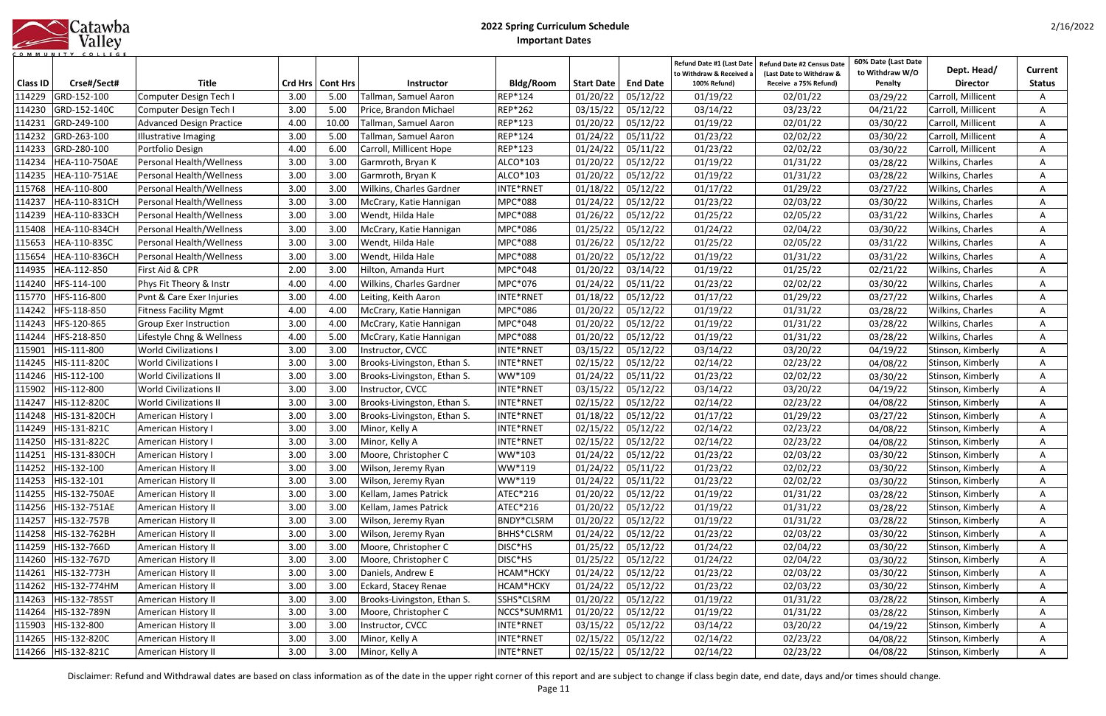|            | Catawba |
|------------|---------|
|            | Valley  |
| <b>MUN</b> |         |

| <b>Class ID</b>  | Crse#/Sect#                 | <b>Title</b>                               |              | Crd Hrs   Cont Hrs | <b>Instructor</b>                  | <b>Bldg/Room</b>       | <b>Start Date</b>    | <b>End Date</b>      | Refund Date #1 (Last Date<br>to Withdraw & Received<br>100% Refund) | <b>Refund Date #2 Census Date</b><br>(Last Date to Withdraw &<br>Receive a 75% Refund) | 60% Date (Last Date<br>to Withdraw W/O<br>Penalty | Dept. Head/<br><b>Director</b>         | <b>Current</b><br><b>Status</b> |
|------------------|-----------------------------|--------------------------------------------|--------------|--------------------|------------------------------------|------------------------|----------------------|----------------------|---------------------------------------------------------------------|----------------------------------------------------------------------------------------|---------------------------------------------------|----------------------------------------|---------------------------------|
| 114229           | GRD-152-100                 | Computer Design Tech I                     | 3.00         | 5.00               | Tallman, Samuel Aaron              | REP*124                | 01/20/22             | 05/12/22             | 01/19/22                                                            | 02/01/22                                                                               | 03/29/22                                          | Carroll, Millicent                     |                                 |
| 114230           | GRD-152-140C                | Computer Design Tech I                     | 3.00         | 5.00               | Price, Brandon Michael             | REP*262                | 03/15/22             | 05/12/22             | 03/14/22                                                            | 03/23/22                                                                               | 04/21/22                                          | Carroll, Millicent                     |                                 |
| 114231           | GRD-249-100                 | <b>Advanced Design Practice</b>            | 4.00         | 10.00              | Tallman, Samuel Aaron              | REP*123                | 01/20/22             | 05/12/22             | 01/19/22                                                            | 02/01/22                                                                               | 03/30/22                                          | Carroll, Millicent                     |                                 |
| 114232           | GRD-263-100                 | <b>Illustrative Imaging</b>                | 3.00         | 5.00               | Tallman, Samuel Aaron              | REP*124                | 01/24/22             | 05/11/22             | 01/23/22                                                            | 02/02/22                                                                               | 03/30/22                                          | Carroll, Millicent                     | A                               |
| 114233           | GRD-280-100                 | Portfolio Design                           | 4.00         | 6.00               | Carroll, Millicent Hope            | REP*123                | 01/24/22             | 05/11/22             | 01/23/22                                                            | 02/02/22                                                                               | 03/30/22                                          | Carroll, Millicent                     |                                 |
| 114234           | HEA-110-750AE               | Personal Health/Wellness                   | 3.00         | 3.00               | Garmroth, Bryan K                  | ALCO*103               | 01/20/22             | 05/12/22             | 01/19/22                                                            | 01/31/22                                                                               | 03/28/22                                          | Wilkins, Charles                       | A                               |
| 114235           | HEA-110-751AE               | Personal Health/Wellness                   | 3.00         | 3.00               | Garmroth, Bryan K                  | ALCO*103               | 01/20/22             | 05/12/22             | 01/19/22                                                            | 01/31/22                                                                               | 03/28/22                                          | Wilkins, Charles                       |                                 |
| 115768           | HEA-110-800                 | Personal Health/Wellness                   | 3.00         | 3.00               | Wilkins, Charles Gardner           | INTE*RNET              | 01/18/22             | 05/12/22             | 01/17/22                                                            | 01/29/22                                                                               | 03/27/22                                          | Wilkins, Charles                       | A                               |
| 114237           | HEA-110-831CH               | Personal Health/Wellness                   | 3.00         | 3.00               | McCrary, Katie Hannigan            | MPC*088                | 01/24/22             | 05/12/22             | 01/23/22                                                            | 02/03/22                                                                               | 03/30/22                                          | Wilkins, Charles                       | A                               |
| 114239           | HEA-110-833CH               | Personal Health/Wellness                   | 3.00         | 3.00               | Wendt, Hilda Hale                  | MPC*088                | 01/26/22             | 05/12/22             | 01/25/22                                                            | 02/05/22                                                                               | 03/31/22                                          | Wilkins, Charles                       | A                               |
| 115408           | HEA-110-834CH               | Personal Health/Wellness                   | 3.00         | 3.00               | McCrary, Katie Hannigan            | MPC*086                | 01/25/22             | 05/12/22             | 01/24/22                                                            | 02/04/22                                                                               | 03/30/22                                          | <b>Wilkins, Charles</b>                | A                               |
| 115653           | HEA-110-835C                | Personal Health/Wellness                   | 3.00         | 3.00               | Wendt, Hilda Hale                  | MPC*088                | 01/26/22             | 05/12/22             | 01/25/22                                                            | 02/05/22                                                                               | 03/31/22                                          | Wilkins, Charles                       |                                 |
| 115654           | HEA-110-836CH               | <b>Personal Health/Wellness</b>            | 3.00         | 3.00               | Wendt, Hilda Hale                  | MPC*088                | 01/20/22             | 05/12/22             | 01/19/22                                                            | 01/31/22                                                                               | 03/31/22                                          | Wilkins, Charles                       |                                 |
| 114935           | HEA-112-850                 | First Aid & CPR                            | 2.00         | 3.00               | Hilton, Amanda Hurt                | MPC*048                | 01/20/22             | 03/14/22             | 01/19/22                                                            | 01/25/22                                                                               | 02/21/22                                          | Wilkins, Charles                       |                                 |
| 114240           | HFS-114-100                 | Phys Fit Theory & Instr                    | 4.00         | 4.00               | Wilkins, Charles Gardner           | MPC*076                | 01/24/22             | 05/11/22             | 01/23/22                                                            | 02/02/22                                                                               | 03/30/22                                          | Wilkins, Charles                       | Α                               |
| 115770           | HFS-116-800                 | Pvnt & Care Exer Injuries                  | 3.00         | 4.00               | Leiting, Keith Aaron               | INTE*RNET              | 01/18/22             | 05/12/22             | 01/17/22                                                            | 01/29/22                                                                               | 03/27/22                                          | Wilkins, Charles                       | Α                               |
| 114242           | HFS-118-850                 | <b>Fitness Facility Mgmt</b>               | 4.00         | 4.00               | McCrary, Katie Hannigan            | MPC*086                | 01/20/22             | 05/12/22             | 01/19/22                                                            | 01/31/22                                                                               | 03/28/22                                          | Wilkins, Charles                       |                                 |
| 114243           | HFS-120-865                 | Group Exer Instruction                     | 3.00         | 4.00               | McCrary, Katie Hannigan            | MPC*048                | 01/20/22             | 05/12/22             | 01/19/22                                                            | 01/31/22                                                                               | 03/28/22                                          | Wilkins, Charles                       |                                 |
| 114244           | HFS-218-850                 | Lifestyle Chng & Wellness                  | 4.00         | 5.00               | McCrary, Katie Hannigan            | MPC*088                | 01/20/22             | 05/12/22             | 01/19/22                                                            | 01/31/22                                                                               | 03/28/22                                          | <b>Wilkins, Charles</b>                | A                               |
| 115901           | HIS-111-800                 | <b>World Civilizations I</b>               | 3.00         | 3.00               | Instructor, CVCC                   | INTE*RNET              | 03/15/22             | 05/12/22             | 03/14/22                                                            | 03/20/22                                                                               | 04/19/22                                          | Stinson, Kimberly                      | A                               |
| 114245           | HIS-111-820C                | <b>World Civilizations I</b>               | 3.00         | 3.00               | Brooks-Livingston, Ethan S.        | INTE*RNET              | 02/15/22             | 05/12/22             | 02/14/22                                                            | 02/23/22                                                                               | 04/08/22                                          | Stinson, Kimberly                      | A                               |
| 114246           | HIS-112-100                 | <b>World Civilizations II</b>              | 3.00         | 3.00               | Brooks-Livingston, Ethan S.        | WW*109                 | 01/24/22             | 05/11/22             | 01/23/22                                                            | 02/02/22                                                                               | 03/30/22                                          | Stinson, Kimberly                      | A                               |
| 115902           | HIS-112-800                 | <b>World Civilizations II</b>              | 3.00         | 3.00               | Instructor, CVCC                   | INTE*RNET              | 03/15/22             | 05/12/22             | 03/14/22                                                            | 03/20/22                                                                               | 04/19/22                                          | Stinson, Kimberly                      | A                               |
| 114247           | HIS-112-820C                | <b>World Civilizations II</b>              | 3.00         | 3.00               | Brooks-Livingston, Ethan S.        | INTE*RNET              | 02/15/22             | 05/12/22             | 02/14/22                                                            | 02/23/22                                                                               | 04/08/22                                          | Stinson, Kimberly                      | A                               |
| 114248           | HIS-131-820CH               | American History I                         | 3.00         | 3.00               | Brooks-Livingston, Ethan S.        | INTE*RNET              | 01/18/22             | 05/12/22             | 01/17/22                                                            | 01/29/22                                                                               | 03/27/22                                          | Stinson, Kimberly                      | A                               |
| 114249           | HIS-131-821C                | American History I                         | 3.00         | 3.00               | Minor, Kelly A                     | INTE*RNET              | 02/15/22             | 05/12/22             | 02/14/22                                                            | 02/23/22                                                                               | 04/08/22                                          | Stinson, Kimberly                      | A                               |
| 114250           | HIS-131-822C                | American History I                         | 3.00         | 3.00               | Minor, Kelly A                     | INTE*RNET              | 02/15/22             | 05/12/22             | 02/14/22                                                            | 02/23/22                                                                               | 04/08/22                                          | Stinson, Kimberly                      |                                 |
| 114251           | HIS-131-830CH               | American History I                         | 3.00         | 3.00               | Moore, Christopher C               | WW*103                 | 01/24/22             | 05/12/22             | 01/23/22                                                            | 02/03/22                                                                               | 03/30/22                                          | Stinson, Kimberly                      |                                 |
|                  | 114252 HIS-132-100          | American History II                        | 3.00         | 3.00               | Wilson, Jeremy Ryan                | WW*119                 | 01/24/22             | 05/11/22             | 01/23/22                                                            | 02/02/22                                                                               | 03/30/22                                          | Stinson, Kimberly                      | A                               |
| 114253           | HIS-132-101                 | American History II                        | 3.00         | 3.00               | Wilson, Jeremy Ryan                | WW*119                 | 01/24/22             | 05/11/22             | 01/23/22                                                            | 02/02/22                                                                               | 03/30/22                                          | Stinson, Kimberly                      | A                               |
| 114255           | HIS-132-750AE               | American History II                        | 3.00         | 3.00               | Kellam, James Patrick              | ATEC*216               | 01/20/22             | 05/12/22             | 01/19/22                                                            | 01/31/22                                                                               | 03/28/22                                          | Stinson, Kimberly                      | A                               |
| 114256           | HIS-132-751AE               | American History II                        | 3.00         | 3.00               | Kellam, James Patrick              | ATEC*216               | 01/20/22             | 05/12/22             | 01/19/22                                                            | 01/31/22                                                                               | 03/28/22                                          | Stinson, Kimberly                      | A                               |
| 114257           | HIS-132-757B                | American History II                        | 3.00         | 3.00               | Wilson, Jeremy Ryan                | BNDY*CLSRM             | 01/20/22             | 05/12/22             | 01/19/22                                                            | 01/31/22                                                                               | 03/28/22                                          | Stinson, Kimberly                      | A                               |
| 114258           | HIS-132-762BH               | American History II                        | 3.00         | 3.00               | Wilson, Jeremy Ryan                | BHHS*CLSRM             | 01/24/22             | 05/12/22             | 01/23/22                                                            | 02/03/22                                                                               | 03/30/22                                          | Stinson, Kimberly                      | A                               |
| 114259           | HIS-132-766D                | American History II                        | 3.00         | 3.00               | Moore, Christopher C               | DISC*HS                | 01/25/22             | 05/12/22             | 01/24/22                                                            | 02/04/22                                                                               | 03/30/22                                          | Stinson, Kimberly                      | A                               |
| 114260           | HIS-132-767D                | American History II                        | 3.00         | 3.00               | Moore, Christopher C               | DISC*HS                | 01/25/22             | 05/12/22             | 01/24/22                                                            | 02/04/22                                                                               | 03/30/22                                          | Stinson, Kimberly                      | A                               |
| 114261           | HIS-132-773H                | American History II                        | 3.00         | 3.00               | Daniels, Andrew E                  | HCAM*HCKY              | 01/24/22             | 05/12/22             | 01/23/22                                                            | 02/03/22                                                                               | 03/30/22                                          | Stinson, Kimberly                      | A                               |
| 114262           | HIS-132-774HM               | American History II                        | 3.00         | 3.00               | Eckard, Stacey Renae               | HCAM*HCKY              | 01/24/22             | 05/12/22             | 01/23/22                                                            | 02/03/22                                                                               | 03/30/22                                          | Stinson, Kimberly                      | A                               |
| 114263           | HIS-132-785ST               | American History II                        | 3.00         | 3.00               | Brooks-Livingston, Ethan S.        | SSHS*CLSRM             | 01/20/22             | 05/12/22             | 01/19/22                                                            | 01/31/22                                                                               | 03/28/22                                          | Stinson, Kimberly                      | A                               |
| 114264           | HIS-132-789N<br>HIS-132-800 | American History II                        | 3.00<br>3.00 | 3.00<br>3.00       | Moore, Christopher C               | NCCS*SUMRM1            | 01/20/22             | 05/12/22             | 01/19/22                                                            | 01/31/22                                                                               | 03/28/22                                          | Stinson, Kimberly                      | A                               |
| 115903<br>114265 | HIS-132-820C                | American History II<br>American History II | 3.00         | 3.00               | Instructor, CVCC<br>Minor, Kelly A | INTE*RNET<br>INTE*RNET | 03/15/22<br>02/15/22 | 05/12/22<br>05/12/22 | 03/14/22<br>02/14/22                                                | 03/20/22<br>02/23/22                                                                   | 04/19/22                                          | Stinson, Kimberly<br>Stinson, Kimberly | A                               |
| 114266           | HIS-132-821C                | American History II                        | 3.00         | 3.00               | Minor, Kelly A                     | INTE*RNET              | 02/15/22             | 05/12/22             | 02/14/22                                                            | 02/23/22                                                                               | 04/08/22                                          | Stinson, Kimberly                      | A<br>A                          |
|                  |                             |                                            |              |                    |                                    |                        |                      |                      |                                                                     |                                                                                        | 04/08/22                                          |                                        |                                 |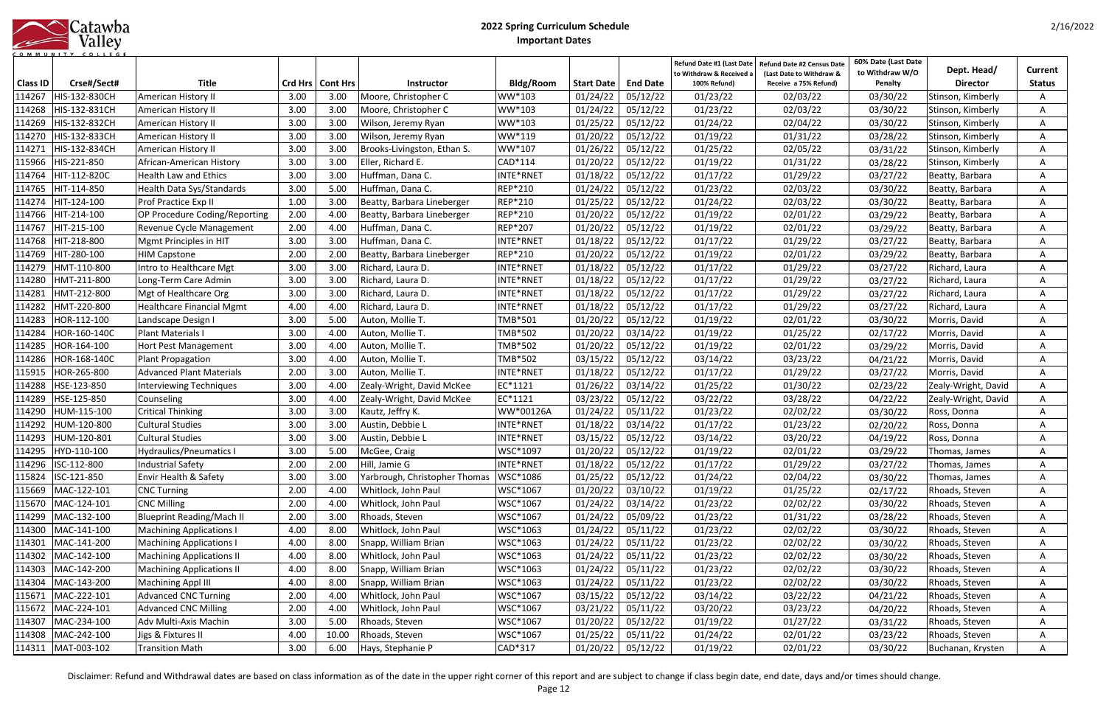|            | Catawba |
|------------|---------|
|            | Valley  |
| <b>MUN</b> |         |

| <b>Class ID</b> | Crse#/Sect#          | <b>Title</b>                     |      | Crd Hrs   Cont Hrs | <b>Instructor</b>             | Bldg/Room      | <b>Start Date</b> | <b>End Date</b>     | Refund Date #1 (Last Date<br>to Withdraw & Received a<br>100% Refund) | Refund Date #2 Census Date<br>(Last Date to Withdraw &<br>Receive a 75% Refund) | 60% Date (Last Date<br>to Withdraw W/O<br>Penalty | Dept. Head/<br><b>Director</b> | Current<br><b>Status</b> |
|-----------------|----------------------|----------------------------------|------|--------------------|-------------------------------|----------------|-------------------|---------------------|-----------------------------------------------------------------------|---------------------------------------------------------------------------------|---------------------------------------------------|--------------------------------|--------------------------|
| 114267          | HIS-132-830CH        | American History II              | 3.00 | 3.00               | Moore, Christopher C          | WW*103         | 01/24/22          | 05/12/22            | 01/23/22                                                              | 02/03/22                                                                        | 03/30/22                                          | Stinson, Kimberly              |                          |
| 114268          | HIS-132-831CH        | American History II              | 3.00 | 3.00               | Moore, Christopher C          | WW*103         | 01/24/22          | 05/12/22            | 01/23/22                                                              | 02/03/22                                                                        | 03/30/22                                          | Stinson, Kimberly              |                          |
| 114269          | HIS-132-832CH        | American History II              | 3.00 | 3.00               | Wilson, Jeremy Ryan           | WW*103         | 01/25/22          | 05/12/22            | 01/24/22                                                              | 02/04/22                                                                        | 03/30/22                                          | Stinson, Kimberly              |                          |
| 114270          | HIS-132-833CH        | American History II              | 3.00 | 3.00               | Wilson, Jeremy Ryan           | WW*119         | 01/20/22          | 05/12/22            | 01/19/22                                                              | 01/31/22                                                                        | 03/28/22                                          | Stinson, Kimberly              | A                        |
| 114271          | HIS-132-834CH        | American History II              | 3.00 | 3.00               | Brooks-Livingston, Ethan S.   | WW*107         | 01/26/22          | 05/12/22            | 01/25/22                                                              | 02/05/22                                                                        | 03/31/22                                          | Stinson, Kimberly              | A                        |
| 115966          | HIS-221-850          | African-American History         | 3.00 | 3.00               | Eller, Richard E.             | CAD*114        | 01/20/22          | 05/12/22            | 01/19/22                                                              | 01/31/22                                                                        | 03/28/22                                          | Stinson, Kimberly              | A                        |
| 114764          | HIT-112-820C         | <b>Health Law and Ethics</b>     | 3.00 | 3.00               | Huffman, Dana C.              | INTE*RNET      | 01/18/22          | 05/12/22            | 01/17/22                                                              | 01/29/22                                                                        | 03/27/22                                          | Beatty, Barbara                | A                        |
| 114765          | HIT-114-850          | Health Data Sys/Standards        | 3.00 | 5.00               | Huffman, Dana C.              | REP*210        | 01/24/22          | 05/12/22            | 01/23/22                                                              | 02/03/22                                                                        | 03/30/22                                          | Beatty, Barbara                | A                        |
| 114274          | HIT-124-100          | Prof Practice Exp II             | 1.00 | 3.00               | Beatty, Barbara Lineberger    | REP*210        | 01/25/22          | 05/12/22            | 01/24/22                                                              | 02/03/22                                                                        | 03/30/22                                          | Beatty, Barbara                | A                        |
| 114766          | HIT-214-100          | OP Procedure Coding/Reporting    | 2.00 | 4.00               | Beatty, Barbara Lineberger    | REP*210        | 01/20/22          | 05/12/22            | 01/19/22                                                              | 02/01/22                                                                        | 03/29/22                                          | Beatty, Barbara                | A                        |
| 114767          | HIT-215-100          | Revenue Cycle Management         | 2.00 | 4.00               | Huffman, Dana C.              | <b>REP*207</b> | 01/20/22          | 05/12/22            | 01/19/22                                                              | 02/01/22                                                                        | 03/29/22                                          | Beatty, Barbara                | A                        |
| 114768          | HIT-218-800          | <b>Mgmt Principles in HIT</b>    | 3.00 | 3.00               | Huffman, Dana C.              | INTE*RNET      | 01/18/22          | 05/12/22            | 01/17/22                                                              | 01/29/22                                                                        | 03/27/22                                          | Beatty, Barbara                |                          |
| 114769          | HIT-280-100          | <b>HIM Capstone</b>              | 2.00 | 2.00               | Beatty, Barbara Lineberger    | REP*210        | 01/20/22          | 05/12/22            | 01/19/22                                                              | 02/01/22                                                                        | 03/29/22                                          | Beatty, Barbara                |                          |
| 114279          | HMT-110-800          | Intro to Healthcare Mgt          | 3.00 | 3.00               | Richard, Laura D.             | INTE*RNET      | 01/18/22          | 05/12/22            | 01/17/22                                                              | 01/29/22                                                                        | 03/27/22                                          | Richard, Laura                 |                          |
| 114280          | HMT-211-800          | Long-Term Care Admin             | 3.00 | 3.00               | Richard, Laura D.             | INTE*RNET      | 01/18/22          | 05/12/22            | 01/17/22                                                              | 01/29/22                                                                        | 03/27/22                                          | Richard, Laura                 |                          |
| 114281          | HMT-212-800          | Mgt of Healthcare Org            | 3.00 | 3.00               | Richard, Laura D.             | INTE*RNET      | 01/18/22          | 05/12/22            | 01/17/22                                                              | 01/29/22                                                                        | 03/27/22                                          | Richard, Laura                 | A                        |
| 114282          | HMT-220-800          | <b>Healthcare Financial Mgmt</b> | 4.00 | 4.00               | Richard, Laura D.             | INTE*RNET      | 01/18/22          | 05/12/22            | 01/17/22                                                              | 01/29/22                                                                        | 03/27/22                                          | Richard, Laura                 | A                        |
| 114283          | HOR-112-100          | Landscape Design I               | 3.00 | 5.00               | Auton, Mollie T.              | TMB*501        | 01/20/22          | 05/12/22            | 01/19/22                                                              | 02/01/22                                                                        | 03/30/22                                          | Morris, David                  | A                        |
| 114284          | HOR-160-140C         | Plant Materials I                | 3.00 | 4.00               | Auton, Mollie T.              | TMB*502        | 01/20/22          | 03/14/22            | 01/19/22                                                              | 01/25/22                                                                        | 02/17/22                                          | Morris, David                  | A                        |
| 114285          | HOR-164-100          | Hort Pest Management             | 3.00 | 4.00               | Auton, Mollie T.              | TMB*502        | 01/20/22          | 05/12/22            | 01/19/22                                                              | 02/01/22                                                                        | 03/29/22                                          | Morris, David                  | Α                        |
| 114286          | HOR-168-140C         | <b>Plant Propagation</b>         | 3.00 | 4.00               | Auton, Mollie T.              | TMB*502        | 03/15/22          | 05/12/22            | 03/14/22                                                              | 03/23/22                                                                        | 04/21/22                                          | Morris, David                  | Α                        |
| 115915          | HOR-265-800          | <b>Advanced Plant Materials</b>  | 2.00 | 3.00               | Auton, Mollie T.              | INTE*RNET      | 01/18/22          | 05/12/22            | 01/17/22                                                              | 01/29/22                                                                        | 03/27/22                                          | Morris, David                  | A                        |
| 114288          | HSE-123-850          | Interviewing Techniques          | 3.00 | 4.00               | Zealy-Wright, David McKee     | EC*1121        | 01/26/22          | 03/14/22            | 01/25/22                                                              | 01/30/22                                                                        | 02/23/22                                          | Zealy-Wright, David            | A                        |
| 114289          | HSE-125-850          | Counseling                       | 3.00 | 4.00               | Zealy-Wright, David McKee     | EC*1121        | 03/23/22          | 05/12/22            | 03/22/22                                                              | 03/28/22                                                                        | 04/22/22                                          | Zealy-Wright, David            |                          |
| 114290          | HUM-115-100          | <b>Critical Thinking</b>         | 3.00 | 3.00               | Kautz, Jeffry K.              | WW*00126A      | 01/24/22          | 05/11/22            | 01/23/22                                                              | 02/02/22                                                                        | 03/30/22                                          | Ross, Donna                    |                          |
| 114292          | HUM-120-800          | <b>Cultural Studies</b>          | 3.00 | 3.00               | Austin, Debbie L              | INTE*RNET      | 01/18/22          | 03/14/22            | 01/17/22                                                              | 01/23/22                                                                        | 02/20/22                                          | Ross, Donna                    |                          |
| 114293          | HUM-120-801          | <b>Cultural Studies</b>          | 3.00 | 3.00               | Austin, Debbie L              | INTE*RNET      | 03/15/22          | 05/12/22            | 03/14/22                                                              | 03/20/22                                                                        | 04/19/22                                          | Ross, Donna                    | Α                        |
| 114295          | HYD-110-100          | <b>Hydraulics/Pneumatics I</b>   | 3.00 | 5.00               | McGee, Craig                  | WSC*1097       | 01/20/22          | 05/12/22            | 01/19/22                                                              | 02/01/22                                                                        | 03/29/22                                          | Thomas, James                  | A                        |
|                 | 114296 ISC-112-800   | Industrial Safety                | 2.00 | 2.00               | Hill, Jamie G                 | INTE*RNET      |                   | $01/18/22$ 05/12/22 | 01/17/22                                                              | 01/29/22                                                                        | 03/27/22                                          | Thomas, James                  | A                        |
| 115824          | ISC-121-850          | Envir Health & Safety            | 3.00 | 3.00               | Yarbrough, Christopher Thomas | WSC*1086       | 01/25/22          | 05/12/22            | 01/24/22                                                              | 02/04/22                                                                        | 03/30/22                                          | Thomas, James                  | A                        |
|                 | 115669 MAC-122-101   | <b>CNC Turning</b>               | 2.00 | 4.00               | Whitlock, John Paul           | WSC*1067       | 01/20/22          | 03/10/22            | 01/19/22                                                              | 01/25/22                                                                        | 02/17/22                                          | Rhoads, Steven                 | A                        |
|                 | 115670 MAC-124-101   | <b>CNC Milling</b>               | 2.00 | 4.00               | Whitlock, John Paul           | WSC*1067       | 01/24/22          | 03/14/22            | 01/23/22                                                              | 02/02/22                                                                        | 03/30/22                                          | Rhoads, Steven                 | A                        |
| 114299          | MAC-132-100          | <b>Blueprint Reading/Mach II</b> | 2.00 | 3.00               | Rhoads, Steven                | WSC*1067       | 01/24/22          | 05/09/22            | 01/23/22                                                              | 01/31/22                                                                        | 03/28/22                                          | Rhoads, Steven                 | A                        |
| 114300          | MAC-141-100          | <b>Machining Applications I</b>  | 4.00 | 8.00               | Whitlock, John Paul           | WSC*1063       | 01/24/22          | 05/11/22            | 01/23/22                                                              | 02/02/22                                                                        | 03/30/22                                          | Rhoads, Steven                 | A                        |
| 114301          | MAC-141-200          | <b>Machining Applications I</b>  | 4.00 | 8.00               | Snapp, William Brian          | WSC*1063       | 01/24/22          | 05/11/22            | 01/23/22                                                              | 02/02/22                                                                        | 03/30/22                                          | Rhoads, Steven                 | A                        |
| 114302          | MAC-142-100          | <b>Machining Applications II</b> | 4.00 | 8.00               | Whitlock, John Paul           | WSC*1063       | 01/24/22          | 05/11/22            | 01/23/22                                                              | 02/02/22                                                                        | 03/30/22                                          | Rhoads, Steven                 | A                        |
| 114303          | MAC-142-200          | <b>Machining Applications II</b> | 4.00 | 8.00               | Snapp, William Brian          | WSC*1063       | 01/24/22          | 05/11/22            | 01/23/22                                                              | 02/02/22                                                                        | 03/30/22                                          | Rhoads, Steven                 | A                        |
| 114304          | MAC-143-200          | Machining Appl III               | 4.00 | 8.00               | Snapp, William Brian          | WSC*1063       | 01/24/22          | 05/11/22            | 01/23/22                                                              | 02/02/22                                                                        | 03/30/22                                          | Rhoads, Steven                 | A                        |
| 115671          | MAC-222-101          | <b>Advanced CNC Turning</b>      | 2.00 | 4.00               | Whitlock, John Paul           | WSC*1067       | 03/15/22          | 05/12/22            | 03/14/22                                                              | 03/22/22                                                                        | 04/21/22                                          | Rhoads, Steven                 | A                        |
| 115672          | MAC-224-101          | <b>Advanced CNC Milling</b>      | 2.00 | 4.00               | Whitlock, John Paul           | WSC*1067       | 03/21/22          | 05/11/22            | 03/20/22                                                              | 03/23/22                                                                        | 04/20/22                                          | Rhoads, Steven                 | A                        |
| 114307          | MAC-234-100          | Adv Multi-Axis Machin            | 3.00 | 5.00               | Rhoads, Steven                | WSC*1067       | 01/20/22          | 05/12/22            | 01/19/22                                                              | 01/27/22                                                                        | 03/31/22                                          | Rhoads, Steven                 | A                        |
| 114308          | MAC-242-100          | Jigs & Fixtures II               | 4.00 | 10.00              | Rhoads, Steven                | WSC*1067       | 01/25/22          | 05/11/22            | 01/24/22                                                              | 02/01/22                                                                        | 03/23/22                                          | Rhoads, Steven                 | A                        |
|                 | 114311   MAT-003-102 | <b>Transition Math</b>           | 3.00 | 6.00               | Hays, Stephanie P             | CAD*317        | 01/20/22          | 05/12/22            | 01/19/22                                                              | 02/01/22                                                                        | 03/30/22                                          | Buchanan, Krysten              | A                        |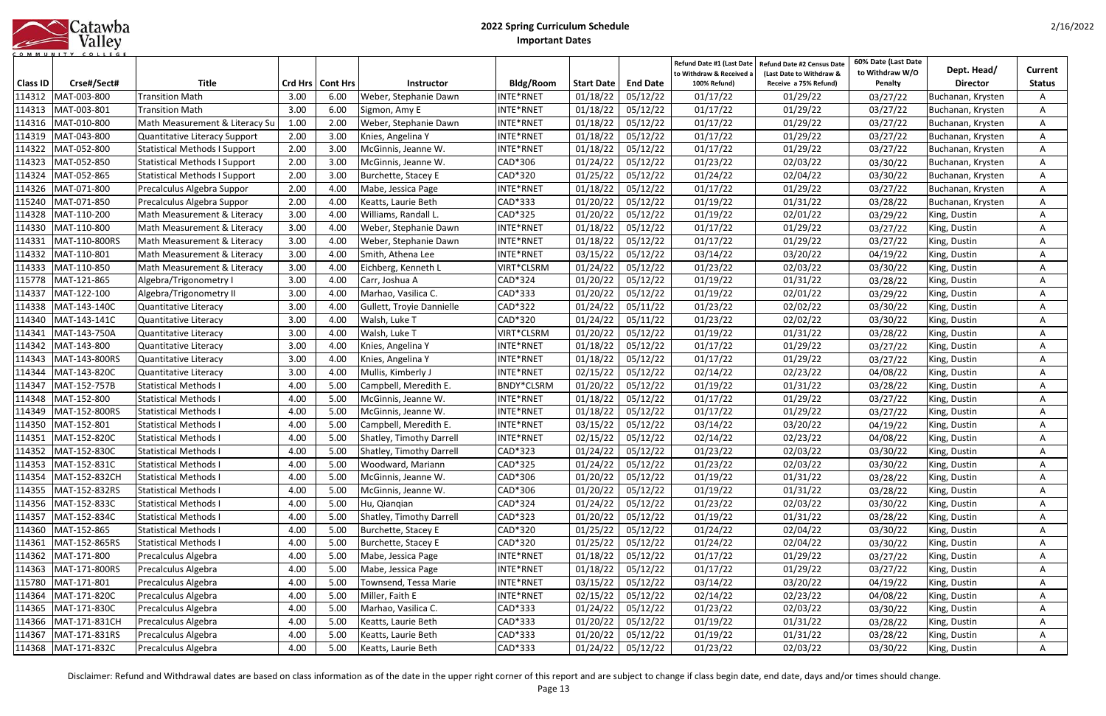|           |  |  | Catawba |         |  |  |  |
|-----------|--|--|---------|---------|--|--|--|
|           |  |  |         | Valley  |  |  |  |
| COMMUNITY |  |  |         | COLLEGE |  |  |  |

| <b>Class ID</b> | Crse#/Sect#            | <b>Title</b>                         |      | Crd Hrs   Cont Hrs | <b>Instructor</b>         | <b>Bldg/Room</b>  | <b>Start Date</b>   | <b>End Date</b> | Refund Date #1 (Last Date<br>to Withdraw & Received a<br>100% Refund) | Refund Date #2 Census Date<br>(Last Date to Withdraw &<br>Receive a 75% Refund) | 60% Date (Last Date<br>to Withdraw W/O<br>Penalty | Dept. Head/<br><b>Director</b> | Current<br><b>Status</b> |
|-----------------|------------------------|--------------------------------------|------|--------------------|---------------------------|-------------------|---------------------|-----------------|-----------------------------------------------------------------------|---------------------------------------------------------------------------------|---------------------------------------------------|--------------------------------|--------------------------|
| 114312          | MAT-003-800            | <b>Transition Math</b>               | 3.00 | 6.00               | Weber, Stephanie Dawn     | NTE*RNET          | 01/18/22            | 05/12/22        | 01/17/22                                                              | 01/29/22                                                                        | 03/27/22                                          | Buchanan, Krysten              |                          |
| 114313          | MAT-003-801            | <b>Transition Math</b>               | 3.00 | 6.00               | Sigmon, Amy E             | INTE*RNET         | 01/18/22            | 05/12/22        | 01/17/22                                                              | 01/29/22                                                                        | 03/27/22                                          | Buchanan, Krysten              |                          |
| 114316          | MAT-010-800            | Math Measurement & Literacy Su       | 1.00 | 2.00               | Weber, Stephanie Dawn     | NTE*RNET          | 01/18/22            | 05/12/22        | 01/17/22                                                              | 01/29/22                                                                        | 03/27/22                                          | Buchanan, Krysten              |                          |
| 114319          | MAT-043-800            | Quantitative Literacy Support        | 2.00 | 3.00               | Knies, Angelina Y         | NTE*RNET          | 01/18/22            | 05/12/22        | 01/17/22                                                              | 01/29/22                                                                        | 03/27/22                                          | Buchanan, Krysten              | A                        |
| 114322          | MAT-052-800            | <b>Statistical Methods I Support</b> | 2.00 | 3.00               | McGinnis, Jeanne W.       | INTE*RNET         | 01/18/22            | 05/12/22        | 01/17/22                                                              | 01/29/22                                                                        | 03/27/22                                          | Buchanan, Krysten              |                          |
| 114323          | MAT-052-850            | <b>Statistical Methods I Support</b> | 2.00 | 3.00               | McGinnis, Jeanne W.       | CAD*306           | 01/24/22            | 05/12/22        | 01/23/22                                                              | 02/03/22                                                                        | 03/30/22                                          | Buchanan, Krysten              |                          |
| 114324          | MAT-052-865            | <b>Statistical Methods I Support</b> | 2.00 | 3.00               | Burchette, Stacey E       | CAD*320           | 01/25/22            | 05/12/22        | 01/24/22                                                              | 02/04/22                                                                        | 03/30/22                                          | Buchanan, Krysten              |                          |
| 114326          | MAT-071-800            | Precalculus Algebra Suppor           | 2.00 | 4.00               | Mabe, Jessica Page        | NTE*RNET          | 01/18/22            | 05/12/22        | 01/17/22                                                              | 01/29/22                                                                        | 03/27/22                                          | Buchanan, Krysten              | A                        |
| 115240          | MAT-071-850            | Precalculus Algebra Suppor           | 2.00 | 4.00               | Keatts, Laurie Beth       | CAD*333           | 01/20/22            | 05/12/22        | 01/19/22                                                              | 01/31/22                                                                        | 03/28/22                                          | Buchanan, Krysten              | A                        |
| 114328          | MAT-110-200            | Math Measurement & Literacy          | 3.00 | 4.00               | Williams, Randall L.      | CAD*325           | 01/20/22            | 05/12/22        | 01/19/22                                                              | 02/01/22                                                                        | 03/29/22                                          | King, Dustin                   | A                        |
| 114330          | MAT-110-800            | Math Measurement & Literacy          | 3.00 | 4.00               | Weber, Stephanie Dawn     | INTE*RNET         | 01/18/22            | 05/12/22        | 01/17/22                                                              | 01/29/22                                                                        | 03/27/22                                          | King, Dustin                   | A                        |
| 114331          | MAT-110-800RS          | Math Measurement & Literacy          | 3.00 | 4.00               | Weber, Stephanie Dawn     | NTE*RNET          | 01/18/22            | 05/12/22        | 01/17/22                                                              | 01/29/22                                                                        | 03/27/22                                          | King, Dustin                   | A                        |
| 114332          | MAT-110-801            | Math Measurement & Literacy          | 3.00 | 4.00               | Smith, Athena Lee         | NTE*RNET          | 03/15/22            | 05/12/22        | 03/14/22                                                              | 03/20/22                                                                        | 04/19/22                                          | King, Dustin                   | A                        |
| 114333          | MAT-110-850            | Math Measurement & Literacy          | 3.00 | 4.00               | Eichberg, Kenneth L       | VIRT*CLSRM        | 01/24/22            | 05/12/22        | 01/23/22                                                              | 02/03/22                                                                        | 03/30/22                                          | King, Dustin                   | A                        |
| 115778          | MAT-121-865            | Algebra/Trigonometry I               | 3.00 | 4.00               | Carr, Joshua A            | CAD*324           | 01/20/22            | 05/12/22        | 01/19/22                                                              | 01/31/22                                                                        | 03/28/22                                          | King, Dustin                   | A                        |
| 114337          | MAT-122-100            | Algebra/Trigonometry II              | 3.00 | 4.00               | Marhao, Vasilica C.       | CAD*333           | 01/20/22            | 05/12/22        | 01/19/22                                                              | 02/01/22                                                                        | 03/29/22                                          | King, Dustin                   | A                        |
| 114338          | MAT-143-140C           | Quantitative Literacy                | 3.00 | 4.00               | Gullett, Troyie Dannielle | CAD*322           | 01/24/22            | 05/11/22        | 01/23/22                                                              | 02/02/22                                                                        | 03/30/22                                          | King, Dustin                   | A                        |
| 114340          | MAT-143-141C           | Quantitative Literacy                | 3.00 | 4.00               | Walsh, Luke T             | CAD*320           | 01/24/22            | 05/11/22        | 01/23/22                                                              | 02/02/22                                                                        | 03/30/22                                          | King, Dustin                   | A                        |
| 114341          | MAT-143-750A           | Quantitative Literacy                | 3.00 | 4.00               | Walsh, Luke T             | VIRT*CLSRM        | 01/20/22            | 05/12/22        | 01/19/22                                                              | 01/31/22                                                                        | 03/28/22                                          | King, Dustin                   |                          |
| 114342          | MAT-143-800            | Quantitative Literacy                | 3.00 | 4.00               | Knies, Angelina Y         | NTE*RNET          | 01/18/22            | 05/12/22        | 01/17/22                                                              | 01/29/22                                                                        | 03/27/22                                          | King, Dustin                   |                          |
| 114343          | MAT-143-800RS          | Quantitative Literacy                | 3.00 | 4.00               | Knies, Angelina Y         | NTE*RNET          | 01/18/22            | 05/12/22        | 01/17/22                                                              | 01/29/22                                                                        | 03/27/22                                          | King, Dustin                   |                          |
| 114344          | MAT-143-820C           | Quantitative Literacy                | 3.00 | 4.00               | Mullis, Kimberly J        | NTE*RNET          | 02/15/22            | 05/12/22        | 02/14/22                                                              | 02/23/22                                                                        | 04/08/22                                          | King, Dustin                   |                          |
| 114347          | MAT-152-757B           | <b>Statistical Methods I</b>         | 4.00 | 5.00               | Campbell, Meredith E.     | <b>BNDY*CLSRM</b> | 01/20/22            | 05/12/22        | 01/19/22                                                              | 01/31/22                                                                        | 03/28/22                                          | King, Dustin                   | A                        |
| 114348          | MAT-152-800            | <b>Statistical Methods I</b>         | 4.00 | 5.00               | McGinnis, Jeanne W.       | INTE*RNET         | 01/18/22            | 05/12/22        | 01/17/22                                                              | 01/29/22                                                                        | 03/27/22                                          | King, Dustin                   |                          |
| 114349          | MAT-152-800RS          | <b>Statistical Methods I</b>         | 4.00 | 5.00               | McGinnis, Jeanne W.       | NTE*RNET          | 01/18/22            | 05/12/22        | 01/17/22                                                              | 01/29/22                                                                        | 03/27/22                                          | King, Dustin                   |                          |
| 114350          | MAT-152-801            | <b>Statistical Methods I</b>         | 4.00 | 5.00               | Campbell, Meredith E.     | NTE*RNET          | 03/15/22            | 05/12/22        | 03/14/22                                                              | 03/20/22                                                                        | 04/19/22                                          | King, Dustin                   |                          |
| 114351          | MAT-152-8200           | <b>Statistical Methods I</b>         | 4.00 | 5.00               | Shatley, Timothy Darrell  | NTE*RNET          | 02/15/22            | 05/12/22        | 02/14/22                                                              | 02/23/22                                                                        | 04/08/22                                          | King, Dustin                   | A                        |
| 114352          | MAT-152-830C           | <b>Statistical Methods I</b>         | 4.00 | 5.00               | Shatley, Timothy Darrell  | CAD*323           | 01/24/22            | 05/12/22        | 01/23/22                                                              | 02/03/22                                                                        | 03/30/22                                          | King, Dustin                   | A                        |
|                 | 114353 MAT-152-831C    | Statistical Methods I                | 4.00 | 5.00               | Woodward, Mariann         | CAD*325           | $01/24/22$ 05/12/22 |                 | 01/23/22                                                              | 02/03/22                                                                        | 03/30/22                                          | King, Dustin                   | A                        |
|                 | 114354 MAT-152-832CH   | <b>Statistical Methods I</b>         | 4.00 | 5.00               | McGinnis, Jeanne W.       | CAD*306           | 01/20/22            | 05/12/22        | 01/19/22                                                              | 01/31/22                                                                        | 03/28/22                                          | King, Dustin                   | A                        |
|                 | 114355   MAT-152-832RS | Statistical Methods I                | 4.00 | 5.00               | McGinnis, Jeanne W.       | CAD*306           | 01/20/22            | 05/12/22        | 01/19/22                                                              | 01/31/22                                                                        | 03/28/22                                          | King, Dustin                   | A                        |
|                 | 114356 MAT-152-833C    | Statistical Methods I                | 4.00 | 5.00               | Hu, Qianqian              | CAD*324           | 01/24/22            | 05/12/22        | 01/23/22                                                              | 02/03/22                                                                        | 03/30/22                                          | King, Dustin                   | A                        |
| 114357          | MAT-152-834C           | Statistical Methods I                | 4.00 | 5.00               | Shatley, Timothy Darrell  | CAD*323           | 01/20/22            | 05/12/22        | 01/19/22                                                              | 01/31/22                                                                        | 03/28/22                                          | King, Dustin                   | A                        |
|                 | 114360 MAT-152-865     | <b>Statistical Methods I</b>         | 4.00 | 5.00               | Burchette, Stacey E       | CAD*320           | 01/25/22            | 05/12/22        | 01/24/22                                                              | 02/04/22                                                                        | 03/30/22                                          | King, Dustin                   | A                        |
|                 | 114361   MAT-152-865RS | <b>Statistical Methods I</b>         | 4.00 | 5.00               | Burchette, Stacey E       | CAD*320           | 01/25/22            | 05/12/22        | 01/24/22                                                              | 02/04/22                                                                        | 03/30/22                                          | King, Dustin                   | A                        |
|                 | 114362 MAT-171-800     | Precalculus Algebra                  | 4.00 | 5.00               | Mabe, Jessica Page        | NTE*RNET          | 01/18/22            | 05/12/22        | 01/17/22                                                              | 01/29/22                                                                        | 03/27/22                                          | King, Dustin                   | A                        |
|                 | 114363 MAT-171-800RS   | Precalculus Algebra                  | 4.00 | 5.00               | Mabe, Jessica Page        | NTE*RNET          | 01/18/22            | 05/12/22        | 01/17/22                                                              | 01/29/22                                                                        | 03/27/22                                          | King, Dustin                   | A                        |
|                 | 115780 MAT-171-801     | Precalculus Algebra                  | 4.00 | 5.00               | Townsend, Tessa Marie     | NTE*RNET          | 03/15/22            | 05/12/22        | 03/14/22                                                              | 03/20/22                                                                        | 04/19/22                                          | King, Dustin                   | Α                        |
|                 | 114364 MAT-171-820C    | Precalculus Algebra                  | 4.00 | 5.00               | Miller, Faith E           | NTE*RNET          | 02/15/22            | 05/12/22        | 02/14/22                                                              | 02/23/22                                                                        | 04/08/22                                          | King, Dustin                   | Α                        |
| 114365          | MAT-171-830C           | Precalculus Algebra                  | 4.00 | 5.00               | Marhao, Vasilica C.       | CAD*333           | 01/24/22            | 05/12/22        | 01/23/22                                                              | 02/03/22                                                                        | 03/30/22                                          | King, Dustin                   | A                        |
|                 | 114366 MAT-171-831CH   | Precalculus Algebra                  | 4.00 | 5.00               | Keatts, Laurie Beth       | CAD*333           | 01/20/22            | 05/12/22        | 01/19/22                                                              | 01/31/22                                                                        | 03/28/22                                          | King, Dustin                   | A                        |
|                 | 114367   MAT-171-831RS | Precalculus Algebra                  | 4.00 | 5.00               | Keatts, Laurie Beth       | CAD*333           | 01/20/22            | 05/12/22        | 01/19/22                                                              | 01/31/22                                                                        | 03/28/22                                          | King, Dustin                   | A                        |
|                 | 114368   MAT-171-832C  | Precalculus Algebra                  | 4.00 | 5.00               | Keatts, Laurie Beth       | CAD*333           | 01/24/22            | 05/12/22        | 01/23/22                                                              | 02/03/22                                                                        | 03/30/22                                          | King, Dustin                   | A                        |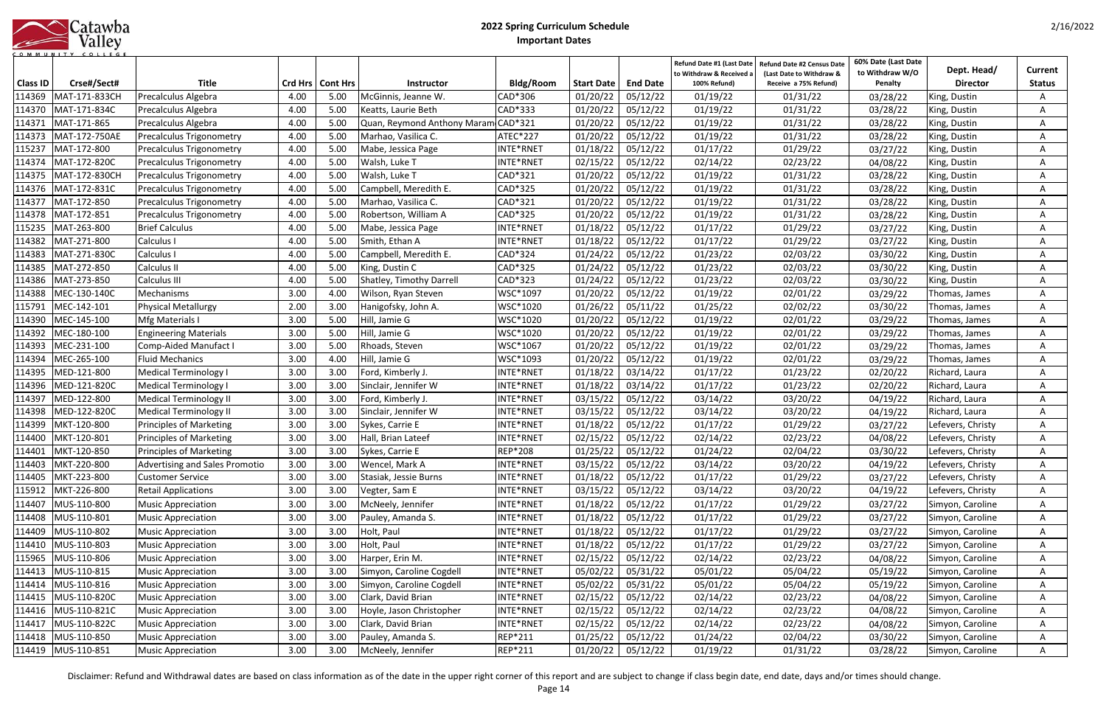|            | Catawba |
|------------|---------|
|            | Valley  |
| <b>MUN</b> |         |

| <b>Class ID</b> | Crse#/Sect#          | <b>Title</b>                   |      | Crd Hrs   Cont Hrs | <b>Instructor</b>                   | Bldg/Room      | <b>Start Date</b> | <b>End Date</b> | Refund Date #1 (Last Date<br>to Withdraw & Received a<br>100% Refund) | Refund Date #2 Census Date<br>(Last Date to Withdraw &<br>Receive a 75% Refund) | 60% Date (Last Date<br>to Withdraw W/O<br>Penalty | Dept. Head/<br><b>Director</b> | Current<br><b>Status</b> |
|-----------------|----------------------|--------------------------------|------|--------------------|-------------------------------------|----------------|-------------------|-----------------|-----------------------------------------------------------------------|---------------------------------------------------------------------------------|---------------------------------------------------|--------------------------------|--------------------------|
| 114369          | MAT-171-833CH        | Precalculus Algebra            | 4.00 | 5.00               | McGinnis, Jeanne W.                 | CAD*306        | 01/20/22          | 05/12/22        | 01/19/22                                                              | 01/31/22                                                                        | 03/28/22                                          | King, Dustin                   |                          |
| 114370          | MAT-171-834C         | Precalculus Algebra            | 4.00 | 5.00               | Keatts, Laurie Beth                 | CAD*333        | 01/20/22          | 05/12/22        | 01/19/22                                                              | 01/31/22                                                                        | 03/28/22                                          | King, Dustin                   |                          |
| 114371          | MAT-171-865          | Precalculus Algebra            | 4.00 | 5.00               | Quan, Reymond Anthony Maram CAD*321 |                | 01/20/22          | 05/12/22        | 01/19/22                                                              | 01/31/22                                                                        | 03/28/22                                          | King, Dustin                   |                          |
| 114373          | MAT-172-750AE        | Precalculus Trigonometry       | 4.00 | 5.00               | Marhao, Vasilica C.                 | ATEC*227       | 01/20/22          | 05/12/22        | 01/19/22                                                              | 01/31/22                                                                        | 03/28/22                                          | King, Dustin                   | A                        |
| 115237          | MAT-172-800          | Precalculus Trigonometry       | 4.00 | 5.00               | Mabe, Jessica Page                  | INTE*RNET      | 01/18/22          | 05/12/22        | 01/17/22                                                              | 01/29/22                                                                        | 03/27/22                                          | King, Dustin                   | A                        |
| 114374          | MAT-172-820C         | Precalculus Trigonometry       | 4.00 | 5.00               | Walsh, Luke T                       | INTE*RNET      | 02/15/22          | 05/12/22        | 02/14/22                                                              | 02/23/22                                                                        | 04/08/22                                          | King, Dustin                   | A                        |
| 114375          | MAT-172-830CH        | Precalculus Trigonometry       | 4.00 | 5.00               | Walsh, Luke T                       | CAD*321        | 01/20/22          | 05/12/22        | 01/19/22                                                              | 01/31/22                                                                        | 03/28/22                                          | King, Dustin                   | A                        |
| 114376          | MAT-172-831C         | Precalculus Trigonometry       | 4.00 | 5.00               | Campbell, Meredith E.               | CAD*325        | 01/20/22          | 05/12/22        | 01/19/22                                                              | 01/31/22                                                                        | 03/28/22                                          | King, Dustin                   | A                        |
| 114377          | MAT-172-850          | Precalculus Trigonometry       | 4.00 | 5.00               | Marhao, Vasilica C.                 | CAD*321        | 01/20/22          | 05/12/22        | 01/19/22                                                              | 01/31/22                                                                        | 03/28/22                                          | King, Dustin                   | A                        |
| 114378          | MAT-172-851          | Precalculus Trigonometry       | 4.00 | 5.00               | Robertson, William A                | CAD*325        | 01/20/22          | 05/12/22        | 01/19/22                                                              | 01/31/22                                                                        | 03/28/22                                          | King, Dustin                   | A                        |
| 115235          | MAT-263-800          | <b>Brief Calculus</b>          | 4.00 | 5.00               | Mabe, Jessica Page                  | INTE*RNET      | 01/18/22          | 05/12/22        | 01/17/22                                                              | 01/29/22                                                                        | 03/27/22                                          | King, Dustin                   | A                        |
| 114382          | MAT-271-800          | Calculus I                     | 4.00 | 5.00               | Smith, Ethan A                      | INTE*RNET      | 01/18/22          | 05/12/22        | 01/17/22                                                              | 01/29/22                                                                        | 03/27/22                                          | King, Dustin                   |                          |
| 114383          | MAT-271-830C         | Calculus I                     | 4.00 | 5.00               | Campbell, Meredith E.               | CAD*324        | 01/24/22          | 05/12/22        | 01/23/22                                                              | 02/03/22                                                                        | 03/30/22                                          | King, Dustin                   |                          |
| 114385          | MAT-272-850          | Calculus II                    | 4.00 | 5.00               | King, Dustin C                      | CAD*325        | 01/24/22          | 05/12/22        | 01/23/22                                                              | 02/03/22                                                                        | 03/30/22                                          | King, Dustin                   |                          |
| 114386          | MAT-273-850          | Calculus III                   | 4.00 | 5.00               | Shatley, Timothy Darrell            | CAD*323        | 01/24/22          | 05/12/22        | 01/23/22                                                              | 02/03/22                                                                        | 03/30/22                                          | King, Dustin                   |                          |
| 114388          | MEC-130-140C         | Mechanisms                     | 3.00 | 4.00               | Wilson, Ryan Steven                 | WSC*1097       | 01/20/22          | 05/12/22        | 01/19/22                                                              | 02/01/22                                                                        | 03/29/22                                          | Thomas, James                  | A                        |
| 115791          | MEC-142-101          | <b>Physical Metallurgy</b>     | 2.00 | 3.00               | Hanigofsky, John A.                 | WSC*1020       | 01/26/22          | 05/11/22        | 01/25/22                                                              | 02/02/22                                                                        | 03/30/22                                          | Thomas, James                  | A                        |
| 114390          | MEC-145-100          | Mfg Materials I                | 3.00 | 5.00               | Hill, Jamie G                       | WSC*1020       | 01/20/22          | 05/12/22        | 01/19/22                                                              | 02/01/22                                                                        | 03/29/22                                          | Thomas, James                  | A                        |
| 114392          | MEC-180-100          | <b>Engineering Materials</b>   | 3.00 | 5.00               | Hill, Jamie G                       | WSC*1020       | 01/20/22          | 05/12/22        | 01/19/22                                                              | 02/01/22                                                                        | 03/29/22                                          | Thomas, James                  | A                        |
| 114393          | MEC-231-100          | <b>Comp-Aided Manufact I</b>   | 3.00 | 5.00               | Rhoads, Steven                      | WSC*1067       | 01/20/22          | 05/12/22        | 01/19/22                                                              | 02/01/22                                                                        | 03/29/22                                          | Thomas, James                  | Α                        |
| 114394          | MEC-265-100          | <b>Fluid Mechanics</b>         | 3.00 | 4.00               | Hill, Jamie G                       | WSC*1093       | 01/20/22          | 05/12/22        | 01/19/22                                                              | 02/01/22                                                                        | 03/29/22                                          | Thomas, James                  | Α                        |
| 114395          | MED-121-800          | <b>Medical Terminology I</b>   | 3.00 | 3.00               | Ford, Kimberly J.                   | INTE*RNET      | 01/18/22          | 03/14/22        | 01/17/22                                                              | 01/23/22                                                                        | 02/20/22                                          | Richard, Laura                 | A                        |
| 114396          | MED-121-820C         | <b>Medical Terminology I</b>   | 3.00 | 3.00               | Sinclair, Jennifer W                | INTE*RNET      | 01/18/22          | 03/14/22        | 01/17/22                                                              | 01/23/22                                                                        | 02/20/22                                          | Richard, Laura                 | A                        |
| 114397          | MED-122-800          | <b>Medical Terminology II</b>  | 3.00 | 3.00               | Ford, Kimberly J.                   | INTE*RNET      | 03/15/22          | 05/12/22        | 03/14/22                                                              | 03/20/22                                                                        | 04/19/22                                          | Richard, Laura                 |                          |
| 114398          | MED-122-820C         | <b>Medical Terminology II</b>  | 3.00 | 3.00               | Sinclair, Jennifer W                | INTE*RNET      | 03/15/22          | 05/12/22        | 03/14/22                                                              | 03/20/22                                                                        | 04/19/22                                          | Richard, Laura                 |                          |
| 114399          | MKT-120-800          | <b>Principles of Marketing</b> | 3.00 | 3.00               | Sykes, Carrie E                     | INTE*RNET      | 01/18/22          | 05/12/22        | 01/17/22                                                              | 01/29/22                                                                        | 03/27/22                                          | Lefevers, Christy              |                          |
| 114400          | MKT-120-801          | <b>Principles of Marketing</b> | 3.00 | 3.00               | Hall, Brian Lateef                  | INTE*RNET      | 02/15/22          | 05/12/22        | 02/14/22                                                              | 02/23/22                                                                        | 04/08/22                                          | Lefevers, Christy              | Α                        |
| 114401          | MKT-120-850          | <b>Principles of Marketing</b> | 3.00 | 3.00               | Sykes, Carrie E                     | <b>REP*208</b> | 01/25/22          | 05/12/22        | 01/24/22                                                              | 02/04/22                                                                        | 03/30/22                                          | Lefevers, Christy              | A                        |
|                 | 114403 MKT-220-800   | Advertising and Sales Promotio | 3.00 |                    | 3.00   Wencel, Mark A               | INTE*RNET      | 03/15/22 05/12/22 |                 | 03/14/22                                                              | 03/20/22                                                                        | 04/19/22                                          | Lefevers, Christy              | A                        |
|                 | 114405   MKT-223-800 | <b>Customer Service</b>        | 3.00 | 3.00               | Stasiak, Jessie Burns               | INTE*RNET      | 01/18/22          | 05/12/22        | 01/17/22                                                              | 01/29/22                                                                        | 03/27/22                                          | Lefevers, Christy              | A                        |
|                 | 115912 MKT-226-800   | <b>Retail Applications</b>     | 3.00 | 3.00               | Vegter, Sam E                       | INTE*RNET      | 03/15/22          | 05/12/22        | 03/14/22                                                              | 03/20/22                                                                        | 04/19/22                                          | Lefevers, Christy              | A                        |
| 114407          | MUS-110-800          | <b>Music Appreciation</b>      | 3.00 | 3.00               | McNeely, Jennifer                   | INTE*RNET      | 01/18/22          | 05/12/22        | 01/17/22                                                              | 01/29/22                                                                        | 03/27/22                                          | Simyon, Caroline               | A                        |
|                 | 114408 MUS-110-801   | <b>Music Appreciation</b>      | 3.00 | 3.00               | Pauley, Amanda S.                   | INTE*RNET      | 01/18/22          | 05/12/22        | 01/17/22                                                              | 01/29/22                                                                        | 03/27/22                                          | Simyon, Caroline               | A                        |
| 114409          | MUS-110-802          | <b>Music Appreciation</b>      | 3.00 | 3.00               | Holt, Paul                          | INTE*RNET      | 01/18/22          | 05/12/22        | 01/17/22                                                              | 01/29/22                                                                        | 03/27/22                                          | Simyon, Caroline               | A                        |
|                 | 114410 MUS-110-803   | <b>Music Appreciation</b>      | 3.00 | 3.00               | Holt, Paul                          | INTE*RNET      | 01/18/22          | 05/12/22        | 01/17/22                                                              | 01/29/22                                                                        | 03/27/22                                          | Simyon, Caroline               | A                        |
| 115965          | MUS-110-806          | <b>Music Appreciation</b>      | 3.00 | 3.00               | Harper, Erin M.                     | INTE*RNET      | 02/15/22          | 05/12/22        | 02/14/22                                                              | 02/23/22                                                                        | 04/08/22                                          | Simyon, Caroline               | A                        |
| 114413          | MUS-110-815          | <b>Music Appreciation</b>      | 3.00 | 3.00               | Simyon, Caroline Cogdell            | INTE*RNET      | 05/02/22          | 05/31/22        | 05/01/22                                                              | 05/04/22                                                                        | 05/19/22                                          | Simyon, Caroline               | A                        |
| 114414          | MUS-110-816          | <b>Music Appreciation</b>      | 3.00 | 3.00               | Simyon, Caroline Cogdell            | INTE*RNET      | 05/02/22          | 05/31/22        | 05/01/22                                                              | 05/04/22                                                                        | 05/19/22                                          | Simyon, Caroline               | A                        |
| 114415          | MUS-110-820C         | <b>Music Appreciation</b>      | 3.00 | 3.00               | Clark, David Brian                  | INTE*RNET      | 02/15/22          | 05/12/22        | 02/14/22                                                              | 02/23/22                                                                        | 04/08/22                                          | Simyon, Caroline               | Α                        |
| 114416          | MUS-110-821C         | <b>Music Appreciation</b>      | 3.00 | 3.00               | Hoyle, Jason Christopher            | INTE*RNET      | 02/15/22          | 05/12/22        | 02/14/22                                                              | 02/23/22                                                                        | 04/08/22                                          | Simyon, Caroline               | Α                        |
| 114417          | MUS-110-822C         | <b>Music Appreciation</b>      | 3.00 | 3.00               | Clark, David Brian                  | INTE*RNET      | 02/15/22          | 05/12/22        | 02/14/22                                                              | 02/23/22                                                                        | 04/08/22                                          | Simyon, Caroline               | A                        |
|                 | 114418   MUS-110-850 | <b>Music Appreciation</b>      | 3.00 | 3.00               | Pauley, Amanda S.                   | REP*211        | 01/25/22          | 05/12/22        | 01/24/22                                                              | 02/04/22                                                                        | 03/30/22                                          | Simyon, Caroline               | A                        |
|                 | 114419  MUS-110-851  | <b>Music Appreciation</b>      | 3.00 | 3.00               | McNeely, Jennifer                   | REP*211        | 01/20/22          | 05/12/22        | 01/19/22                                                              | 01/31/22                                                                        | 03/28/22                                          | Simyon, Caroline               | A                        |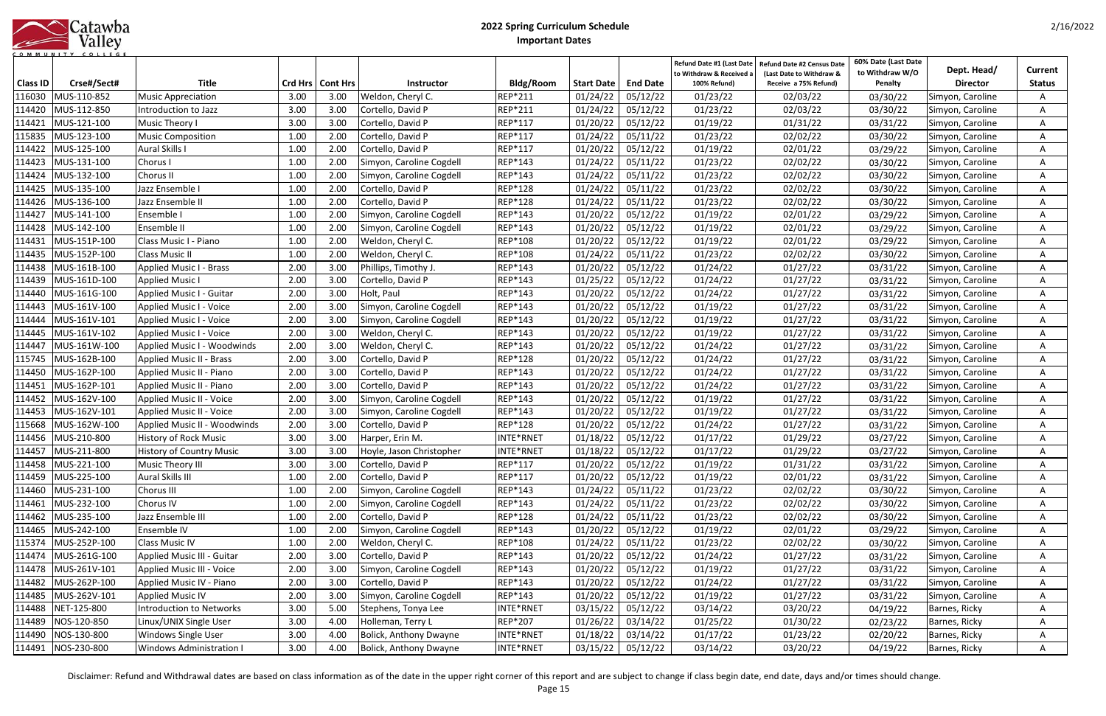|      | Catawba |
|------|---------|
|      | Valley  |
| OMMU |         |

| Class ID | Crse#/Sect#          | <b>Title</b>                        |      | Crd Hrs   Cont Hrs | <b>Instructor</b>             | Bldg/Room      | Start Date | <b>End Date</b>     | Refund Date #1 (Last Date<br>to Withdraw & Received a<br>100% Refund) | <b>Refund Date #2 Census Date</b><br>(Last Date to Withdraw &<br>Receive a 75% Refund) | 60% Date (Last Date<br>to Withdraw W/O<br>Penalty | Dept. Head/<br><b>Director</b> | Current<br><b>Status</b> |
|----------|----------------------|-------------------------------------|------|--------------------|-------------------------------|----------------|------------|---------------------|-----------------------------------------------------------------------|----------------------------------------------------------------------------------------|---------------------------------------------------|--------------------------------|--------------------------|
| 116030   | MUS-110-852          | <b>Music Appreciation</b>           | 3.00 | 3.00               | Weldon, Cheryl C.             | REP*211        | 01/24/22   | 05/12/22            | 01/23/22                                                              | 02/03/22                                                                               | 03/30/22                                          | Simyon, Caroline               | A                        |
| 114420   | MUS-112-850          | Introduction to Jazz                | 3.00 | 3.00               | Cortello, David P             | REP*211        | 01/24/22   | 05/12/22            | 01/23/22                                                              | 02/03/22                                                                               | 03/30/22                                          | Simyon, Caroline               | A                        |
| 114421   | MUS-121-100          | Music Theory I                      | 3.00 | 3.00               | Cortello, David P             | REP*117        | 01/20/22   | 05/12/22            | 01/19/22                                                              | 01/31/22                                                                               | 03/31/22                                          | Simyon, Caroline               | A                        |
| 115835   | MUS-123-100          | <b>Music Composition</b>            | 1.00 | 2.00               | Cortello, David P             | REP*117        | 01/24/22   | 05/11/22            | 01/23/22                                                              | 02/02/22                                                                               | 03/30/22                                          | Simyon, Caroline               | A                        |
| 114422   | MUS-125-100          | Aural Skills I                      | 1.00 | 2.00               | Cortello, David P             | REP*117        | 01/20/22   | 05/12/22            | 01/19/22                                                              | 02/01/22                                                                               | 03/29/22                                          | Simyon, Caroline               | A                        |
| 114423   | MUS-131-100          | Chorus I                            | 1.00 | 2.00               | Simyon, Caroline Cogdell      | REP*143        | 01/24/22   | 05/11/22            | 01/23/22                                                              | 02/02/22                                                                               | 03/30/22                                          | Simyon, Caroline               | A                        |
| 114424   | MUS-132-100          | Chorus II                           | 1.00 | 2.00               | Simyon, Caroline Cogdell      | REP*143        | 01/24/22   | 05/11/22            | 01/23/22                                                              | 02/02/22                                                                               | 03/30/22                                          | Simyon, Caroline               | A                        |
| 114425   | MUS-135-100          | Jazz Ensemble I                     | 1.00 | 2.00               | Cortello, David P             | <b>REP*128</b> | 01/24/22   | 05/11/22            | 01/23/22                                                              | 02/02/22                                                                               | 03/30/22                                          | Simyon, Caroline               | A                        |
| 114426   | MUS-136-100          | Jazz Ensemble II                    | 1.00 | 2.00               | Cortello, David P             | <b>REP*128</b> | 01/24/22   | 05/11/22            | 01/23/22                                                              | 02/02/22                                                                               | 03/30/22                                          | Simyon, Caroline               | A                        |
| 114427   | MUS-141-100          | Ensemble I                          | 1.00 | 2.00               | Simyon, Caroline Cogdell      | REP*143        | 01/20/22   | 05/12/22            | 01/19/22                                                              | 02/01/22                                                                               | 03/29/22                                          | Simyon, Caroline               | A                        |
| 114428   | MUS-142-100          | Ensemble II                         | 1.00 | 2.00               | Simyon, Caroline Cogdell      | REP*143        | 01/20/22   | 05/12/22            | 01/19/22                                                              | 02/01/22                                                                               | 03/29/22                                          | Simyon, Caroline               | A                        |
| 114431   | MUS-151P-100         | Class Music I - Piano               | 1.00 | 2.00               | Weldon, Cheryl C.             | REP*108        | 01/20/22   | 05/12/22            | 01/19/22                                                              | 02/01/22                                                                               | 03/29/22                                          | Simyon, Caroline               | A                        |
| 114435   | MUS-152P-100         | <b>Class Music II</b>               | 1.00 | 2.00               | Weldon, Cheryl C.             | <b>REP*108</b> | 01/24/22   | 05/11/22            | 01/23/22                                                              | 02/02/22                                                                               | 03/30/22                                          | Simyon, Caroline               | A                        |
| 114438   | MUS-161B-100         | <b>Applied Music I - Brass</b>      | 2.00 | 3.00               | Phillips, Timothy J.          | REP*143        | 01/20/22   | 05/12/22            | 01/24/22                                                              | 01/27/22                                                                               | 03/31/22                                          | Simyon, Caroline               | A                        |
| 114439   | MUS-161D-100         | <b>Applied Music I</b>              | 2.00 | 3.00               | Cortello, David P             | REP*143        | 01/25/22   | 05/12/22            | 01/24/22                                                              | 01/27/22                                                                               | 03/31/22                                          | Simyon, Caroline               | A                        |
| 114440   | MUS-161G-100         | <b>Applied Music I - Guitar</b>     | 2.00 | 3.00               | Holt, Paul                    | REP*143        | 01/20/22   | 05/12/22            | 01/24/22                                                              | 01/27/22                                                                               | 03/31/22                                          | Simyon, Caroline               | A                        |
| 114443   | MUS-161V-100         | <b>Applied Music I - Voice</b>      | 2.00 | 3.00               | Simyon, Caroline Cogdell      | REP*143        | 01/20/22   | 05/12/22            | 01/19/22                                                              | 01/27/22                                                                               | 03/31/22                                          | Simyon, Caroline               | A                        |
| 114444   | MUS-161V-101         | Applied Music I - Voice             | 2.00 | 3.00               | Simyon, Caroline Cogdell      | REP*143        | 01/20/22   | 05/12/22            | 01/19/22                                                              | 01/27/22                                                                               | 03/31/22                                          | Simyon, Caroline               | A                        |
| 114445   | MUS-161V-102         | <b>Applied Music I - Voice</b>      | 2.00 | 3.00               | Weldon, Cheryl C.             | REP*143        | 01/20/22   | 05/12/22            | 01/19/22                                                              | 01/27/22                                                                               | 03/31/22                                          | Simyon, Caroline               |                          |
| 114447   | MUS-161W-100         | <b>Applied Music I - Woodwinds</b>  | 2.00 | 3.00               | Weldon, Cheryl C.             | REP*143        | 01/20/22   | 05/12/22            | 01/24/22                                                              | 01/27/22                                                                               | 03/31/22                                          | Simyon, Caroline               |                          |
| 115745   | MUS-162B-100         | <b>Applied Music II - Brass</b>     | 2.00 | 3.00               | Cortello, David P             | REP*128        | 01/20/22   | 05/12/22            | 01/24/22                                                              | 01/27/22                                                                               | 03/31/22                                          | Simyon, Caroline               | A                        |
| 114450   | MUS-162P-100         | <b>Applied Music II - Piano</b>     | 2.00 | 3.00               | Cortello, David P             | REP*143        | 01/20/22   | 05/12/22            | 01/24/22                                                              | 01/27/22                                                                               | 03/31/22                                          | Simyon, Caroline               | A                        |
| 114451   | MUS-162P-101         | Applied Music II - Piano            | 2.00 | 3.00               | Cortello, David P             | REP*143        | 01/20/22   | 05/12/22            | 01/24/22                                                              | 01/27/22                                                                               | 03/31/22                                          | Simyon, Caroline               | A                        |
| 114452   | MUS-162V-100         | <b>Applied Music II - Voice</b>     | 2.00 | 3.00               | Simyon, Caroline Cogdell      | REP*143        | 01/20/22   | 05/12/22            | 01/19/22                                                              | 01/27/22                                                                               | 03/31/22                                          | Simyon, Caroline               | A                        |
| 114453   | MUS-162V-101         | Applied Music II - Voice            | 2.00 | 3.00               | Simyon, Caroline Cogdell      | REP*143        | 01/20/22   | 05/12/22            | 01/19/22                                                              | 01/27/22                                                                               | 03/31/22                                          | Simyon, Caroline               | A                        |
| 115668   | MUS-162W-100         | <b>Applied Music II - Woodwinds</b> | 2.00 | 3.00               | Cortello, David P             | REP*128        | 01/20/22   | 05/12/22            | 01/24/22                                                              | 01/27/22                                                                               | 03/31/22                                          | Simyon, Caroline               | A                        |
| 114456   | MUS-210-800          | <b>History of Rock Music</b>        | 3.00 | 3.00               | Harper, Erin M.               | INTE*RNET      | 01/18/22   | 05/12/22            | 01/17/22                                                              | 01/29/22                                                                               | 03/27/22                                          | Simyon, Caroline               | Α                        |
| 114457   | MUS-211-800          | <b>History of Country Music</b>     | 3.00 | 3.00               | Hoyle, Jason Christopher      | INTE*RNET      | 01/18/22   | 05/12/22            | 01/17/22                                                              | 01/29/22                                                                               | 03/27/22                                          | Simyon, Caroline               | A                        |
|          | 114458 MUS-221-100   | Music Theory III                    | 3.00 | 3.00               | Cortello, David P             | REP*117        |            | $01/20/22$ 05/12/22 | 01/19/22                                                              | 01/31/22                                                                               | 03/31/22                                          | Simyon, Caroline               | A                        |
|          | 114459 MUS-225-100   | Aural Skills III                    | 1.00 | 2.00               | Cortello, David P             | REP*117        | 01/20/22   | 05/12/22            | 01/19/22                                                              | 02/01/22                                                                               | 03/31/22                                          | Simyon, Caroline               | A                        |
|          | 114460 MUS-231-100   | Chorus III                          | 1.00 | 2.00               | Simyon, Caroline Cogdell      | REP*143        | 01/24/22   | 05/11/22            | 01/23/22                                                              | 02/02/22                                                                               | 03/30/22                                          | Simyon, Caroline               | A                        |
|          | 114461 MUS-232-100   | Chorus IV                           | 1.00 | 2.00               | Simyon, Caroline Cogdell      | REP*143        | 01/24/22   | 05/11/22            | 01/23/22                                                              | 02/02/22                                                                               | 03/30/22                                          | Simyon, Caroline               | A                        |
|          | 114462 MUS-235-100   | Jazz Ensemble III                   | 1.00 | 2.00               | Cortello, David P             | REP*128        | 01/24/22   | 05/11/22            | 01/23/22                                                              | 02/02/22                                                                               | 03/30/22                                          | Simyon, Caroline               | A                        |
|          | 114465 MUS-242-100   | Ensemble IV                         | 1.00 | 2.00               | Simyon, Caroline Cogdell      | REP*143        | 01/20/22   | 05/12/22            | 01/19/22                                                              | 02/01/22                                                                               | 03/29/22                                          | Simyon, Caroline               | A                        |
| 115374   | MUS-252P-100         | <b>Class Music IV</b>               | 1.00 | 2.00               | Weldon, Cheryl C.             | REP*108        | 01/24/22   | 05/11/22            | 01/23/22                                                              | 02/02/22                                                                               | 03/30/22                                          | Simyon, Caroline               | A                        |
| 114474   | MUS-261G-100         | Applied Music III - Guitar          | 2.00 | 3.00               | Cortello, David P             | REP*143        | 01/20/22   | 05/12/22            | 01/24/22                                                              | 01/27/22                                                                               | 03/31/22                                          | Simyon, Caroline               | A                        |
|          | 114478 MUS-261V-101  | Applied Music III - Voice           | 2.00 | 3.00               | Simyon, Caroline Cogdell      | REP*143        | 01/20/22   | 05/12/22            | 01/19/22                                                              | 01/27/22                                                                               | 03/31/22                                          | Simyon, Caroline               | A                        |
|          | 114482 MUS-262P-100  | Applied Music IV - Piano            | 2.00 | 3.00               | Cortello, David P             | REP*143        | 01/20/22   | 05/12/22            | 01/24/22                                                              | 01/27/22                                                                               | 03/31/22                                          | Simyon, Caroline               | A                        |
|          | 114485 MUS-262V-101  | <b>Applied Music IV</b>             | 2.00 | 3.00               | Simyon, Caroline Cogdell      | REP*143        | 01/20/22   | 05/12/22            | 01/19/22                                                              | 01/27/22                                                                               | 03/31/22                                          | Simyon, Caroline               | A                        |
|          | 114488 NET-125-800   | <b>Introduction to Networks</b>     | 3.00 | 5.00               | Stephens, Tonya Lee           | INTE*RNET      | 03/15/22   | 05/12/22            | 03/14/22                                                              | 03/20/22                                                                               | 04/19/22                                          | Barnes, Ricky                  | A                        |
|          | 114489 NOS-120-850   | Linux/UNIX Single User              | 3.00 | 4.00               | Holleman, Terry L             | REP*207        | 01/26/22   | 03/14/22            | 01/25/22                                                              | 01/30/22                                                                               | 02/23/22                                          | Barnes, Ricky                  | A                        |
|          | 114490 NOS-130-800   | Windows Single User                 | 3.00 | 4.00               | <b>Bolick, Anthony Dwayne</b> | INTE*RNET      | 01/18/22   | 03/14/22            | 01/17/22                                                              | 01/23/22                                                                               | 02/20/22                                          | Barnes, Ricky                  | A                        |
|          | 114491   NOS-230-800 | <b>Windows Administration I</b>     | 3.00 | 4.00               | <b>Bolick, Anthony Dwayne</b> | INTE*RNET      | 03/15/22   | 05/12/22            | 03/14/22                                                              | 03/20/22                                                                               | 04/19/22                                          | Barnes, Ricky                  | A                        |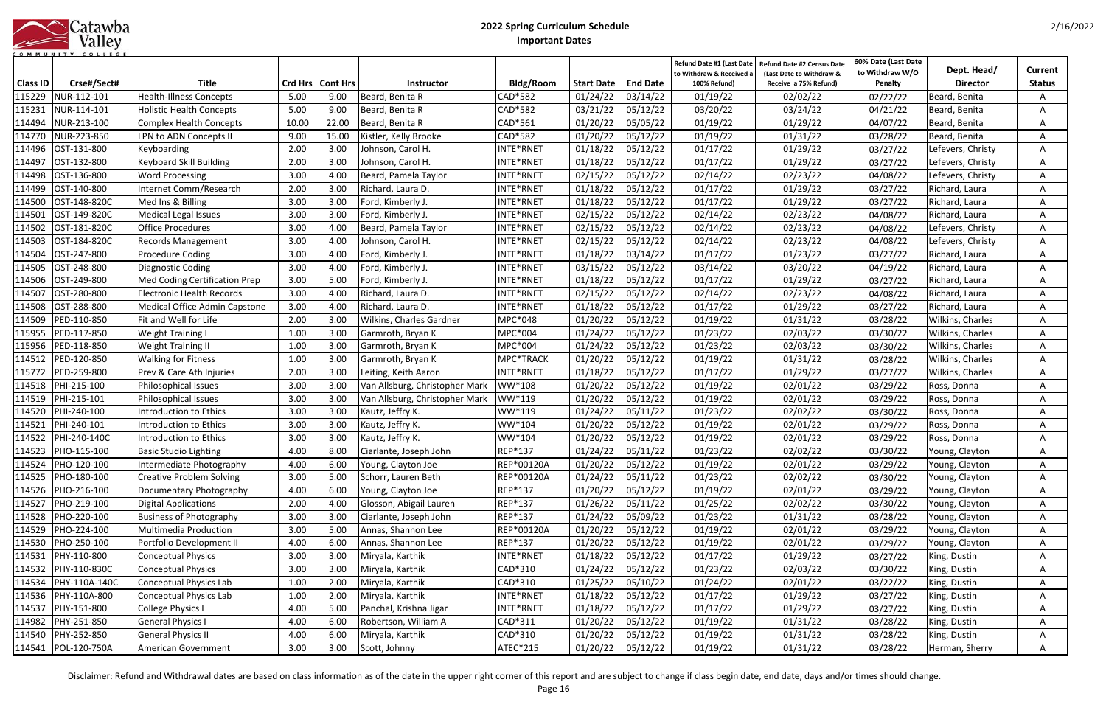|            | Catawba |
|------------|---------|
|            | Valley  |
| <b>MUN</b> |         |

| <b>Class ID</b> | Crse#/Sect#         | <b>Title</b>                     |       | Crd Hrs   Cont Hrs | <b>Instructor</b>              | <b>Bldg/Room</b> | <b>Start Date</b> | <b>End Date</b>     | Refund Date #1 (Last Date<br>to Withdraw & Received a<br>100% Refund) | <b>Refund Date #2 Census Date</b><br>(Last Date to Withdraw &<br>Receive a 75% Refund) | 60% Date (Last Date<br>to Withdraw W/O<br>Penalty | Dept. Head/<br><b>Director</b> | Current<br><b>Status</b> |
|-----------------|---------------------|----------------------------------|-------|--------------------|--------------------------------|------------------|-------------------|---------------------|-----------------------------------------------------------------------|----------------------------------------------------------------------------------------|---------------------------------------------------|--------------------------------|--------------------------|
| 115229          | NUR-112-101         | <b>Health-Illness Concepts</b>   | 5.00  | 9.00               | Beard, Benita R                | CAD*582          | 01/24/22          | 03/14/22            | 01/19/22                                                              | 02/02/22                                                                               | 02/22/22                                          | Beard, Benita                  | A                        |
| 115231          | NUR-114-101         | <b>Holistic Health Concepts</b>  | 5.00  | 9.00               | Beard, Benita R                | CAD*582          | 03/21/22          | 05/12/22            | 03/20/22                                                              | 03/24/22                                                                               | 04/21/22                                          | Beard, Benita                  | A                        |
| 114494          | NUR-213-100         | <b>Complex Health Concepts</b>   | 10.00 | 22.00              | Beard, Benita R                | CAD*561          | 01/20/22          | 05/05/22            | 01/19/22                                                              | 01/29/22                                                                               | 04/07/22                                          | Beard, Benita                  | A                        |
| 114770          | NUR-223-850         | LPN to ADN Concepts II           | 9.00  | 15.00              | Kistler, Kelly Brooke          | CAD*582          | 01/20/22          | 05/12/22            | 01/19/22                                                              | 01/31/22                                                                               | 03/28/22                                          | Beard, Benita                  | A                        |
| 114496          | OST-131-800         | Keyboarding                      | 2.00  | 3.00               | Johnson, Carol H.              | INTE*RNET        | 01/18/22          | 05/12/22            | 01/17/22                                                              | 01/29/22                                                                               | 03/27/22                                          | Lefevers, Christy              | A                        |
| 114497          | OST-132-800         | Keyboard Skill Building          | 2.00  | 3.00               | Johnson, Carol H.              | INTE*RNET        | 01/18/22          | 05/12/22            | 01/17/22                                                              | 01/29/22                                                                               | 03/27/22                                          | Lefevers, Christy              | A                        |
| 114498          | OST-136-800         | <b>Word Processing</b>           | 3.00  | 4.00               | Beard, Pamela Taylor           | INTE*RNET        | 02/15/22          | 05/12/22            | 02/14/22                                                              | 02/23/22                                                                               | 04/08/22                                          | Lefevers, Christy              | A                        |
| 114499          | OST-140-800         | Internet Comm/Research           | 2.00  | 3.00               | Richard, Laura D.              | INTE*RNET        | 01/18/22          | 05/12/22            | 01/17/22                                                              | 01/29/22                                                                               | 03/27/22                                          | Richard, Laura                 | A                        |
| 114500          | OST-148-820C        | Med Ins & Billing                | 3.00  | 3.00               | Ford, Kimberly J.              | INTE*RNET        | 01/18/22          | 05/12/22            | 01/17/22                                                              | 01/29/22                                                                               | 03/27/22                                          | Richard, Laura                 | A                        |
| 114501          | OST-149-820C        | <b>Medical Legal Issues</b>      | 3.00  | 3.00               | Ford, Kimberly J.              | INTE*RNET        | 02/15/22          | 05/12/22            | 02/14/22                                                              | 02/23/22                                                                               | 04/08/22                                          | Richard, Laura                 | A                        |
| 114502          | OST-181-820C        | <b>Office Procedures</b>         | 3.00  | 4.00               | Beard, Pamela Taylor           | INTE*RNET        | 02/15/22          | 05/12/22            | 02/14/22                                                              | 02/23/22                                                                               | 04/08/22                                          | Lefevers, Christy              | A                        |
| 114503          | OST-184-820C        | Records Management               | 3.00  | 4.00               | Johnson, Carol H               | INTE*RNET        | 02/15/22          | 05/12/22            | 02/14/22                                                              | 02/23/22                                                                               | 04/08/22                                          | Lefevers, Christy              | A                        |
| 114504          | OST-247-800         | <b>Procedure Coding</b>          | 3.00  | 4.00               | Ford, Kimberly J.              | INTE*RNET        | 01/18/22          | 03/14/22            | 01/17/22                                                              | 01/23/22                                                                               | 03/27/22                                          | Richard, Laura                 | A                        |
| 114505          | OST-248-800         | <b>Diagnostic Coding</b>         | 3.00  | 4.00               | Ford, Kimberly J.              | INTE*RNET        | 03/15/22          | 05/12/22            | 03/14/22                                                              | 03/20/22                                                                               | 04/19/22                                          | Richard, Laura                 | A                        |
| 114506          | OST-249-800         | Med Coding Certification Prep    | 3.00  | 5.00               | Ford, Kimberly J.              | INTE*RNET        | 01/18/22          | 05/12/22            | 01/17/22                                                              | 01/29/22                                                                               | 03/27/22                                          | Richard, Laura                 |                          |
| 114507          | OST-280-800         | <b>Electronic Health Records</b> | 3.00  | 4.00               | Richard, Laura D.              | INTE*RNET        | 02/15/22          | 05/12/22            | 02/14/22                                                              | 02/23/22                                                                               | 04/08/22                                          | Richard, Laura                 | A                        |
| 114508          | OST-288-800         | Medical Office Admin Capstone    | 3.00  | 4.00               | Richard, Laura D.              | INTE*RNET        | 01/18/22          | 05/12/22            | 01/17/22                                                              | 01/29/22                                                                               | 03/27/22                                          | Richard, Laura                 | A                        |
| 114509          | PED-110-850         | Fit and Well for Life            | 2.00  | 3.00               | Wilkins, Charles Gardner       | MPC*048          | 01/20/22          | 05/12/22            | 01/19/22                                                              | 01/31/22                                                                               | 03/28/22                                          | Wilkins, Charles               | A                        |
| 115955          | PED-117-850         | <b>Weight Training I</b>         | 1.00  | 3.00               | Garmroth, Bryan K              | MPC*004          | 01/24/22          | 05/12/22            | 01/23/22                                                              | 02/03/22                                                                               | 03/30/22                                          | Wilkins, Charles               | A                        |
| 115956          | PED-118-850         | <b>Weight Training II</b>        | 1.00  | 3.00               | Garmroth, Bryan K              | MPC*004          | 01/24/22          | 05/12/22            | 01/23/22                                                              | 02/03/22                                                                               | 03/30/22                                          | Wilkins, Charles               | A                        |
| 114512          | PED-120-850         | <b>Walking for Fitness</b>       | 1.00  | 3.00               | Garmroth, Bryan K              | MPC*TRACK        | 01/20/22          | 05/12/22            | 01/19/22                                                              | 01/31/22                                                                               | 03/28/22                                          | Wilkins, Charles               | A                        |
| 115772          | PED-259-800         | Prev & Care Ath Injuries         | 2.00  | 3.00               | Leiting, Keith Aaron           | INTE*RNET        | 01/18/22          | 05/12/22            | 01/17/22                                                              | 01/29/22                                                                               | 03/27/22                                          | Wilkins, Charles               | A                        |
| 114518          | PHI-215-100         | Philosophical Issues             | 3.00  | 3.00               | Van Allsburg, Christopher Mark | WW*108           | 01/20/22          | 05/12/22            | 01/19/22                                                              | 02/01/22                                                                               | 03/29/22                                          | Ross, Donna                    | A                        |
| 114519          | PHI-215-101         | Philosophical Issues             | 3.00  | 3.00               | Van Allsburg, Christopher Mark | WW*119           | 01/20/22          | 05/12/22            | 01/19/22                                                              | 02/01/22                                                                               | 03/29/22                                          | Ross, Donna                    |                          |
| 114520          | PHI-240-100         | Introduction to Ethics           | 3.00  | 3.00               | Kautz, Jeffry K.               | WW*119           | 01/24/22          | 05/11/22            | 01/23/22                                                              | 02/02/22                                                                               | 03/30/22                                          | Ross, Donna                    |                          |
| 114521          | PHI-240-101         | Introduction to Ethics           | 3.00  | 3.00               | Kautz, Jeffry K.               | WW*104           | 01/20/22          | 05/12/22            | 01/19/22                                                              | 02/01/22                                                                               | 03/29/22                                          | Ross, Donna                    | A                        |
| 114522          | PHI-240-140C        | Introduction to Ethics           | 3.00  | 3.00               | Kautz, Jeffry K.               | WW*104           | 01/20/22          | 05/12/22            | 01/19/22                                                              | 02/01/22                                                                               | 03/29/22                                          | Ross, Donna                    | A                        |
| 114523          | PHO-115-100         | <b>Basic Studio Lighting</b>     | 4.00  | 8.00               | Ciarlante, Joseph John         | REP*137          | 01/24/22          | 05/11/22            | 01/23/22                                                              | 02/02/22                                                                               | 03/30/22                                          | Young, Clayton                 | A                        |
|                 | 114524 PHO-120-100  | Intermediate Photography         | 4.00  | 6.00               | Young, Clayton Joe             | REP*00120A       |                   | $01/20/22$ 05/12/22 | 01/19/22                                                              | 02/01/22                                                                               | 03/29/22                                          | Young, Clayton                 | A                        |
| 114525          | PHO-180-100         | <b>Creative Problem Solving</b>  | 3.00  | 5.00               | Schorr, Lauren Beth            | REP*00120A       | 01/24/22          | 05/11/22            | 01/23/22                                                              | 02/02/22                                                                               | 03/30/22                                          | Young, Clayton                 | A                        |
|                 | 114526 PHO-216-100  | Documentary Photography          | 4.00  | 6.00               | Young, Clayton Joe             | REP*137          | 01/20/22          | 05/12/22            | 01/19/22                                                              | 02/01/22                                                                               | 03/29/22                                          | Young, Clayton                 | A                        |
| 114527          | PHO-219-100         | <b>Digital Applications</b>      | 2.00  | 4.00               | Glosson, Abigail Lauren        | REP*137          | 01/26/22          | 05/11/22            | 01/25/22                                                              | 02/02/22                                                                               | 03/30/22                                          | Young, Clayton                 | A                        |
| 114528          | PHO-220-100         | <b>Business of Photography</b>   | 3.00  | 3.00               | Ciarlante, Joseph John         | REP*137          | 01/24/22          | 05/09/22            | 01/23/22                                                              | 01/31/22                                                                               | 03/28/22                                          | Young, Clayton                 | A                        |
| 114529          | PHO-224-100         | Multimedia Production            | 3.00  | 5.00               | Annas, Shannon Lee             | REP*00120A       | 01/20/22          | 05/12/22            | 01/19/22                                                              | 02/01/22                                                                               | 03/29/22                                          | Young, Clayton                 | А                        |
| 114530          | PHO-250-100         | Portfolio Development II         | 4.00  | 6.00               | Annas, Shannon Lee             | REP*137          | 01/20/22          | 05/12/22            | 01/19/22                                                              | 02/01/22                                                                               | 03/29/22                                          | Young, Clayton                 | A                        |
| 114531          | PHY-110-800         | <b>Conceptual Physics</b>        | 3.00  | 3.00               | Miryala, Karthik               | INTE*RNET        | 01/18/22          | 05/12/22            | 01/17/22                                                              | 01/29/22                                                                               | 03/27/22                                          | King, Dustin                   | А                        |
| 114532          | PHY-110-830C        | <b>Conceptual Physics</b>        | 3.00  | 3.00               | Miryala, Karthik               | CAD*310          | 01/24/22          | 05/12/22            | 01/23/22                                                              | 02/03/22                                                                               | 03/30/22                                          | King, Dustin                   | A                        |
| 114534          | PHY-110A-140C       | <b>Conceptual Physics Lab</b>    | 1.00  | 2.00               | Miryala, Karthik               | CAD*310          | 01/25/22          | 05/10/22            | 01/24/22                                                              | 02/01/22                                                                               | 03/22/22                                          | King, Dustin                   | A                        |
| 114536          | PHY-110A-800        | <b>Conceptual Physics Lab</b>    | 1.00  | 2.00               | Miryala, Karthik               | INTE*RNET        | 01/18/22          | 05/12/22            | 01/17/22                                                              | 01/29/22                                                                               | 03/27/22                                          | King, Dustin                   | A                        |
| 114537          | PHY-151-800         | College Physics I                | 4.00  | 5.00               | Panchal, Krishna Jigar         | INTE*RNET        | 01/18/22          | 05/12/22            | 01/17/22                                                              | 01/29/22                                                                               | 03/27/22                                          | King, Dustin                   | А                        |
| 114982          | PHY-251-850         | <b>General Physics I</b>         | 4.00  | 6.00               | Robertson, William A           | CAD*311          | 01/20/22          | 05/12/22            | 01/19/22                                                              | 01/31/22                                                                               | 03/28/22                                          | King, Dustin                   | A                        |
| 114540          | PHY-252-850         | <b>General Physics II</b>        | 4.00  | 6.00               | Miryala, Karthik               | CAD*310          | 01/20/22          | 05/12/22            | 01/19/22                                                              | 01/31/22                                                                               | 03/28/22                                          | King, Dustin                   | A                        |
|                 | 114541 POL-120-750A | American Government              | 3.00  | 3.00               | Scott, Johnny                  | ATEC*215         | 01/20/22          | 05/12/22            | 01/19/22                                                              | 01/31/22                                                                               | 03/28/22                                          | Herman, Sherry                 | A                        |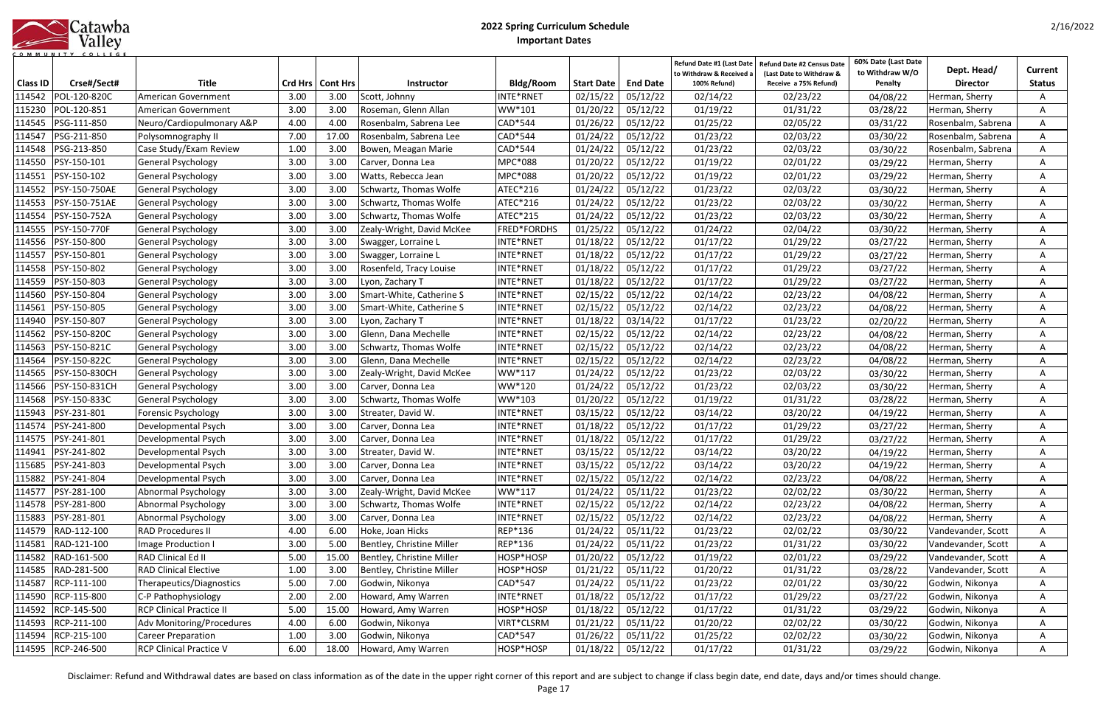|           |  |  | Catawba |         |  |  |  |
|-----------|--|--|---------|---------|--|--|--|
|           |  |  |         | Valley  |  |  |  |
| COMMUNITY |  |  |         | COLLEGE |  |  |  |

| <b>Class ID</b> | Crse#/Sect#        | <b>Title</b>                    |      | Crd Hrs   Cont Hrs | <b>Instructor</b>         | <b>Bldg/Room</b> | <b>Start Date</b> | <b>End Date</b> | Refund Date #1 (Last Date<br>to Withdraw & Received a<br>100% Refund) | Refund Date #2 Census Date<br>(Last Date to Withdraw &<br>Receive a 75% Refund) | 60% Date (Last Date<br>to Withdraw W/O<br>Penalty | Dept. Head/<br><b>Director</b> | Current<br><b>Status</b> |
|-----------------|--------------------|---------------------------------|------|--------------------|---------------------------|------------------|-------------------|-----------------|-----------------------------------------------------------------------|---------------------------------------------------------------------------------|---------------------------------------------------|--------------------------------|--------------------------|
| 114542          | POL-120-820C       | American Government             | 3.00 | 3.00               | Scott, Johnny             | NTE*RNET         | 02/15/22          | 05/12/22        | 02/14/22                                                              | 02/23/22                                                                        | 04/08/22                                          | Herman, Sherry                 | A                        |
| 115230          | POL-120-851        | American Government             | 3.00 | 3.00               | Roseman, Glenn Allan      | WW*101           | 01/20/22          | 05/12/22        | 01/19/22                                                              | 01/31/22                                                                        | 03/28/22                                          | Herman, Sherry                 |                          |
| 114545          | PSG-111-850        | Neuro/Cardiopulmonary A&P       | 4.00 | 4.00               | Rosenbalm, Sabrena Lee    | CAD*544          | 01/26/22          | 05/12/22        | 01/25/22                                                              | 02/05/22                                                                        | 03/31/22                                          | Rosenbalm, Sabrena             |                          |
| 114547          | PSG-211-850        | Polysomnography II              | 7.00 | 17.00              | Rosenbalm, Sabrena Lee    | CAD*544          | 01/24/22          | 05/12/22        | 01/23/22                                                              | 02/03/22                                                                        | 03/30/22                                          | Rosenbalm, Sabrena             | A                        |
| 114548          | PSG-213-850        | Case Study/Exam Review          | 1.00 | 3.00               | Bowen, Meagan Marie       | CAD*544          | 01/24/22          | 05/12/22        | 01/23/22                                                              | 02/03/22                                                                        | 03/30/22                                          | Rosenbalm, Sabrena             |                          |
| 114550          | PSY-150-101        | <b>General Psychology</b>       | 3.00 | 3.00               | Carver, Donna Lea         | MPC*088          | 01/20/22          | 05/12/22        | 01/19/22                                                              | 02/01/22                                                                        | 03/29/22                                          | Herman, Sherry                 | A                        |
| 114551          | PSY-150-102        | <b>General Psychology</b>       | 3.00 | 3.00               | Watts, Rebecca Jean       | MPC*088          | 01/20/22          | 05/12/22        | 01/19/22                                                              | 02/01/22                                                                        | 03/29/22                                          | Herman, Sherry                 | A                        |
| 114552          | PSY-150-750AE      | <b>General Psychology</b>       | 3.00 | 3.00               | Schwartz, Thomas Wolfe    | ATEC*216         | 01/24/22          | 05/12/22        | 01/23/22                                                              | 02/03/22                                                                        | 03/30/22                                          | Herman, Sherry                 | A                        |
| 114553          | PSY-150-751AE      | <b>General Psychology</b>       | 3.00 | 3.00               | Schwartz, Thomas Wolfe    | ATEC*216         | 01/24/22          | 05/12/22        | 01/23/22                                                              | 02/03/22                                                                        | 03/30/22                                          | Herman, Sherry                 |                          |
| 114554          | PSY-150-752A       | General Psychology              | 3.00 | 3.00               | Schwartz, Thomas Wolfe    | ATEC*215         | 01/24/22          | 05/12/22        | 01/23/22                                                              | 02/03/22                                                                        | 03/30/22                                          | Herman, Sherry                 | Α                        |
| 114555          | PSY-150-770F       | <b>General Psychology</b>       | 3.00 | 3.00               | Zealy-Wright, David McKee | FRED*FORDHS      | 01/25/22          | 05/12/22        | 01/24/22                                                              | 02/04/22                                                                        | 03/30/22                                          | Herman, Sherry                 |                          |
| 114556          | PSY-150-800        | <b>General Psychology</b>       | 3.00 | 3.00               | Swagger, Lorraine L       | INTE*RNET        | 01/18/22          | 05/12/22        | 01/17/22                                                              | 01/29/22                                                                        | 03/27/22                                          | Herman, Sherry                 | A                        |
| 114557          | PSY-150-801        | <b>General Psychology</b>       | 3.00 | 3.00               | Swagger, Lorraine L       | <b>NTE*RNET</b>  | 01/18/22          | 05/12/22        | 01/17/22                                                              | 01/29/22                                                                        | 03/27/22                                          | Herman, Sherry                 | A                        |
| 114558          | PSY-150-802        | <b>General Psychology</b>       | 3.00 | 3.00               | Rosenfeld, Tracy Louise   | INTE*RNET        | 01/18/22          | 05/12/22        | 01/17/22                                                              | 01/29/22                                                                        | 03/27/22                                          | Herman, Sherry                 | A                        |
| 114559          | PSY-150-803        | General Psychology              | 3.00 | 3.00               | Lyon, Zachary T           | NTE*RNET         | 01/18/22          | 05/12/22        | 01/17/22                                                              | 01/29/22                                                                        | 03/27/22                                          | Herman, Sherry                 | A                        |
| 114560          | PSY-150-804        | General Psychology              | 3.00 | 3.00               | Smart-White, Catherine S  | NTE*RNET         | 02/15/22          | 05/12/22        | 02/14/22                                                              | 02/23/22                                                                        | 04/08/22                                          | Herman, Sherry                 | A                        |
| 114561          | PSY-150-805        | <b>General Psychology</b>       | 3.00 | 3.00               | Smart-White, Catherine S  | NTE*RNET         | 02/15/22          | 05/12/22        | 02/14/22                                                              | 02/23/22                                                                        | 04/08/22                                          | Herman, Sherry                 | A                        |
| 114940          | PSY-150-807        | <b>General Psychology</b>       | 3.00 | 3.00               | Lyon, Zachary T           | NTE*RNET         | 01/18/22          | 03/14/22        | 01/17/22                                                              | 01/23/22                                                                        | 02/20/22                                          | Herman, Sherry                 | A                        |
| 114562          | PSY-150-820C       | General Psychology              | 3.00 | 3.00               | Glenn, Dana Mechelle      | NTE*RNET         | 02/15/22          | 05/12/22        | 02/14/22                                                              | 02/23/22                                                                        | 04/08/22                                          | Herman, Sherry                 | A                        |
| 114563          | PSY-150-821C       | <b>General Psychology</b>       | 3.00 | 3.00               | Schwartz, Thomas Wolfe    | NTE*RNET         | 02/15/22          | 05/12/22        | 02/14/22                                                              | 02/23/22                                                                        | 04/08/22                                          | Herman, Sherry                 | A                        |
| 114564          | PSY-150-822C       | <b>General Psychology</b>       | 3.00 | 3.00               | Glenn, Dana Mechelle      | NTE*RNET         | 02/15/22          | 05/12/22        | 02/14/22                                                              | 02/23/22                                                                        | 04/08/22                                          | Herman, Sherry                 | A                        |
| 114565          | PSY-150-830CH      | <b>General Psychology</b>       | 3.00 | 3.00               | Zealy-Wright, David McKee | WW*117           | 01/24/22          | 05/12/22        | 01/23/22                                                              | 02/03/22                                                                        | 03/30/22                                          | Herman, Sherry                 | A                        |
| 114566          | PSY-150-831CH      | <b>General Psychology</b>       | 3.00 | 3.00               | Carver, Donna Lea         | WW*120           | 01/24/22          | 05/12/22        | 01/23/22                                                              | 02/03/22                                                                        | 03/30/22                                          | Herman, Sherry                 | A                        |
| 114568          | PSY-150-833C       | <b>General Psychology</b>       | 3.00 | 3.00               | Schwartz, Thomas Wolfe    | WW*103           | 01/20/22          | 05/12/22        | 01/19/22                                                              | 01/31/22                                                                        | 03/28/22                                          | Herman, Sherry                 | A                        |
| 115943          | PSY-231-801        | <b>Forensic Psychology</b>      | 3.00 | 3.00               | Streater, David W.        | NTE*RNET         | 03/15/22          | 05/12/22        | 03/14/22                                                              | 03/20/22                                                                        | 04/19/22                                          | Herman, Sherry                 | A                        |
| 114574          | PSY-241-800        | Developmental Psych             | 3.00 | 3.00               | Carver, Donna Lea         | NTE*RNET         | 01/18/22          | 05/12/22        | 01/17/22                                                              | 01/29/22                                                                        | 03/27/22                                          | Herman, Sherry                 | A                        |
| 114575          | PSY-241-801        | Developmental Psych             | 3.00 | 3.00               | Carver, Donna Lea         | NTE*RNET         | 01/18/22          | 05/12/22        | 01/17/22                                                              | 01/29/22                                                                        | 03/27/22                                          | Herman, Sherry                 | A                        |
| 114941          | PSY-241-802        | Developmental Psych             | 3.00 | 3.00               | Streater, David W.        | NTE*RNET         | 03/15/22          | 05/12/22        | 03/14/22                                                              | 03/20/22                                                                        | 04/19/22                                          | Herman, Sherry                 |                          |
|                 | 115685 PSY-241-803 | Developmental Psych             | 3.00 | 3.00               | <b>Carver, Donna Lea</b>  | NTE*RNET         | 03/15/22 05/12/22 |                 | 03/14/22                                                              | 03/20/22                                                                        | 04/19/22                                          | Herman, Sherry                 | A                        |
| 115882          | PSY-241-804        | Developmental Psych             | 3.00 | 3.00               | Carver, Donna Lea         | NTE*RNET         | 02/15/22          | 05/12/22        | 02/14/22                                                              | 02/23/22                                                                        | 04/08/22                                          | Herman, Sherry                 | A                        |
|                 | 114577 PSY-281-100 | Abnormal Psychology             | 3.00 | 3.00               | Zealy-Wright, David McKee | WW*117           | 01/24/22          | 05/11/22        | 01/23/22                                                              | 02/02/22                                                                        | 03/30/22                                          | Herman, Sherry                 | A                        |
|                 | 114578 PSY-281-800 | Abnormal Psychology             | 3.00 | 3.00               | Schwartz, Thomas Wolfe    | NTE*RNET         | 02/15/22          | 05/12/22        | 02/14/22                                                              | 02/23/22                                                                        | 04/08/22                                          | Herman, Sherry                 | $\mathsf{A}$             |
|                 | 115883 PSY-281-801 | Abnormal Psychology             | 3.00 | 3.00               | Carver, Donna Lea         | NTE*RNET         | 02/15/22          | 05/12/22        | 02/14/22                                                              | 02/23/22                                                                        | 04/08/22                                          | Herman, Sherry                 | A                        |
|                 | 114579 RAD-112-100 | <b>RAD Procedures II</b>        | 4.00 | 6.00               | Hoke, Joan Hicks          | REP*136          | 01/24/22          | 05/11/22        | 01/23/22                                                              | 02/02/22                                                                        | 03/30/22                                          | Vandevander, Scott             | A                        |
| 114581          | RAD-121-100        | Image Production I              | 3.00 | 5.00               | Bentley, Christine Miller | REP*136          | 01/24/22          | 05/11/22        | 01/23/22                                                              | 01/31/22                                                                        | 03/30/22                                          | Vandevander, Scott             | A                        |
|                 | 114582 RAD-161-500 | RAD Clinical Ed II              | 5.00 | 15.00              | Bentley, Christine Miller | HOSP*HOSP        | 01/20/22          | 05/12/22        | 01/19/22                                                              | 02/01/22                                                                        | 03/29/22                                          | Vandevander, Scott             | A                        |
| 114585          | RAD-281-500        | <b>RAD Clinical Elective</b>    | 1.00 | 3.00               | Bentley, Christine Miller | HOSP*HOSP        | 01/21/22          | 05/11/22        | 01/20/22                                                              | 01/31/22                                                                        | 03/28/22                                          | Vandevander, Scott             | A                        |
|                 | 114587 RCP-111-100 | Therapeutics/Diagnostics        | 5.00 | 7.00               | Godwin, Nikonya           | CAD*547          | 01/24/22          | 05/11/22        | 01/23/22                                                              | 02/01/22                                                                        | 03/30/22                                          | Godwin, Nikonya                | A                        |
|                 | 114590 RCP-115-800 | C-P Pathophysiology             | 2.00 | 2.00               | Howard, Amy Warren        | NTE*RNET         | 01/18/22          | 05/12/22        | 01/17/22                                                              | 01/29/22                                                                        | 03/27/22                                          | Godwin, Nikonya                | A                        |
|                 | 114592 RCP-145-500 | <b>RCP Clinical Practice II</b> | 5.00 | 15.00              | Howard, Amy Warren        | HOSP*HOSP        | 01/18/22          | 05/12/22        | 01/17/22                                                              | 01/31/22                                                                        | 03/29/22                                          | Godwin, Nikonya                | Α                        |
|                 | 114593 RCP-211-100 | Adv Monitoring/Procedures       | 4.00 | 6.00               | Godwin, Nikonya           | /IRT*CLSRM       | 01/21/22          | 05/11/22        | 01/20/22                                                              | 02/02/22                                                                        | 03/30/22                                          | Godwin, Nikonya                | A                        |
| 114594          | RCP-215-100        | <b>Career Preparation</b>       | 1.00 | 3.00               | Godwin, Nikonya           | CAD*547          | 01/26/22          | 05/11/22        | 01/25/22                                                              | 02/02/22                                                                        | 03/30/22                                          | Godwin, Nikonya                | A                        |
|                 | 114595 RCP-246-500 | <b>RCP Clinical Practice V</b>  | 6.00 | 18.00              | Howard, Amy Warren        | HOSP*HOSP        | 01/18/22          | 05/12/22        | 01/17/22                                                              | 01/31/22                                                                        | 03/29/22                                          | Godwin, Nikonya                | A                        |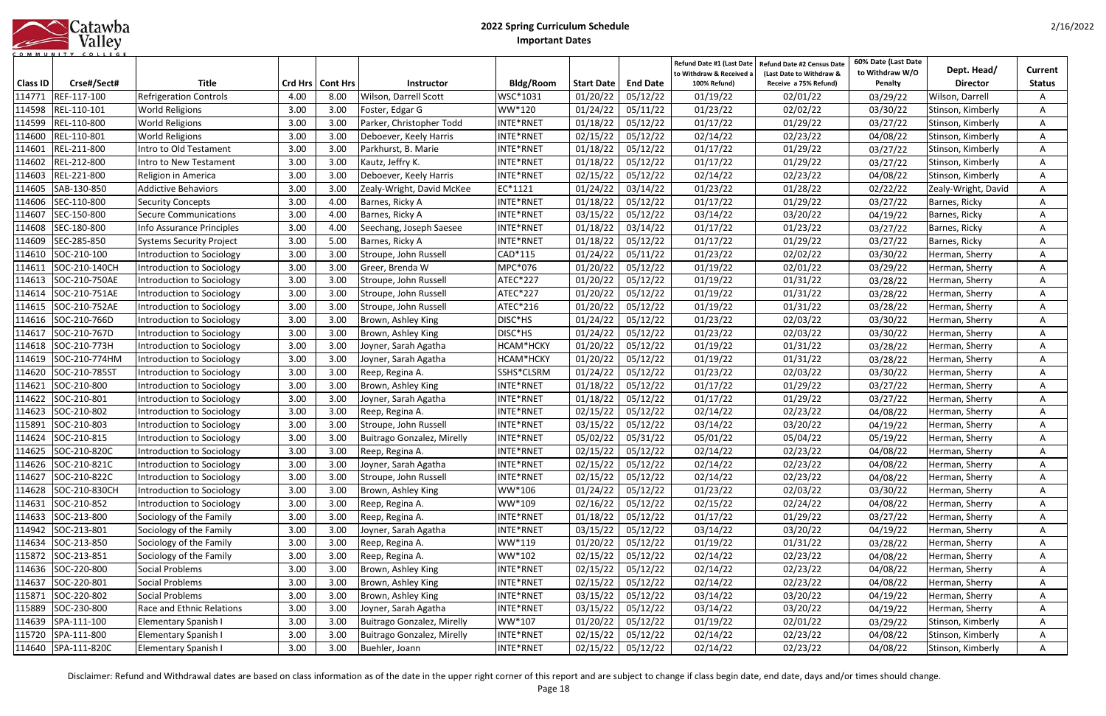|            | Catawba |
|------------|---------|
|            | Valley  |
| <b>MUN</b> |         |

|                 |                      |                                  |      |                    |                            |                  |                     |                 | Refund Date #1 (Last Date              | <b>Refund Date #2 Census Date</b>                 | 60% Date (Last Date        | Dept. Head/         | <b>Current</b> |
|-----------------|----------------------|----------------------------------|------|--------------------|----------------------------|------------------|---------------------|-----------------|----------------------------------------|---------------------------------------------------|----------------------------|---------------------|----------------|
| <b>Class ID</b> | Crse#/Sect#          | <b>Title</b>                     |      | Crd Hrs   Cont Hrs | <b>Instructor</b>          | <b>Bldg/Room</b> | <b>Start Date</b>   | <b>End Date</b> | to Withdraw & Received<br>100% Refund) | (Last Date to Withdraw &<br>Receive a 75% Refund) | to Withdraw W/O<br>Penalty | <b>Director</b>     | <b>Status</b>  |
| 114771          | REF-117-100          | <b>Refrigeration Controls</b>    | 4.00 | 8.00               | Wilson, Darrell Scott      | WSC*1031         | 01/20/22            | 05/12/22        | 01/19/22                               | 02/01/22                                          | 03/29/22                   | Wilson, Darrell     | A              |
| 114598          | REL-110-101          | <b>World Religions</b>           | 3.00 | 3.00               | Foster, Edgar G            | WW*120           | 01/24/22            | 05/11/22        | 01/23/22                               | 02/02/22                                          | 03/30/22                   | Stinson, Kimberly   | A              |
| 114599          | REL-110-800          | <b>World Religions</b>           | 3.00 | 3.00               | Parker, Christopher Todd   | INTE*RNET        | 01/18/22            | 05/12/22        | 01/17/22                               | 01/29/22                                          | 03/27/22                   | Stinson, Kimberly   | A              |
| 114600          | REL-110-801          | <b>World Religions</b>           | 3.00 | 3.00               | Deboever, Keely Harris     | INTE*RNET        | 02/15/22            | 05/12/22        | 02/14/22                               | 02/23/22                                          | 04/08/22                   | Stinson, Kimberly   | A              |
| 114601          | REL-211-800          | Intro to Old Testament           | 3.00 | 3.00               | Parkhurst, B. Marie        | INTE*RNET        | 01/18/22            | 05/12/22        | 01/17/22                               | 01/29/22                                          | 03/27/22                   | Stinson, Kimberly   | A              |
| 114602          | REL-212-800          | Intro to New Testament           | 3.00 | 3.00               | Kautz, Jeffry K.           | INTE*RNET        | 01/18/22            | 05/12/22        | 01/17/22                               | 01/29/22                                          | 03/27/22                   | Stinson, Kimberly   | A              |
| 114603          | REL-221-800          | Religion in America              | 3.00 | 3.00               | Deboever, Keely Harris     | INTE*RNET        | 02/15/22            | 05/12/22        | 02/14/22                               | 02/23/22                                          | 04/08/22                   | Stinson, Kimberly   |                |
| 114605          | SAB-130-850          | <b>Addictive Behaviors</b>       | 3.00 | 3.00               | Zealy-Wright, David McKee  | EC*1121          | 01/24/22            | 03/14/22        | 01/23/22                               | 01/28/22                                          | 02/22/22                   | Zealy-Wright, David | A              |
| 114606          | SEC-110-800          | <b>Security Concepts</b>         | 3.00 | 4.00               | Barnes, Ricky A            | INTE*RNET        | 01/18/22            | 05/12/22        | 01/17/22                               | 01/29/22                                          | 03/27/22                   | Barnes, Ricky       | A              |
| 114607          | SEC-150-800          | <b>Secure Communications</b>     | 3.00 | 4.00               | Barnes, Ricky A            | INTE*RNET        | 03/15/22            | 05/12/22        | 03/14/22                               | 03/20/22                                          | 04/19/22                   | Barnes, Ricky       | A              |
| 114608          | SEC-180-800          | Info Assurance Principles        | 3.00 | 4.00               | Seechang, Joseph Saesee    | INTE*RNET        | 01/18/22            | 03/14/22        | 01/17/22                               | 01/23/22                                          | 03/27/22                   | Barnes, Ricky       | A              |
| 114609          | SEC-285-850          | <b>Systems Security Project</b>  | 3.00 | 5.00               | Barnes, Ricky A            | INTE*RNET        | 01/18/22            | 05/12/22        | 01/17/22                               | 01/29/22                                          | 03/27/22                   | Barnes, Ricky       | A              |
| 114610          | SOC-210-100          | <b>Introduction to Sociology</b> | 3.00 | 3.00               | Stroupe, John Russell      | CAD*115          | 01/24/22            | 05/11/22        | 01/23/22                               | 02/02/22                                          | 03/30/22                   | Herman, Sherry      | A              |
| 114611          | SOC-210-140CH        | Introduction to Sociology        | 3.00 | 3.00               | Greer, Brenda W            | MPC*076          | 01/20/22            | 05/12/22        | 01/19/22                               | 02/01/22                                          | 03/29/22                   | Herman, Sherry      | A              |
| 114613          | SOC-210-750AE        | Introduction to Sociology        | 3.00 | 3.00               | Stroupe, John Russell      | ATEC*227         | 01/20/22            | 05/12/22        | 01/19/22                               | 01/31/22                                          | 03/28/22                   | Herman, Sherry      | Α              |
| 114614          | SOC-210-751AE        | Introduction to Sociology        | 3.00 | 3.00               | Stroupe, John Russell      | ATEC*227         | 01/20/22            | 05/12/22        | 01/19/22                               | 01/31/22                                          | 03/28/22                   | Herman, Sherry      | A              |
| 114615          | SOC-210-752AE        | Introduction to Sociology        | 3.00 | 3.00               | Stroupe, John Russell      | ATEC*216         | 01/20/22            | 05/12/22        | 01/19/22                               | 01/31/22                                          | 03/28/22                   | Herman, Sherry      | A              |
| 114616          | SOC-210-766D         | <b>Introduction to Sociology</b> | 3.00 | 3.00               | Brown, Ashley King         | DISC*HS          | 01/24/22            | 05/12/22        | 01/23/22                               | 02/03/22                                          | 03/30/22                   | Herman, Sherry      | Α              |
| 114617          | SOC-210-767D         | Introduction to Sociology        | 3.00 | 3.00               | Brown, Ashley King         | DISC*HS          | 01/24/22            | 05/12/22        | 01/23/22                               | 02/03/22                                          | 03/30/22                   | Herman, Sherry      | A              |
| 114618          | SOC-210-773H         | <b>Introduction to Sociology</b> | 3.00 | 3.00               | Joyner, Sarah Agatha       | <b>HCAM*HCKY</b> | 01/20/22            | 05/12/22        | 01/19/22                               | 01/31/22                                          | 03/28/22                   | Herman, Sherry      | A              |
| 114619          | SOC-210-774HM        | Introduction to Sociology        | 3.00 | 3.00               | Joyner, Sarah Agatha       | HCAM*HCKY        | 01/20/22            | 05/12/22        | 01/19/22                               | 01/31/22                                          | 03/28/22                   | Herman, Sherry      | A              |
| 114620          | SOC-210-785ST        | Introduction to Sociology        | 3.00 | 3.00               | Reep, Regina A.            | SSHS*CLSRM       | 01/24/22            | 05/12/22        | 01/23/22                               | 02/03/22                                          | 03/30/22                   | Herman, Sherry      | A              |
| 114621          | SOC-210-800          | Introduction to Sociology        | 3.00 | 3.00               | Brown, Ashley King         | INTE*RNET        | 01/18/22            | 05/12/22        | 01/17/22                               | 01/29/22                                          | 03/27/22                   | Herman, Sherry      | A              |
| 114622          | SOC-210-801          | Introduction to Sociology        | 3.00 | 3.00               | Joyner, Sarah Agatha       | INTE*RNET        | 01/18/22            | 05/12/22        | 01/17/22                               | 01/29/22                                          | 03/27/22                   | Herman, Sherry      | A              |
| 114623          | SOC-210-802          | Introduction to Sociology        | 3.00 | 3.00               | Reep, Regina A.            | INTE*RNET        | 02/15/22            | 05/12/22        | 02/14/22                               | 02/23/22                                          | 04/08/22                   | Herman, Sherry      | A              |
| 115891          | SOC-210-803          | Introduction to Sociology        | 3.00 | 3.00               | Stroupe, John Russell      | INTE*RNET        | 03/15/22            | 05/12/22        | 03/14/22                               | 03/20/22                                          | 04/19/22                   | Herman, Sherry      | A              |
| 114624          | SOC-210-815          | Introduction to Sociology        | 3.00 | 3.00               | Buitrago Gonzalez, Mirelly | INTE*RNET        | 05/02/22            | 05/31/22        | 05/01/22                               | 05/04/22                                          | 05/19/22                   | Herman, Sherry      | Α              |
| 114625          | SOC-210-820C         | Introduction to Sociology        | 3.00 | 3.00               | Reep, Regina A.            | INTE*RNET        | 02/15/22            | 05/12/22        | 02/14/22                               | 02/23/22                                          | 04/08/22                   | Herman, Sherry      |                |
|                 | 114626 SOC-210-821C  | Introduction to Sociology        | 3.00 | 3.00               | Joyner, Sarah Agatha       | INTE*RNET        | $02/15/22$ 05/12/22 |                 | 02/14/22                               | 02/23/22                                          | 04/08/22                   | Herman, Sherry      | A              |
| 114627          | SOC-210-822C         | Introduction to Sociology        | 3.00 | 3.00               | Stroupe, John Russell      | INTE*RNET        | 02/15/22            | 05/12/22        | 02/14/22                               | 02/23/22                                          | 04/08/22                   | Herman, Sherry      | A              |
|                 | 114628 SOC-210-830CH | Introduction to Sociology        | 3.00 | 3.00               | Brown, Ashley King         | WW*106           | 01/24/22            | 05/12/22        | 01/23/22                               | 02/03/22                                          | 03/30/22                   | Herman, Sherry      | A              |
| 114631          | SOC-210-852          | Introduction to Sociology        | 3.00 | 3.00               | Reep, Regina A.            | WW*109           | 02/16/22            | 05/12/22        | 02/15/22                               | 02/24/22                                          | 04/08/22                   | Herman, Sherry      | A              |
| 114633          | SOC-213-800          | Sociology of the Family          | 3.00 | 3.00               | Reep, Regina A.            | INTE*RNET        | 01/18/22            | 05/12/22        | 01/17/22                               | 01/29/22                                          | 03/27/22                   | Herman, Sherry      | Α              |
| 114942          | SOC-213-801          | Sociology of the Family          | 3.00 | 3.00               | Joyner, Sarah Agatha       | INTE*RNET        | 03/15/22            | 05/12/22        | 03/14/22                               | 03/20/22                                          | 04/19/22                   | Herman, Sherry      | A              |
| 114634          | SOC-213-850          | Sociology of the Family          | 3.00 | 3.00               | Reep, Regina A.            | WW*119           | 01/20/22            | 05/12/22        | 01/19/22                               | 01/31/22                                          | 03/28/22                   | Herman, Sherry      | A              |
|                 | 115872 SOC-213-851   | Sociology of the Family          | 3.00 | 3.00               | Reep, Regina A.            | WW*102           | 02/15/22            | 05/12/22        | 02/14/22                               | 02/23/22                                          | 04/08/22                   | Herman, Sherry      | A              |
|                 | 114636 SOC-220-800   | <b>Social Problems</b>           | 3.00 | 3.00               | Brown, Ashley King         | INTE*RNET        | 02/15/22            | 05/12/22        | 02/14/22                               | 02/23/22                                          | 04/08/22                   | Herman, Sherry      | A              |
| 114637          | SOC-220-801          | <b>Social Problems</b>           | 3.00 | 3.00               | Brown, Ashley King         | INTE*RNET        | 02/15/22            | 05/12/22        | 02/14/22                               | 02/23/22                                          | 04/08/22                   | Herman, Sherry      | Α              |
| 115871          | SOC-220-802          | <b>Social Problems</b>           | 3.00 | 3.00               | Brown, Ashley King         | INTE*RNET        | 03/15/22            | 05/12/22        | 03/14/22                               | 03/20/22                                          | 04/19/22                   | Herman, Sherry      | Α              |
| 115889          | SOC-230-800          | Race and Ethnic Relations        | 3.00 | 3.00               | Joyner, Sarah Agatha       | INTE*RNET        | 03/15/22            | 05/12/22        | 03/14/22                               | 03/20/22                                          | 04/19/22                   | Herman, Sherry      | Α              |
|                 | 114639 SPA-111-100   | Elementary Spanish I             | 3.00 | 3.00               | Buitrago Gonzalez, Mirelly | WW*107           | 01/20/22            | 05/12/22        | 01/19/22                               | 02/01/22                                          | 03/29/22                   | Stinson, Kimberly   | A              |
| 115720          | SPA-111-800          | Elementary Spanish I             | 3.00 | 3.00               | Buitrago Gonzalez, Mirelly | INTE*RNET        | 02/15/22            | 05/12/22        | 02/14/22                               | 02/23/22                                          | 04/08/22                   | Stinson, Kimberly   | A              |
|                 | 114640 SPA-111-820C  | Elementary Spanish I             | 3.00 | 3.00               | Buehler, Joann             | INTE*RNET        | 02/15/22            | 05/12/22        | 02/14/22                               | 02/23/22                                          | 04/08/22                   | Stinson, Kimberly   | A              |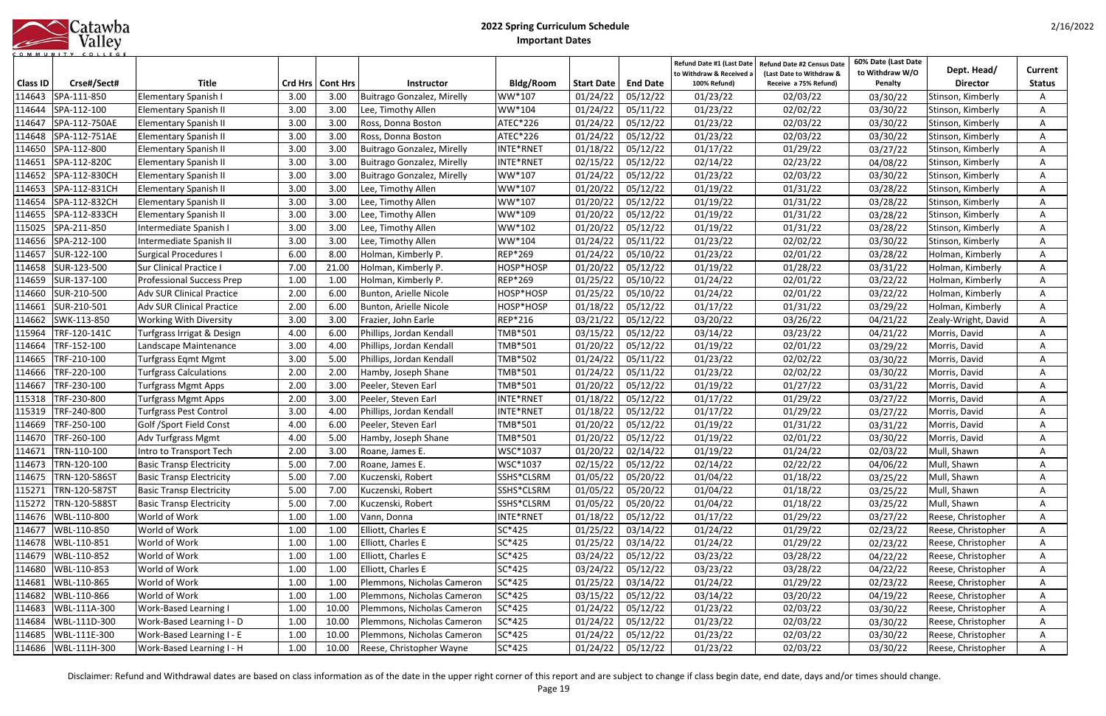|            | Catawba |
|------------|---------|
|            | Valley  |
| <b>MUN</b> |         |

|                           |                            |                                  |      |                            |                                   |                            |                               |                             | Refund Date #1 (Last Date<br>to Withdraw & Received | Refund Date #2 Census Date<br>(Last Date to Withdraw & | 60% Date (Last Date<br>to Withdraw W/O | Dept. Head/         | Current       |
|---------------------------|----------------------------|----------------------------------|------|----------------------------|-----------------------------------|----------------------------|-------------------------------|-----------------------------|-----------------------------------------------------|--------------------------------------------------------|----------------------------------------|---------------------|---------------|
| <b>Class ID</b><br>114643 | Crse#/Sect#<br>SPA-111-850 | <b>Title</b>                     | 3.00 | Crd Hrs   Cont Hrs<br>3.00 | <b>Instructor</b>                 | <b>Bldg/Room</b><br>WW*107 | <b>Start Date</b><br>01/24/22 | <b>End Date</b><br>05/12/22 | 100% Refund)<br>01/23/22                            | Receive a 75% Refund)<br>02/03/22                      | Penalty                                | <b>Director</b>     | <b>Status</b> |
| 114644                    | SPA-112-100                | Elementary Spanish I             | 3.00 | 3.00                       | <b>Buitrago Gonzalez, Mirelly</b> | WW*104                     | 01/24/22                      | 05/11/22                    | 01/23/22                                            |                                                        | 03/30/22<br>03/30/22                   | Stinson, Kimberly   |               |
|                           |                            | <b>Elementary Spanish II</b>     |      |                            | Lee, Timothy Allen                |                            |                               |                             |                                                     | 02/02/22                                               |                                        | Stinson, Kimberly   |               |
| 114647                    | SPA-112-750AE              | <b>Elementary Spanish II</b>     | 3.00 | 3.00                       | Ross, Donna Boston                | ATEC*226                   | 01/24/22                      | 05/12/22                    | 01/23/22                                            | 02/03/22                                               | 03/30/22                               | Stinson, Kimberly   |               |
| 114648                    | SPA-112-751AE              | <b>Elementary Spanish II</b>     | 3.00 | 3.00                       | Ross, Donna Boston                | <b>ATEC*226</b>            | 01/24/22                      | 05/12/22                    | 01/23/22                                            | 02/03/22                                               | 03/30/22                               | Stinson, Kimberly   | A             |
| 114650                    | SPA-112-800                | <b>Elementary Spanish II</b>     | 3.00 | 3.00                       | <b>Buitrago Gonzalez, Mirelly</b> | INTE*RNET                  | 01/18/22                      | 05/12/22                    | 01/17/22                                            | 01/29/22                                               | 03/27/22                               | Stinson, Kimberly   | A             |
| 114651                    | SPA-112-820C               | <b>Elementary Spanish II</b>     | 3.00 | 3.00                       | <b>Buitrago Gonzalez, Mirelly</b> | INTE*RNET                  | 02/15/22                      | 05/12/22                    | 02/14/22                                            | 02/23/22                                               | 04/08/22                               | Stinson, Kimberly   | A             |
| 114652                    | SPA-112-830CH              | <b>Elementary Spanish II</b>     | 3.00 | 3.00                       | <b>Buitrago Gonzalez, Mirelly</b> | WW*107                     | 01/24/22                      | 05/12/22                    | 01/23/22                                            | 02/03/22                                               | 03/30/22                               | Stinson, Kimberly   | A             |
| 114653                    | SPA-112-831CH              | <b>Elementary Spanish II</b>     | 3.00 | 3.00                       | Lee, Timothy Allen                | WW*107                     | 01/20/22                      | 05/12/22                    | 01/19/22                                            | 01/31/22                                               | 03/28/22                               | Stinson, Kimberly   | A             |
| 114654                    | SPA-112-832CH              | <b>Elementary Spanish II</b>     | 3.00 | 3.00                       | Lee, Timothy Allen                | WW*107                     | 01/20/22                      | 05/12/22                    | 01/19/22                                            | 01/31/22                                               | 03/28/22                               | Stinson, Kimberly   | A             |
| 114655                    | SPA-112-833CH              | <b>Elementary Spanish II</b>     | 3.00 | 3.00                       | Lee, Timothy Allen                | WW*109                     | 01/20/22                      | 05/12/22                    | 01/19/22                                            | 01/31/22                                               | 03/28/22                               | Stinson, Kimberly   | A             |
| 115025                    | SPA-211-850                | ntermediate Spanish I            | 3.00 | 3.00                       | Lee, Timothy Allen                | WW*102                     | 01/20/22                      | 05/12/22                    | 01/19/22                                            | 01/31/22                                               | 03/28/22                               | Stinson, Kimberly   | A             |
| 114656                    | SPA-212-100                | Intermediate Spanish II          | 3.00 | 3.00                       | Lee, Timothy Allen                | WW*104                     | 01/24/22                      | 05/11/22                    | 01/23/22                                            | 02/02/22                                               | 03/30/22                               | Stinson, Kimberly   |               |
| 114657                    | SUR-122-100                | <b>Surgical Procedures I</b>     | 6.00 | 8.00                       | Holman, Kimberly P.               | <b>REP*269</b>             | 01/24/22                      | 05/10/22                    | 01/23/22                                            | 02/01/22                                               | 03/28/22                               | Holman, Kimberly    |               |
| 114658                    | SUR-123-500                | Sur Clinical Practice I          | 7.00 | 21.00                      | Holman, Kimberly P.               | HOSP*HOSP                  | 01/20/22                      | 05/12/22                    | 01/19/22                                            | 01/28/22                                               | 03/31/22                               | Holman, Kimberly    |               |
| 114659                    | SUR-137-100                | <b>Professional Success Prep</b> | 1.00 | 1.00                       | Holman, Kimberly P.               | <b>REP*269</b>             | 01/25/22                      | 05/10/22                    | 01/24/22                                            | 02/01/22                                               | 03/22/22                               | Holman, Kimberly    |               |
| 114660                    | SUR-210-500                | <b>Adv SUR Clinical Practice</b> | 2.00 | 6.00                       | Bunton, Arielle Nicole            | HOSP*HOSP                  | 01/25/22                      | 05/10/22                    | 01/24/22                                            | 02/01/22                                               | 03/22/22                               | Holman, Kimberly    | A             |
| 114661                    | SUR-210-501                | <b>Adv SUR Clinical Practice</b> | 2.00 | 6.00                       | Bunton, Arielle Nicole            | HOSP*HOSP                  | 01/18/22                      | 05/12/22                    | 01/17/22                                            | 01/31/22                                               | 03/29/22                               | Holman, Kimberly    | A             |
| 114662                    | SWK-113-850                | <b>Working With Diversity</b>    | 3.00 | 3.00                       | Frazier, John Earle               | <b>REP*216</b>             | 03/21/22                      | 05/12/22                    | 03/20/22                                            | 03/26/22                                               | 04/21/22                               | Zealy-Wright, David | A             |
| 115964                    | TRF-120-141C               | Turfgrass Irrigat & Design       | 4.00 | 6.00                       | Phillips, Jordan Kendall          | TMB*501                    | 03/15/22                      | 05/12/22                    | 03/14/22                                            | 03/23/22                                               | 04/21/22                               | Morris, David       | A             |
| 114664                    | TRF-152-100                | Landscape Maintenance            | 3.00 | 4.00                       | Phillips, Jordan Kendall          | TMB*501                    | 01/20/22                      | 05/12/22                    | 01/19/22                                            | 02/01/22                                               | 03/29/22                               | Morris, David       | Α             |
| 114665                    | TRF-210-100                | <b>Turfgrass Eqmt Mgmt</b>       | 3.00 | 5.00                       | Phillips, Jordan Kendall          | TMB*502                    | 01/24/22                      | 05/11/22                    | 01/23/22                                            | 02/02/22                                               | 03/30/22                               | Morris, David       | A             |
| 114666                    | TRF-220-100                | <b>Turfgrass Calculations</b>    | 2.00 | 2.00                       | Hamby, Joseph Shane               | TMB*501                    | 01/24/22                      | 05/11/22                    | 01/23/22                                            | 02/02/22                                               | 03/30/22                               | Morris, David       | A             |
| 114667                    | TRF-230-100                | Turfgrass Mgmt Apps              | 2.00 | 3.00                       | Peeler, Steven Earl               | TMB*501                    | 01/20/22                      | 05/12/22                    | 01/19/22                                            | 01/27/22                                               | 03/31/22                               | Morris, David       | A             |
| 115318                    | TRF-230-800                | Turfgrass Mgmt Apps              | 2.00 | 3.00                       | Peeler, Steven Earl               | INTE*RNET                  | 01/18/22                      | 05/12/22                    | 01/17/22                                            | 01/29/22                                               | 03/27/22                               | Morris, David       |               |
| 115319                    | TRF-240-800                | Turfgrass Pest Control           | 3.00 | 4.00                       | Phillips, Jordan Kendall          | INTE*RNET                  | 01/18/22                      | 05/12/22                    | 01/17/22                                            | 01/29/22                                               | 03/27/22                               | Morris, David       |               |
| 114669                    | TRF-250-100                | Golf /Sport Field Const          | 4.00 | 6.00                       | Peeler, Steven Earl               | TMB*501                    | 01/20/22                      | 05/12/22                    | 01/19/22                                            | 01/31/22                                               | 03/31/22                               | Morris, David       |               |
| 114670                    | TRF-260-100                | Adv Turfgrass Mgmt               | 4.00 | 5.00                       | Hamby, Joseph Shane               | TMB*501                    | 01/20/22                      | 05/12/22                    | 01/19/22                                            | 02/01/22                                               | 03/30/22                               | Morris, David       |               |
| 114671                    | TRN-110-100                | Intro to Transport Tech          | 2.00 | 3.00                       | Roane, James E.                   | WSC*1037                   | 01/20/22                      | 02/14/22                    | 01/19/22                                            | 01/24/22                                               | 02/03/22                               | Mull, Shawn         | A             |
|                           | 114673 TRN-120-100         | <b>Basic Transp Electricity</b>  | 5.00 | 7.00                       | Roane, James E.                   | WSC*1037                   | 02/15/22 05/12/22             |                             | 02/14/22                                            | 02/22/22                                               | 04/06/22                               | Mull, Shawn         | A             |
|                           | 114675   TRN-120-586ST     | <b>Basic Transp Electricity</b>  | 5.00 | 7.00                       | Kuczenski, Robert                 | SSHS*CLSRM                 | 01/05/22                      | 05/20/22                    | 01/04/22                                            | 01/18/22                                               | 03/25/22                               | Mull, Shawn         | A             |
| 115271                    | TRN-120-587ST              | <b>Basic Transp Electricity</b>  | 5.00 | 7.00                       | Kuczenski, Robert                 | SSHS*CLSRM                 | 01/05/22                      | 05/20/22                    | 01/04/22                                            | 01/18/22                                               | 03/25/22                               | Mull, Shawn         | A             |
|                           | 115272   TRN-120-588ST     | <b>Basic Transp Electricity</b>  | 5.00 | 7.00                       | Kuczenski, Robert                 | SSHS*CLSRM                 | 01/05/22                      | 05/20/22                    | 01/04/22                                            | 01/18/22                                               | 03/25/22                               | Mull, Shawn         | A             |
|                           | 114676 WBL-110-800         | World of Work                    | 1.00 | 1.00                       | Vann, Donna                       | INTE*RNET                  | 01/18/22                      | 05/12/22                    | 01/17/22                                            | 01/29/22                                               | 03/27/22                               | Reese, Christopher  | A             |
|                           | 114677   WBL-110-850       | World of Work                    | 1.00 | 1.00                       | Elliott, Charles E                | SC*425                     | 01/25/22                      | 03/14/22                    | 01/24/22                                            | 01/29/22                                               | 02/23/22                               | Reese, Christopher  | A             |
| 114678                    | WBL-110-851                | World of Work                    | 1.00 | 1.00                       | Elliott, Charles E                | SC*425                     | 01/25/22                      | 03/14/22                    | 01/24/22                                            | 01/29/22                                               | 02/23/22                               | Reese, Christopher  | A             |
| 114679                    | WBL-110-852                | World of Work                    | 1.00 | 1.00                       | Elliott, Charles E                | SC*425                     | 03/24/22                      | 05/12/22                    | 03/23/22                                            | 03/28/22                                               | 04/22/22                               | Reese, Christopher  | A             |
| 114680                    | WBL-110-853                | World of Work                    | 1.00 | 1.00                       | Elliott, Charles E                | SC*425                     | 03/24/22                      | 05/12/22                    | 03/23/22                                            | 03/28/22                                               | 04/22/22                               | Reese, Christopher  | A             |
| 114681                    | WBL-110-865                | World of Work                    | 1.00 | 1.00                       | Plemmons, Nicholas Cameron        | SC*425                     | 01/25/22                      | 03/14/22                    | 01/24/22                                            | 01/29/22                                               | 02/23/22                               | Reese, Christopher  | A             |
| 114682                    | WBL-110-866                | World of Work                    | 1.00 | 1.00                       | Plemmons, Nicholas Cameron        | SC*425                     | 03/15/22                      | 05/12/22                    | 03/14/22                                            | 03/20/22                                               | 04/19/22                               | Reese, Christopher  | A             |
| 114683                    | WBL-111A-300               | Work-Based Learning I            | 1.00 | 10.00                      | Plemmons, Nicholas Cameron        | SC*425                     | 01/24/22                      | 05/12/22                    | 01/23/22                                            | 02/03/22                                               | 03/30/22                               | Reese, Christopher  | A             |
| 114684                    | WBL-111D-300               | <b>Work-Based Learning I - D</b> | 1.00 | 10.00                      | Plemmons, Nicholas Cameron        | SC*425                     | 01/24/22                      | 05/12/22                    | 01/23/22                                            | 02/03/22                                               | 03/30/22                               | Reese, Christopher  | A             |
| 114685                    | WBL-111E-300               | Work-Based Learning I - E        | 1.00 | 10.00                      | Plemmons, Nicholas Cameron        | SC*425                     | 01/24/22                      | 05/12/22                    | 01/23/22                                            | 02/03/22                                               | 03/30/22                               | Reese, Christopher  | A             |
|                           | 114686   WBL-111H-300      | Work-Based Learning I - H        | 1.00 | 10.00                      | Reese, Christopher Wayne          | SC*425                     | 01/24/22                      | 05/12/22                    | 01/23/22                                            | 02/03/22                                               | 03/30/22                               | Reese, Christopher  | A             |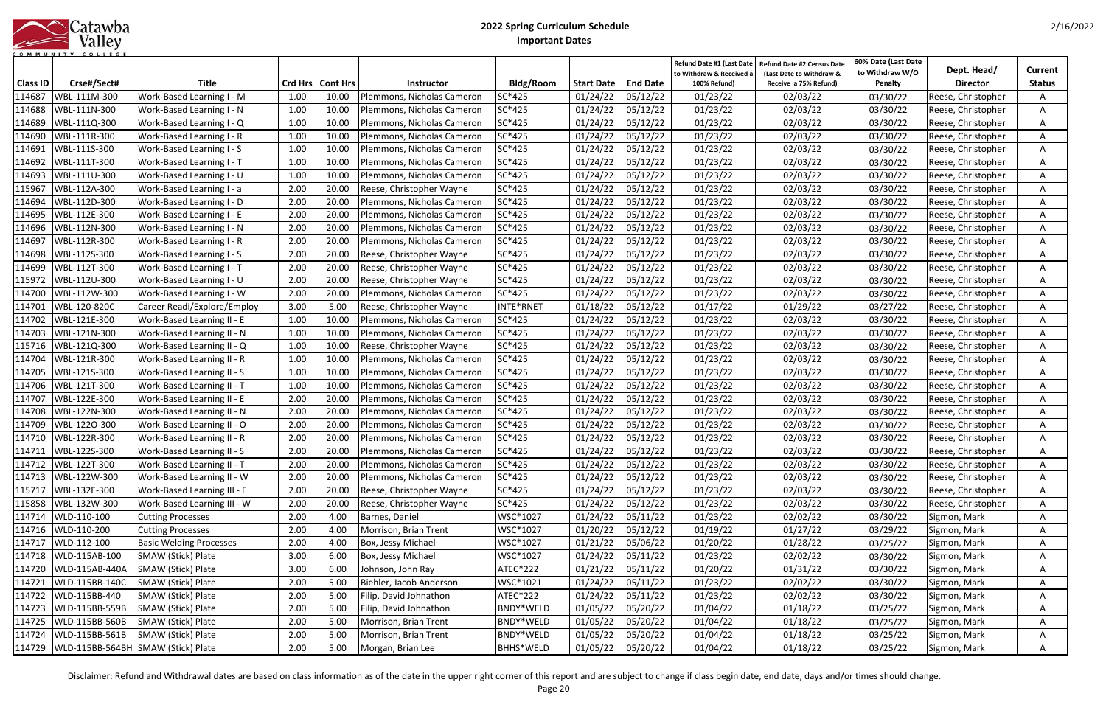| Catawba |
|---------|
| Valley  |
|         |

| <b>Class ID</b> | Crse#/Sect#                        | <b>Title</b>                      |      | Crd Hrs   Cont Hrs | <b>Instructor</b>                | <b>Bldg/Room</b> | <b>Start Date</b> | <b>End Date</b>     | Refund Date #1 (Last Date<br>to Withdraw & Received a<br>100% Refund) | Refund Date #2 Census Date<br>(Last Date to Withdraw &<br>Receive a 75% Refund) | 60% Date (Last Date<br>to Withdraw W/O<br>Penalty | Dept. Head/<br><b>Director</b> | Current<br><b>Status</b> |
|-----------------|------------------------------------|-----------------------------------|------|--------------------|----------------------------------|------------------|-------------------|---------------------|-----------------------------------------------------------------------|---------------------------------------------------------------------------------|---------------------------------------------------|--------------------------------|--------------------------|
| 114687          | WBL-111M-300                       | Work-Based Learning I - M         | 1.00 | 10.00              | Plemmons, Nicholas Cameron       | SC*425           | 01/24/22          | 05/12/22            | 01/23/22                                                              | 02/03/22                                                                        | 03/30/22                                          | Reese, Christopher             |                          |
| 114688          | WBL-111N-300                       | Work-Based Learning I - N         | 1.00 | 10.00              | Plemmons, Nicholas Cameron       | SC*425           | 01/24/22          | 05/12/22            | 01/23/22                                                              | 02/03/22                                                                        | 03/30/22                                          | Reese, Christopher             |                          |
| 114689          | WBL-111Q-300                       | Work-Based Learning I - Q         | 1.00 | 10.00              | Plemmons, Nicholas Cameron       | SC*425           | 01/24/22          | 05/12/22            | 01/23/22                                                              | 02/03/22                                                                        | 03/30/22                                          | Reese, Christopher             |                          |
| 114690          | WBL-111R-300                       | Work-Based Learning I - R         | 1.00 | 10.00              | Plemmons, Nicholas Cameron       | SC*425           | 01/24/22          | 05/12/22            | 01/23/22                                                              | 02/03/22                                                                        | 03/30/22                                          | Reese, Christopher             | A                        |
| 114691          | WBL-111S-300                       | Work-Based Learning I - S         | 1.00 | 10.00              | Plemmons, Nicholas Cameron       | SC*425           | 01/24/22          | 05/12/22            | 01/23/22                                                              | 02/03/22                                                                        | 03/30/22                                          | Reese, Christopher             | A                        |
| 114692          | WBL-111T-300                       | Work-Based Learning I - T         | 1.00 | 10.00              | Plemmons, Nicholas Cameron       | SC*425           | 01/24/22          | 05/12/22            | 01/23/22                                                              | 02/03/22                                                                        | 03/30/22                                          | Reese, Christopher             | A                        |
| 114693          | WBL-111U-300                       | Work-Based Learning I - U         | 1.00 | 10.00              | Plemmons, Nicholas Cameron       | SC*425           | 01/24/22          | 05/12/22            | 01/23/22                                                              | 02/03/22                                                                        | 03/30/22                                          | Reese, Christopher             | A                        |
| 115967          | WBL-112A-300                       | Work-Based Learning I - a         | 2.00 | 20.00              | Reese, Christopher Wayne         | SC*425           | 01/24/22          | 05/12/22            | 01/23/22                                                              | 02/03/22                                                                        | 03/30/22                                          | Reese, Christopher             | Α                        |
| 114694          | WBL-112D-300                       | Work-Based Learning I - D         | 2.00 | 20.00              | Plemmons, Nicholas Cameron       | SC*425           | 01/24/22          | 05/12/22            | 01/23/22                                                              | 02/03/22                                                                        | 03/30/22                                          | Reese, Christopher             | A                        |
| 114695          | WBL-112E-300                       | Work-Based Learning I - E         | 2.00 | 20.00              | Plemmons, Nicholas Cameron       | SC*425           | 01/24/22          | 05/12/22            | 01/23/22                                                              | 02/03/22                                                                        | 03/30/22                                          | Reese, Christopher             | A                        |
| 114696          | WBL-112N-300                       | Work-Based Learning I - N         | 2.00 | 20.00              | Plemmons, Nicholas Cameron       | SC*425           | 01/24/22          | 05/12/22            | 01/23/22                                                              | 02/03/22                                                                        | 03/30/22                                          | Reese, Christopher             | A                        |
| 114697          | WBL-112R-300                       | Work-Based Learning I - R         | 2.00 | 20.00              | Plemmons, Nicholas Cameron       | SC*425           | 01/24/22          | 05/12/22            | 01/23/22                                                              | 02/03/22                                                                        | 03/30/22                                          | Reese, Christopher             |                          |
| 114698          | WBL-112S-300                       | Work-Based Learning I - S         | 2.00 | 20.00              | Reese, Christopher Wayne         | SC*425           | 01/24/22          | 05/12/22            | 01/23/22                                                              | 02/03/22                                                                        | 03/30/22                                          | Reese, Christopher             |                          |
| 114699          | WBL-112T-300                       | Work-Based Learning I - T         | 2.00 | 20.00              | Reese, Christopher Wayne         | SC*425           | 01/24/22          | 05/12/22            | 01/23/22                                                              | 02/03/22                                                                        | 03/30/22                                          | Reese, Christopher             |                          |
| 115972          | WBL-112U-300                       | Work-Based Learning I - U         | 2.00 | 20.00              | Reese, Christopher Wayne         | SC*425           | 01/24/22          | 05/12/22            | 01/23/22                                                              | 02/03/22                                                                        | 03/30/22                                          | Reese, Christopher             |                          |
| 114700          | WBL-112W-300                       | Work-Based Learning I - W         | 2.00 | 20.00              | Plemmons, Nicholas Cameron       | SC*425           | 01/24/22          | 05/12/22            | 01/23/22                                                              | 02/03/22                                                                        | 03/30/22                                          | Reese, Christopher             | A                        |
| 114701          | WBL-120-820C                       | Career Readi/Explore/Employ       | 3.00 | 5.00               | Reese, Christopher Wayne         | INTE*RNET        | 01/18/22          | 05/12/22            | 01/17/22                                                              | 01/29/22                                                                        | 03/27/22                                          | Reese, Christopher             | A                        |
| 114702          | WBL-121E-300                       | Work-Based Learning II - E        | 1.00 | 10.00              | Plemmons, Nicholas Cameron       | SC*425           | 01/24/22          | 05/12/22            | 01/23/22                                                              | 02/03/22                                                                        | 03/30/22                                          | Reese, Christopher             | A                        |
| 114703          | WBL-121N-300                       | Work-Based Learning II - N        | 1.00 | 10.00              | Plemmons, Nicholas Cameron       | SC*425           | 01/24/22          | 05/12/22            | 01/23/22                                                              | 02/03/22                                                                        | 03/30/22                                          | Reese, Christopher             | A                        |
| 115716          | WBL-121Q-300                       | Work-Based Learning II - Q        | 1.00 | 10.00              | Reese, Christopher Wayne         | SC*425           | 01/24/22          | 05/12/22            | 01/23/22                                                              | 02/03/22                                                                        | 03/30/22                                          | Reese, Christopher             | Α                        |
| 114704          | WBL-121R-300                       | Work-Based Learning II - R        | 1.00 | 10.00              | Plemmons, Nicholas Cameron       | SC*425           | 01/24/22          | 05/12/22            | 01/23/22                                                              | 02/03/22                                                                        | 03/30/22                                          | Reese, Christopher             | Α                        |
| 114705          | WBL-121S-300                       | Work-Based Learning II - S        | 1.00 | 10.00              | Plemmons, Nicholas Cameron       | SC*425           | 01/24/22          | 05/12/22            | 01/23/22                                                              | 02/03/22                                                                        | 03/30/22                                          | Reese, Christopher             |                          |
| 114706          | WBL-121T-300                       | <b>Work-Based Learning II - T</b> | 1.00 | 10.00              | Plemmons, Nicholas Cameron       | SC*425           | 01/24/22          | 05/12/22            | 01/23/22                                                              | 02/03/22                                                                        | 03/30/22                                          | Reese, Christopher             | A                        |
| 114707          | WBL-122E-300                       | Work-Based Learning II - E        | 2.00 | 20.00              | Plemmons, Nicholas Cameron       | SC*425           | 01/24/22          | 05/12/22            | 01/23/22                                                              | 02/03/22                                                                        | 03/30/22                                          | Reese, Christopher             |                          |
| 114708          | WBL-122N-300                       | Work-Based Learning II - N        | 2.00 | 20.00              | Plemmons, Nicholas Cameron       | SC*425           | 01/24/22          | 05/12/22            | 01/23/22                                                              | 02/03/22                                                                        | 03/30/22                                          | Reese, Christopher             |                          |
| 114709          | WBL-1220-300                       | Work-Based Learning II - O        | 2.00 | 20.00              | Plemmons, Nicholas Cameron       | SC*425           | 01/24/22          | 05/12/22            | 01/23/22                                                              | 02/03/22                                                                        | 03/30/22                                          | Reese, Christopher             |                          |
| 114710          | WBL-122R-300                       | Work-Based Learning II - R        | 2.00 | 20.00              | Plemmons, Nicholas Cameron       | SC*425           | 01/24/22          | 05/12/22            | 01/23/22                                                              | 02/03/22                                                                        | 03/30/22                                          | Reese, Christopher             |                          |
| 114711          | WBL-122S-300                       | Work-Based Learning II - S        | 2.00 | 20.00              | Plemmons, Nicholas Cameron       | SC*425           | 01/24/22          | 05/12/22            | 01/23/22                                                              | 02/03/22                                                                        | 03/30/22                                          | Reese, Christopher             | A                        |
|                 | 114712 WBL-122T-300                | Work-Based Learning II - T        | 2.00 |                    | 20.00 Plemmons, Nicholas Cameron | SC*425           |                   | $01/24/22$ 05/12/22 | 01/23/22                                                              | 02/03/22                                                                        | 03/30/22                                          | Reese, Christopher             | A                        |
| 114713          | WBL-122W-300                       | Work-Based Learning II - W        | 2.00 | 20.00              | Plemmons, Nicholas Cameron       | SC*425           | 01/24/22          | 05/12/22            | 01/23/22                                                              | 02/03/22                                                                        | 03/30/22                                          | Reese, Christopher             | A                        |
| 115717          | WBL-132E-300                       | Work-Based Learning III - E       | 2.00 | 20.00              | Reese, Christopher Wayne         | SC*425           | 01/24/22          | 05/12/22            | 01/23/22                                                              | 02/03/22                                                                        | 03/30/22                                          | Reese, Christopher             | A                        |
|                 | 115858 WBL-132W-300                | Work-Based Learning III - W       | 2.00 | 20.00              | Reese, Christopher Wayne         | SC*425           | 01/24/22          | 05/12/22            | 01/23/22                                                              | 02/03/22                                                                        | 03/30/22                                          | Reese, Christopher             | A                        |
| 114714          | WLD-110-100                        | <b>Cutting Processes</b>          | 2.00 | 4.00               | Barnes, Daniel                   | WSC*1027         | 01/24/22          | 05/11/22            | 01/23/22                                                              | 02/02/22                                                                        | 03/30/22                                          | Sigmon, Mark                   | A                        |
|                 | 114716 WLD-110-200                 | <b>Cutting Processes</b>          | 2.00 | 4.00               | Morrison, Brian Trent            | WSC*1027         | 01/20/22          | 05/12/22            | 01/19/22                                                              | 01/27/22                                                                        | 03/29/22                                          | Sigmon, Mark                   | A                        |
| 114717          | WLD-112-100                        | <b>Basic Welding Processes</b>    | 2.00 | 4.00               | Box, Jessy Michael               | WSC*1027         | 01/21/22          | 05/06/22            | 01/20/22                                                              | 01/28/22                                                                        | 03/25/22                                          | Sigmon, Mark                   | A                        |
| 114718          | WLD-115AB-100                      | SMAW (Stick) Plate                | 3.00 | 6.00               | Box, Jessy Michael               | WSC*1027         | 01/24/22          | 05/11/22            | 01/23/22                                                              | 02/02/22                                                                        | 03/30/22                                          | Sigmon, Mark                   | A                        |
| 114720          | WLD-115AB-440A                     | SMAW (Stick) Plate                | 3.00 | 6.00               | Johnson, John Ray                | <b>ATEC*222</b>  | 01/21/22          | 05/11/22            | 01/20/22                                                              | 01/31/22                                                                        | 03/30/22                                          | Sigmon, Mark                   | A                        |
| 114721          | WLD-115BB-140C                     | SMAW (Stick) Plate                | 2.00 | 5.00               | Biehler, Jacob Anderson          | WSC*1021         | 01/24/22          | 05/11/22            | 01/23/22                                                              | 02/02/22                                                                        | 03/30/22                                          | Sigmon, Mark                   | A                        |
| 114722          | WLD-115BB-440                      | SMAW (Stick) Plate                | 2.00 | 5.00               | Filip, David Johnathon           | ATEC*222         | 01/24/22          | 05/11/22            | 01/23/22                                                              | 02/02/22                                                                        | 03/30/22                                          | Sigmon, Mark                   | A                        |
| 114723          | WLD-115BB-559B                     | SMAW (Stick) Plate                | 2.00 | 5.00               | Filip, David Johnathon           | BNDY*WELD        | 01/05/22          | 05/20/22            | 01/04/22                                                              | 01/18/22                                                                        | 03/25/22                                          | Sigmon, Mark                   | A                        |
| 114725          | WLD-115BB-560B                     | SMAW (Stick) Plate                | 2.00 | 5.00               | Morrison, Brian Trent            | BNDY*WELD        | 01/05/22          | 05/20/22            | 01/04/22                                                              | 01/18/22                                                                        | 03/25/22                                          | Sigmon, Mark                   | A                        |
| 114724          | WLD-115BB-561B                     | SMAW (Stick) Plate                | 2.00 | 5.00               | Morrison, Brian Trent            | BNDY*WELD        | 01/05/22          | 05/20/22            | 01/04/22                                                              | 01/18/22                                                                        | 03/25/22                                          | Sigmon, Mark                   | A                        |
| 114729          | WLD-115BB-564BH SMAW (Stick) Plate |                                   | 2.00 | 5.00               | Morgan, Brian Lee                | <b>BHHS*WELD</b> | 01/05/22          | 05/20/22            | 01/04/22                                                              | 01/18/22                                                                        | 03/25/22                                          | Sigmon, Mark                   | A                        |